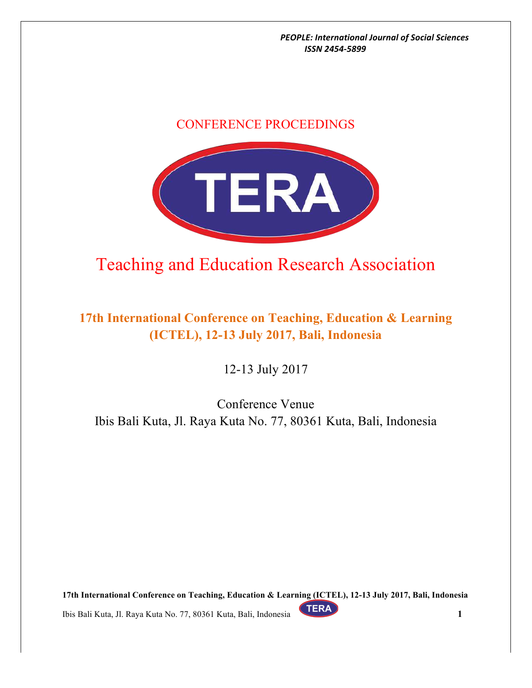### CONFERENCE PROCEEDINGS



# Teaching and Education Research Association

## **17th International Conference on Teaching, Education & Learning (ICTEL), 12-13 July 2017, Bali, Indonesia**

12-13 July 2017

Conference Venue Ibis Bali Kuta, Jl. Raya Kuta No. 77, 80361 Kuta, Bali, Indonesia

**17th International Conference on Teaching, Education & Learning (ICTEL), 12-13 July 2017, Bali, Indonesia** Ibis Bali Kuta, Jl. Raya Kuta No. 77, 80361 Kuta, Bali, Indonesia **1**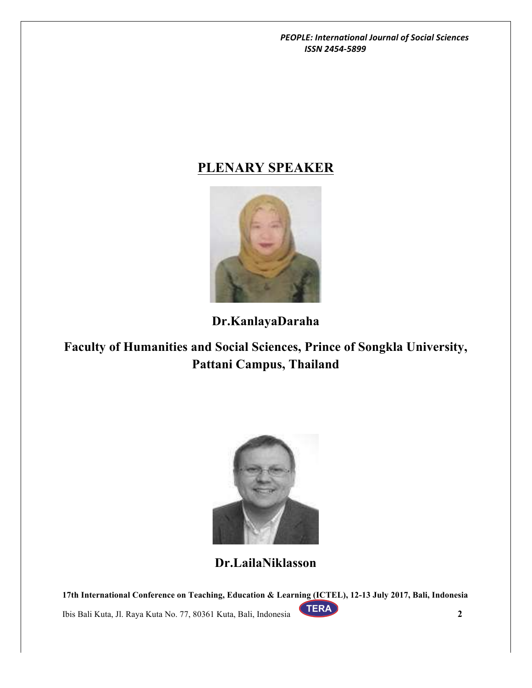### **PLENARY SPEAKER**



**Dr.KanlayaDaraha**

**Faculty of Humanities and Social Sciences, Prince of Songkla University, Pattani Campus, Thailand**



**Dr.LailaNiklasson**

**17th International Conference on Teaching, Education & Learning (ICTEL), 12-13 July 2017, Bali, Indonesia** Ibis Bali Kuta, Jl. Raya Kuta No. 77, 80361 Kuta, Bali, Indonesia **2**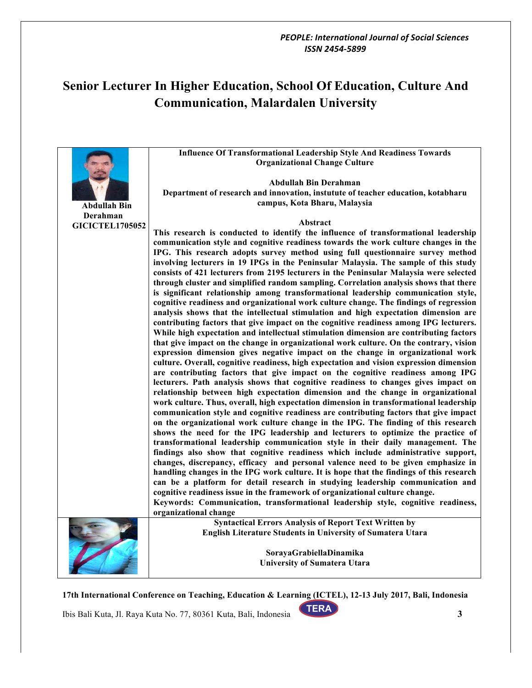### **Senior Lecturer In Higher Education, School Of Education, Culture And Communication, Malardalen University**



**17th International Conference on Teaching, Education & Learning (ICTEL), 12-13 July 2017, Bali, Indonesia**

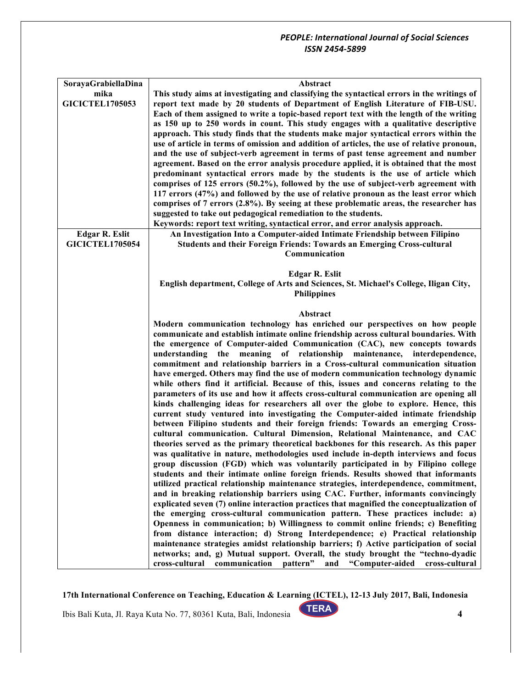| SorayaGrabiellaDina    | Abstract                                                                                   |
|------------------------|--------------------------------------------------------------------------------------------|
| mika                   | This study aims at investigating and classifying the syntactical errors in the writings of |
| <b>GICICTEL1705053</b> | report text made by 20 students of Department of English Literature of FIB-USU.            |
|                        | Each of them assigned to write a topic-based report text with the length of the writing    |
|                        |                                                                                            |
|                        | as 150 up to 250 words in count. This study engages with a qualitative descriptive         |
|                        | approach. This study finds that the students make major syntactical errors within the      |
|                        | use of article in terms of omission and addition of articles, the use of relative pronoun, |
|                        | and the use of subject-verb agreement in terms of past tense agreement and number          |
|                        | agreement. Based on the error analysis procedure applied, it is obtained that the most     |
|                        | predominant syntactical errors made by the students is the use of article which            |
|                        |                                                                                            |
|                        | comprises of 125 errors (50.2%), followed by the use of subject-verb agreement with        |
|                        | 117 errors (47%) and followed by the use of relative pronoun as the least error which      |
|                        | comprises of 7 errors (2.8%). By seeing at these problematic areas, the researcher has     |
|                        | suggested to take out pedagogical remediation to the students.                             |
|                        | Keywords: report text writing, syntactical error, and error analysis approach.             |
|                        |                                                                                            |
| <b>Edgar R. Eslit</b>  | An Investigation Into a Computer-aided Intimate Friendship between Filipino                |
| <b>GICICTEL1705054</b> | <b>Students and their Foreign Friends: Towards an Emerging Cross-cultural</b>              |
|                        | Communication                                                                              |
|                        |                                                                                            |
|                        | <b>Edgar R. Eslit</b>                                                                      |
|                        | English department, College of Arts and Sciences, St. Michael's College, Iligan City,      |
|                        | <b>Philippines</b>                                                                         |
|                        |                                                                                            |
|                        | Abstract                                                                                   |
|                        |                                                                                            |
|                        | Modern communication technology has enriched our perspectives on how people                |
|                        | communicate and establish intimate online friendship across cultural boundaries. With      |
|                        | the emergence of Computer-aided Communication (CAC), new concepts towards                  |
|                        | understanding the meaning of relationship maintenance, interdependence,                    |
|                        | commitment and relationship barriers in a Cross-cultural communication situation           |
|                        | have emerged. Others may find the use of modern communication technology dynamic           |
|                        | while others find it artificial. Because of this, issues and concerns relating to the      |
|                        |                                                                                            |
|                        | parameters of its use and how it affects cross-cultural communication are opening all      |
|                        | kinds challenging ideas for researchers all over the globe to explore. Hence, this         |
|                        | current study ventured into investigating the Computer-aided intimate friendship           |
|                        | between Filipino students and their foreign friends: Towards an emerging Cross-            |
|                        | cultural communication. Cultural Dimension, Relational Maintenance, and CAC                |
|                        | theories served as the primary theoretical backbones for this research. As this paper      |
|                        | was qualitative in nature, methodologies used include in-depth interviews and focus        |
|                        |                                                                                            |
|                        | group discussion (FGD) which was voluntarily participated in by Filipino college           |
|                        | students and their intimate online foreign friends. Results showed that informants         |
|                        | utilized practical relationship maintenance strategies, interdependence, commitment,       |
|                        | and in breaking relationship barriers using CAC. Further, informants convincingly          |
|                        | explicated seven (7) online interaction practices that magnified the conceptualization of  |
|                        | the emerging cross-cultural communication pattern. These practices include: a)             |
|                        | Openness in communication; b) Willingness to commit online friends; c) Benefiting          |
|                        |                                                                                            |
|                        | from distance interaction; d) Strong Interdependence; e) Practical relationship            |
|                        | maintenance strategies amidst relationship barriers; f) Active participation of social     |
|                        | networks; and, g) Mutual support. Overall, the study brought the "techno-dyadic            |
|                        | communication pattern"<br>"Computer-aided<br>cross-cultural<br>and<br>cross-cultural       |

**17th International Conference on Teaching, Education & Learning (ICTEL), 12-13 July 2017, Bali, Indonesia**

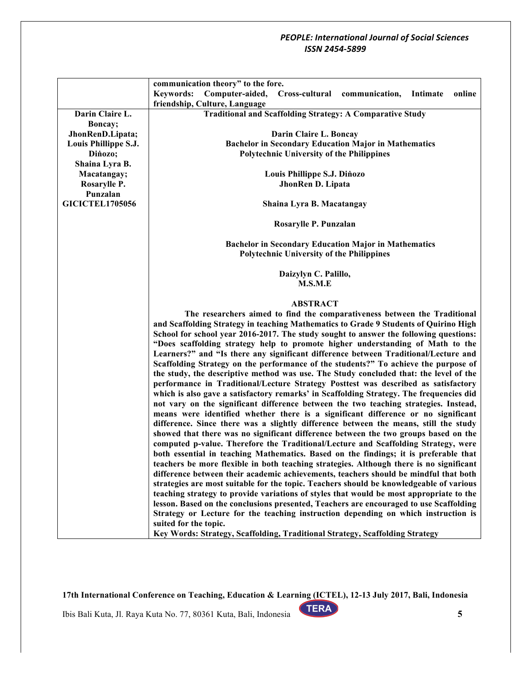|                                                     | communication theory" to the fore.<br>Keywords: Computer-aided,<br>Cross-cultural communication,<br>Intimate<br>online<br>friendship, Culture, Language |
|-----------------------------------------------------|---------------------------------------------------------------------------------------------------------------------------------------------------------|
| Darin Claire L.                                     | <b>Traditional and Scaffolding Strategy: A Comparative Study</b>                                                                                        |
| Boncay;<br>JhonRenD.Lipata;<br>Louis Phillippe S.J. | Darin Claire L. Boncay<br><b>Bachelor in Secondary Education Major in Mathematics</b>                                                                   |
| Diňozo;                                             | <b>Polytechnic University of the Philippines</b>                                                                                                        |
| Shaina Lyra B.                                      |                                                                                                                                                         |
| Macatangay;                                         | Louis Phillippe S.J. Dinozo                                                                                                                             |
| Rosarylle P.                                        | JhonRen D. Lipata                                                                                                                                       |
| Punzalan                                            |                                                                                                                                                         |
| <b>GICICTEL1705056</b>                              | Shaina Lyra B. Macatangay                                                                                                                               |
|                                                     | Rosarylle P. Punzalan                                                                                                                                   |
|                                                     | <b>Bachelor in Secondary Education Major in Mathematics</b>                                                                                             |
|                                                     | <b>Polytechnic University of the Philippines</b>                                                                                                        |
|                                                     |                                                                                                                                                         |
|                                                     | Daizylyn C. Palillo,                                                                                                                                    |
|                                                     | M.S.M.E                                                                                                                                                 |
|                                                     |                                                                                                                                                         |
|                                                     | <b>ABSTRACT</b>                                                                                                                                         |
|                                                     | The researchers aimed to find the comparativeness between the Traditional                                                                               |
|                                                     | and Scaffolding Strategy in teaching Mathematics to Grade 9 Students of Quirino High                                                                    |
|                                                     | School for school year 2016-2017. The study sought to answer the following questions:                                                                   |
|                                                     | "Does scaffolding strategy help to promote higher understanding of Math to the                                                                          |
|                                                     | Learners?" and "Is there any significant difference between Traditional/Lecture and                                                                     |
|                                                     | Scaffolding Strategy on the performance of the students?" To achieve the purpose of                                                                     |
|                                                     | the study, the descriptive method was use. The Study concluded that: the level of the                                                                   |
|                                                     | performance in Traditional/Lecture Strategy Posttest was described as satisfactory                                                                      |
|                                                     | which is also gave a satisfactory remarks' in Scaffolding Strategy. The frequencies did                                                                 |
|                                                     | not vary on the significant difference between the two teaching strategies. Instead,                                                                    |
|                                                     | means were identified whether there is a significant difference or no significant                                                                       |
|                                                     | difference. Since there was a slightly difference between the means, still the study                                                                    |
|                                                     | showed that there was no significant difference between the two groups based on the                                                                     |
|                                                     | computed p-value. Therefore the Traditional/Lecture and Scaffolding Strategy, were                                                                      |
|                                                     | both essential in teaching Mathematics. Based on the findings; it is preferable that                                                                    |
|                                                     | teachers be more flexible in both teaching strategies. Although there is no significant                                                                 |
|                                                     | difference between their academic achievements, teachers should be mindful that both                                                                    |
|                                                     | strategies are most suitable for the topic. Teachers should be knowledgeable of various                                                                 |
|                                                     | teaching strategy to provide variations of styles that would be most appropriate to the                                                                 |
|                                                     | lesson. Based on the conclusions presented, Teachers are encouraged to use Scaffolding                                                                  |
|                                                     | Strategy or Lecture for the teaching instruction depending on which instruction is                                                                      |
|                                                     | suited for the topic.                                                                                                                                   |
|                                                     | Key Words: Strategy, Scaffolding, Traditional Strategy, Scaffolding Strategy                                                                            |

**17th International Conference on Teaching, Education & Learning (ICTEL), 12-13 July 2017, Bali, Indonesia**

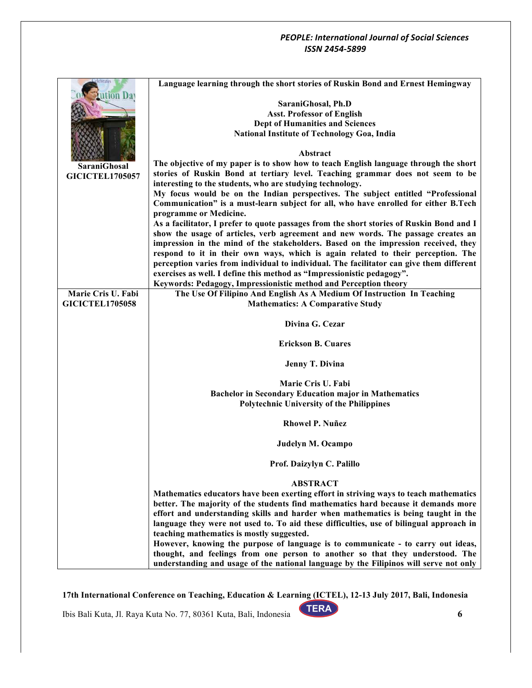| ebrates                | Language learning through the short stories of Ruskin Bond and Ernest Hemingway                                                                                                                                                                                                                                                                                                                                                                                                                                                                                                                                                                                                                                                                                                                                                                                                                   |
|------------------------|---------------------------------------------------------------------------------------------------------------------------------------------------------------------------------------------------------------------------------------------------------------------------------------------------------------------------------------------------------------------------------------------------------------------------------------------------------------------------------------------------------------------------------------------------------------------------------------------------------------------------------------------------------------------------------------------------------------------------------------------------------------------------------------------------------------------------------------------------------------------------------------------------|
| ution Day              |                                                                                                                                                                                                                                                                                                                                                                                                                                                                                                                                                                                                                                                                                                                                                                                                                                                                                                   |
|                        | SaraniGhosal, Ph.D                                                                                                                                                                                                                                                                                                                                                                                                                                                                                                                                                                                                                                                                                                                                                                                                                                                                                |
|                        | <b>Asst. Professor of English</b><br><b>Dept of Humanities and Sciences</b>                                                                                                                                                                                                                                                                                                                                                                                                                                                                                                                                                                                                                                                                                                                                                                                                                       |
|                        | National Institute of Technology Goa, India                                                                                                                                                                                                                                                                                                                                                                                                                                                                                                                                                                                                                                                                                                                                                                                                                                                       |
|                        |                                                                                                                                                                                                                                                                                                                                                                                                                                                                                                                                                                                                                                                                                                                                                                                                                                                                                                   |
|                        | Abstract                                                                                                                                                                                                                                                                                                                                                                                                                                                                                                                                                                                                                                                                                                                                                                                                                                                                                          |
| <b>SaraniGhosal</b>    | The objective of my paper is to show how to teach English language through the short                                                                                                                                                                                                                                                                                                                                                                                                                                                                                                                                                                                                                                                                                                                                                                                                              |
| <b>GICICTEL1705057</b> | stories of Ruskin Bond at tertiary level. Teaching grammar does not seem to be                                                                                                                                                                                                                                                                                                                                                                                                                                                                                                                                                                                                                                                                                                                                                                                                                    |
|                        | interesting to the students, who are studying technology.                                                                                                                                                                                                                                                                                                                                                                                                                                                                                                                                                                                                                                                                                                                                                                                                                                         |
|                        | My focus would be on the Indian perspectives. The subject entitled "Professional                                                                                                                                                                                                                                                                                                                                                                                                                                                                                                                                                                                                                                                                                                                                                                                                                  |
|                        | Communication" is a must-learn subject for all, who have enrolled for either B.Tech                                                                                                                                                                                                                                                                                                                                                                                                                                                                                                                                                                                                                                                                                                                                                                                                               |
|                        |                                                                                                                                                                                                                                                                                                                                                                                                                                                                                                                                                                                                                                                                                                                                                                                                                                                                                                   |
|                        |                                                                                                                                                                                                                                                                                                                                                                                                                                                                                                                                                                                                                                                                                                                                                                                                                                                                                                   |
|                        |                                                                                                                                                                                                                                                                                                                                                                                                                                                                                                                                                                                                                                                                                                                                                                                                                                                                                                   |
|                        |                                                                                                                                                                                                                                                                                                                                                                                                                                                                                                                                                                                                                                                                                                                                                                                                                                                                                                   |
|                        |                                                                                                                                                                                                                                                                                                                                                                                                                                                                                                                                                                                                                                                                                                                                                                                                                                                                                                   |
|                        | exercises as well. I define this method as "Impressionistic pedagogy".                                                                                                                                                                                                                                                                                                                                                                                                                                                                                                                                                                                                                                                                                                                                                                                                                            |
|                        | Keywords: Pedagogy, Impressionistic method and Perception theory                                                                                                                                                                                                                                                                                                                                                                                                                                                                                                                                                                                                                                                                                                                                                                                                                                  |
| Marie Cris U. Fabi     | The Use Of Filipino And English As A Medium Of Instruction In Teaching                                                                                                                                                                                                                                                                                                                                                                                                                                                                                                                                                                                                                                                                                                                                                                                                                            |
|                        |                                                                                                                                                                                                                                                                                                                                                                                                                                                                                                                                                                                                                                                                                                                                                                                                                                                                                                   |
|                        | Divina G. Cezar                                                                                                                                                                                                                                                                                                                                                                                                                                                                                                                                                                                                                                                                                                                                                                                                                                                                                   |
|                        | <b>Erickson B. Cuares</b>                                                                                                                                                                                                                                                                                                                                                                                                                                                                                                                                                                                                                                                                                                                                                                                                                                                                         |
|                        | Jenny T. Divina                                                                                                                                                                                                                                                                                                                                                                                                                                                                                                                                                                                                                                                                                                                                                                                                                                                                                   |
|                        | Marie Cris U. Fabi                                                                                                                                                                                                                                                                                                                                                                                                                                                                                                                                                                                                                                                                                                                                                                                                                                                                                |
|                        |                                                                                                                                                                                                                                                                                                                                                                                                                                                                                                                                                                                                                                                                                                                                                                                                                                                                                                   |
|                        | <b>Polytechnic University of the Philippines</b>                                                                                                                                                                                                                                                                                                                                                                                                                                                                                                                                                                                                                                                                                                                                                                                                                                                  |
|                        | <b>Rhowel P. Nuñez</b>                                                                                                                                                                                                                                                                                                                                                                                                                                                                                                                                                                                                                                                                                                                                                                                                                                                                            |
|                        | Judelyn M. Ocampo                                                                                                                                                                                                                                                                                                                                                                                                                                                                                                                                                                                                                                                                                                                                                                                                                                                                                 |
|                        | Prof. Daizylyn C. Palillo                                                                                                                                                                                                                                                                                                                                                                                                                                                                                                                                                                                                                                                                                                                                                                                                                                                                         |
|                        | <b>ABSTRACT</b>                                                                                                                                                                                                                                                                                                                                                                                                                                                                                                                                                                                                                                                                                                                                                                                                                                                                                   |
|                        | Mathematics educators have been exerting effort in striving ways to teach mathematics                                                                                                                                                                                                                                                                                                                                                                                                                                                                                                                                                                                                                                                                                                                                                                                                             |
|                        | better. The majority of the students find mathematics hard because it demands more                                                                                                                                                                                                                                                                                                                                                                                                                                                                                                                                                                                                                                                                                                                                                                                                                |
|                        | effort and understanding skills and harder when mathematics is being taught in the                                                                                                                                                                                                                                                                                                                                                                                                                                                                                                                                                                                                                                                                                                                                                                                                                |
|                        | language they were not used to. To aid these difficulties, use of bilingual approach in                                                                                                                                                                                                                                                                                                                                                                                                                                                                                                                                                                                                                                                                                                                                                                                                           |
|                        |                                                                                                                                                                                                                                                                                                                                                                                                                                                                                                                                                                                                                                                                                                                                                                                                                                                                                                   |
|                        |                                                                                                                                                                                                                                                                                                                                                                                                                                                                                                                                                                                                                                                                                                                                                                                                                                                                                                   |
|                        |                                                                                                                                                                                                                                                                                                                                                                                                                                                                                                                                                                                                                                                                                                                                                                                                                                                                                                   |
| <b>GICICTEL1705058</b> | programme or Medicine.<br>As a facilitator, I prefer to quote passages from the short stories of Ruskin Bond and I<br>show the usage of articles, verb agreement and new words. The passage creates an<br>impression in the mind of the stakeholders. Based on the impression received, they<br>respond to it in their own ways, which is again related to their perception. The<br>perception varies from individual to individual. The facilitator can give them different<br><b>Mathematics: A Comparative Study</b><br><b>Bachelor in Secondary Education major in Mathematics</b><br>teaching mathematics is mostly suggested.<br>However, knowing the purpose of language is to communicate - to carry out ideas,<br>thought, and feelings from one person to another so that they understood. The<br>understanding and usage of the national language by the Filipinos will serve not only |

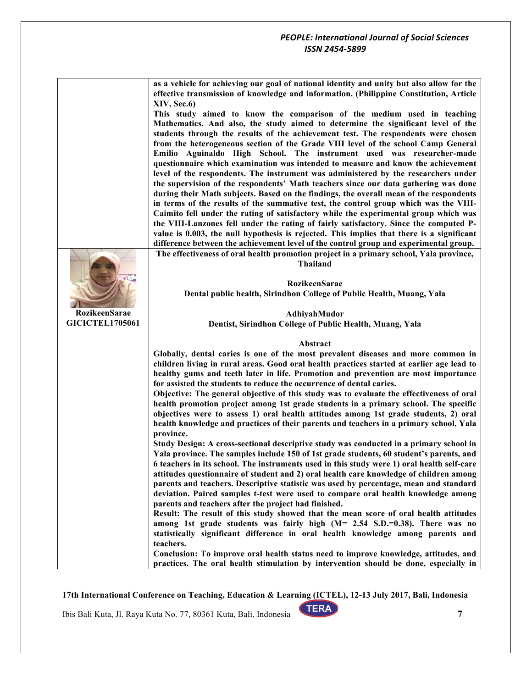|                        | as a vehicle for achieving our goal of national identity and unity but also allow for the<br>effective transmission of knowledge and information. (Philippine Constitution, Article |
|------------------------|-------------------------------------------------------------------------------------------------------------------------------------------------------------------------------------|
|                        | <b>XIV, Sec.6)</b>                                                                                                                                                                  |
|                        | This study aimed to know the comparison of the medium used in teaching                                                                                                              |
|                        | Mathematics. And also, the study aimed to determine the significant level of the                                                                                                    |
|                        | students through the results of the achievement test. The respondents were chosen                                                                                                   |
|                        | from the heterogeneous section of the Grade VIII level of the school Camp General                                                                                                   |
|                        | Emilio Aguinaldo High School. The instrument used was researcher-made                                                                                                               |
|                        | questionnaire which examination was intended to measure and know the achievement                                                                                                    |
|                        | level of the respondents. The instrument was administered by the researchers under                                                                                                  |
|                        | the supervision of the respondents' Math teachers since our data gathering was done                                                                                                 |
|                        | during their Math subjects. Based on the findings, the overall mean of the respondents                                                                                              |
|                        | in terms of the results of the summative test, the control group which was the VIII-                                                                                                |
|                        | Caimito fell under the rating of satisfactory while the experimental group which was                                                                                                |
|                        | the VIII-Lanzones fell under the rating of fairly satisfactory. Since the computed P-                                                                                               |
|                        | value is 0.003, the null hypothesis is rejected. This implies that there is a significant                                                                                           |
|                        | difference between the achievement level of the control group and experimental group.                                                                                               |
|                        | The effectiveness of oral health promotion project in a primary school, Yala province,                                                                                              |
|                        | <b>Thailand</b>                                                                                                                                                                     |
|                        |                                                                                                                                                                                     |
|                        | RozikeenSarae                                                                                                                                                                       |
|                        | Dental public health, Sirindhon College of Public Health, Muang, Yala                                                                                                               |
|                        |                                                                                                                                                                                     |
| <b>RozikeenSarae</b>   | AdhiyahMudor                                                                                                                                                                        |
|                        |                                                                                                                                                                                     |
| <b>GICICTEL1705061</b> | Dentist, Sirindhon College of Public Health, Muang, Yala                                                                                                                            |
|                        |                                                                                                                                                                                     |
|                        | Abstract                                                                                                                                                                            |
|                        | Globally, dental caries is one of the most prevalent diseases and more common in                                                                                                    |
|                        | children living in rural areas. Good oral health practices started at earlier age lead to                                                                                           |
|                        | healthy gums and teeth later in life. Promotion and prevention are most importance                                                                                                  |
|                        | for assisted the students to reduce the occurrence of dental caries.                                                                                                                |
|                        | Objective: The general objective of this study was to evaluate the effectiveness of oral                                                                                            |
|                        | health promotion project among 1st grade students in a primary school. The specific                                                                                                 |
|                        | objectives were to assess 1) oral health attitudes among 1st grade students, 2) oral                                                                                                |
|                        | health knowledge and practices of their parents and teachers in a primary school, Yala                                                                                              |
|                        | province.                                                                                                                                                                           |
|                        | Study Design: A cross-sectional descriptive study was conducted in a primary school in                                                                                              |
|                        | Yala province. The samples include 150 of 1st grade students, 60 student's parents, and                                                                                             |
|                        | 6 teachers in its school. The instruments used in this study were 1) oral health self-care                                                                                          |
|                        | attitudes questionnaire of student and 2) oral health care knowledge of children among<br>parents and teachers. Descriptive statistic was used by percentage, mean and standard     |
|                        | deviation. Paired samples t-test were used to compare oral health knowledge among                                                                                                   |
|                        | parents and teachers after the project had finished.                                                                                                                                |
|                        | Result: The result of this study showed that the mean score of oral health attitudes                                                                                                |
|                        | among 1st grade students was fairly high (M= 2.54 S.D.=0.38). There was no                                                                                                          |
|                        | statistically significant difference in oral health knowledge among parents and                                                                                                     |
|                        | teachers.                                                                                                                                                                           |
|                        | Conclusion: To improve oral health status need to improve knowledge, attitudes, and                                                                                                 |

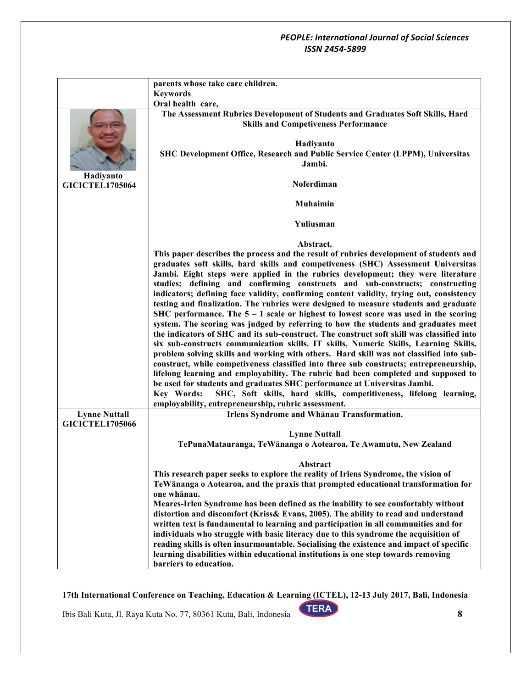|                                                | parents whose take care children.                                                                                                                                                                                                                                                                                                                                                                                                                                                                                                                                                                                                                                                                                                                                                                                                                                                                                                                                                                                                                                                            |
|------------------------------------------------|----------------------------------------------------------------------------------------------------------------------------------------------------------------------------------------------------------------------------------------------------------------------------------------------------------------------------------------------------------------------------------------------------------------------------------------------------------------------------------------------------------------------------------------------------------------------------------------------------------------------------------------------------------------------------------------------------------------------------------------------------------------------------------------------------------------------------------------------------------------------------------------------------------------------------------------------------------------------------------------------------------------------------------------------------------------------------------------------|
|                                                | <b>Keywords</b>                                                                                                                                                                                                                                                                                                                                                                                                                                                                                                                                                                                                                                                                                                                                                                                                                                                                                                                                                                                                                                                                              |
|                                                | Oral health care,                                                                                                                                                                                                                                                                                                                                                                                                                                                                                                                                                                                                                                                                                                                                                                                                                                                                                                                                                                                                                                                                            |
|                                                |                                                                                                                                                                                                                                                                                                                                                                                                                                                                                                                                                                                                                                                                                                                                                                                                                                                                                                                                                                                                                                                                                              |
|                                                | The Assessment Rubrics Development of Students and Graduates Soft Skills, Hard<br><b>Skills and Competiveness Performance</b>                                                                                                                                                                                                                                                                                                                                                                                                                                                                                                                                                                                                                                                                                                                                                                                                                                                                                                                                                                |
|                                                | Hadiyanto                                                                                                                                                                                                                                                                                                                                                                                                                                                                                                                                                                                                                                                                                                                                                                                                                                                                                                                                                                                                                                                                                    |
|                                                | SHC Development Office, Research and Public Service Center (LPPM), Universitas<br>Jambi.                                                                                                                                                                                                                                                                                                                                                                                                                                                                                                                                                                                                                                                                                                                                                                                                                                                                                                                                                                                                     |
| Hadiyanto<br><b>GICICTEL1705064</b>            | Noferdiman                                                                                                                                                                                                                                                                                                                                                                                                                                                                                                                                                                                                                                                                                                                                                                                                                                                                                                                                                                                                                                                                                   |
|                                                | Muhaimin                                                                                                                                                                                                                                                                                                                                                                                                                                                                                                                                                                                                                                                                                                                                                                                                                                                                                                                                                                                                                                                                                     |
|                                                | Yuliusman                                                                                                                                                                                                                                                                                                                                                                                                                                                                                                                                                                                                                                                                                                                                                                                                                                                                                                                                                                                                                                                                                    |
|                                                | Abstract.                                                                                                                                                                                                                                                                                                                                                                                                                                                                                                                                                                                                                                                                                                                                                                                                                                                                                                                                                                                                                                                                                    |
|                                                | This paper describes the process and the result of rubrics development of students and<br>graduates soft skills, hard skills and competiveness (SHC) Assessment Universitas<br>Jambi. Eight steps were applied in the rubrics development; they were literature<br>studies; defining and confirming constructs and sub-constructs; constructing<br>indicators; defining face validity, confirming content validity, trying out, consistency<br>testing and finalization. The rubrics were designed to measure students and graduate<br>SHC performance. The $5 - 1$ scale or highest to lowest score was used in the scoring<br>system. The scoring was judged by referring to how the students and graduates meet<br>the indicators of SHC and its sub-construct. The construct soft skill was classified into<br>six sub-constructs communication skills. IT skills, Numeric Skills, Learning Skills,<br>problem solving skills and working with others. Hard skill was not classified into sub-<br>construct, while competiveness classified into three sub constructs; entrepreneurship, |
|                                                | lifelong learning and employability. The rubric had been completed and supposed to<br>be used for students and graduates SHC performance at Universitas Jambi.                                                                                                                                                                                                                                                                                                                                                                                                                                                                                                                                                                                                                                                                                                                                                                                                                                                                                                                               |
|                                                | Key Words:<br>SHC, Soft skills, hard skills, competitiveness, lifelong learning,                                                                                                                                                                                                                                                                                                                                                                                                                                                                                                                                                                                                                                                                                                                                                                                                                                                                                                                                                                                                             |
|                                                | employability, entrepreneurship, rubric assessment.                                                                                                                                                                                                                                                                                                                                                                                                                                                                                                                                                                                                                                                                                                                                                                                                                                                                                                                                                                                                                                          |
| <b>Lynne Nuttall</b><br><b>GICICTEL1705066</b> | Irlens Syndrome and Whanau Transformation.                                                                                                                                                                                                                                                                                                                                                                                                                                                                                                                                                                                                                                                                                                                                                                                                                                                                                                                                                                                                                                                   |
|                                                | <b>Lynne Nuttall</b>                                                                                                                                                                                                                                                                                                                                                                                                                                                                                                                                                                                                                                                                                                                                                                                                                                                                                                                                                                                                                                                                         |
|                                                | TePunaMatauranga, TeWānanga o Aotearoa, Te Awamutu, New Zealand                                                                                                                                                                                                                                                                                                                                                                                                                                                                                                                                                                                                                                                                                                                                                                                                                                                                                                                                                                                                                              |
|                                                | Abstract                                                                                                                                                                                                                                                                                                                                                                                                                                                                                                                                                                                                                                                                                                                                                                                                                                                                                                                                                                                                                                                                                     |
|                                                | This research paper seeks to explore the reality of Irlens Syndrome, the vision of                                                                                                                                                                                                                                                                                                                                                                                                                                                                                                                                                                                                                                                                                                                                                                                                                                                                                                                                                                                                           |
|                                                | TeWānanga o Aotearoa, and the praxis that prompted educational transformation for                                                                                                                                                                                                                                                                                                                                                                                                                                                                                                                                                                                                                                                                                                                                                                                                                                                                                                                                                                                                            |
|                                                | one whānau.                                                                                                                                                                                                                                                                                                                                                                                                                                                                                                                                                                                                                                                                                                                                                                                                                                                                                                                                                                                                                                                                                  |
|                                                | Meares-Irlen Syndrome has been defined as the inability to see comfortably without                                                                                                                                                                                                                                                                                                                                                                                                                                                                                                                                                                                                                                                                                                                                                                                                                                                                                                                                                                                                           |
|                                                | distortion and discomfort (Kriss & Evans, 2005). The ability to read and understand                                                                                                                                                                                                                                                                                                                                                                                                                                                                                                                                                                                                                                                                                                                                                                                                                                                                                                                                                                                                          |
|                                                | written text is fundamental to learning and participation in all communities and for                                                                                                                                                                                                                                                                                                                                                                                                                                                                                                                                                                                                                                                                                                                                                                                                                                                                                                                                                                                                         |
|                                                | individuals who struggle with basic literacy due to this syndrome the acquisition of<br>reading skills is often insurmountable. Socialising the existence and impact of specific                                                                                                                                                                                                                                                                                                                                                                                                                                                                                                                                                                                                                                                                                                                                                                                                                                                                                                             |
|                                                | learning disabilities within educational institutions is one step towards removing<br>barriers to education.                                                                                                                                                                                                                                                                                                                                                                                                                                                                                                                                                                                                                                                                                                                                                                                                                                                                                                                                                                                 |
|                                                |                                                                                                                                                                                                                                                                                                                                                                                                                                                                                                                                                                                                                                                                                                                                                                                                                                                                                                                                                                                                                                                                                              |

**17th International Conference on Teaching, Education & Learning (ICTEL), 12-13 July 2017, Bali, Indonesia**

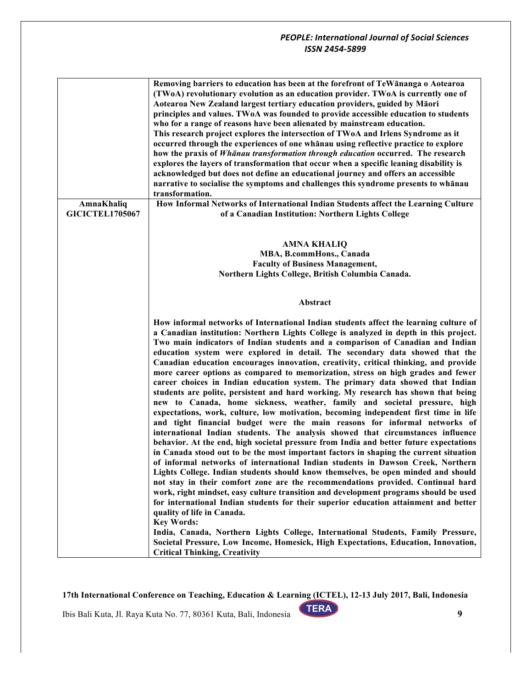|                        | Removing barriers to education has been at the forefront of TeWānanga o Aotearoa<br>(TWoA) revolutionary evolution as an education provider. TWoA is currently one of<br>Aotearoa New Zealand largest tertiary education providers, guided by Māori<br>principles and values. TWoA was founded to provide accessible education to students<br>who for a range of reasons have been alienated by mainstream education.                                                                                                                                                                                                                                                                                                                                                                                                                                                                                                                                                                                                                                                                                                                                                                                                                                                                                                                                                                                                                                                                                                                                                           |
|------------------------|---------------------------------------------------------------------------------------------------------------------------------------------------------------------------------------------------------------------------------------------------------------------------------------------------------------------------------------------------------------------------------------------------------------------------------------------------------------------------------------------------------------------------------------------------------------------------------------------------------------------------------------------------------------------------------------------------------------------------------------------------------------------------------------------------------------------------------------------------------------------------------------------------------------------------------------------------------------------------------------------------------------------------------------------------------------------------------------------------------------------------------------------------------------------------------------------------------------------------------------------------------------------------------------------------------------------------------------------------------------------------------------------------------------------------------------------------------------------------------------------------------------------------------------------------------------------------------|
|                        | This research project explores the intersection of TWoA and Irlens Syndrome as it<br>occurred through the experiences of one whanau using reflective practice to explore                                                                                                                                                                                                                                                                                                                                                                                                                                                                                                                                                                                                                                                                                                                                                                                                                                                                                                                                                                                                                                                                                                                                                                                                                                                                                                                                                                                                        |
|                        | how the praxis of Whanau transformation through education occurred. The research                                                                                                                                                                                                                                                                                                                                                                                                                                                                                                                                                                                                                                                                                                                                                                                                                                                                                                                                                                                                                                                                                                                                                                                                                                                                                                                                                                                                                                                                                                |
|                        | explores the layers of transformation that occur when a specific leaning disability is<br>acknowledged but does not define an educational journey and offers an accessible                                                                                                                                                                                                                                                                                                                                                                                                                                                                                                                                                                                                                                                                                                                                                                                                                                                                                                                                                                                                                                                                                                                                                                                                                                                                                                                                                                                                      |
|                        | narrative to socialise the symptoms and challenges this syndrome presents to whanau                                                                                                                                                                                                                                                                                                                                                                                                                                                                                                                                                                                                                                                                                                                                                                                                                                                                                                                                                                                                                                                                                                                                                                                                                                                                                                                                                                                                                                                                                             |
| AmnaKhaliq             | transformation.<br>How Informal Networks of International Indian Students affect the Learning Culture                                                                                                                                                                                                                                                                                                                                                                                                                                                                                                                                                                                                                                                                                                                                                                                                                                                                                                                                                                                                                                                                                                                                                                                                                                                                                                                                                                                                                                                                           |
| <b>GICICTEL1705067</b> | of a Canadian Institution: Northern Lights College                                                                                                                                                                                                                                                                                                                                                                                                                                                                                                                                                                                                                                                                                                                                                                                                                                                                                                                                                                                                                                                                                                                                                                                                                                                                                                                                                                                                                                                                                                                              |
|                        |                                                                                                                                                                                                                                                                                                                                                                                                                                                                                                                                                                                                                                                                                                                                                                                                                                                                                                                                                                                                                                                                                                                                                                                                                                                                                                                                                                                                                                                                                                                                                                                 |
|                        | <b>AMNA KHALIQ</b>                                                                                                                                                                                                                                                                                                                                                                                                                                                                                                                                                                                                                                                                                                                                                                                                                                                                                                                                                                                                                                                                                                                                                                                                                                                                                                                                                                                                                                                                                                                                                              |
|                        | MBA, B.commHons., Canada<br><b>Faculty of Business Management,</b>                                                                                                                                                                                                                                                                                                                                                                                                                                                                                                                                                                                                                                                                                                                                                                                                                                                                                                                                                                                                                                                                                                                                                                                                                                                                                                                                                                                                                                                                                                              |
|                        | Northern Lights College, British Columbia Canada.                                                                                                                                                                                                                                                                                                                                                                                                                                                                                                                                                                                                                                                                                                                                                                                                                                                                                                                                                                                                                                                                                                                                                                                                                                                                                                                                                                                                                                                                                                                               |
|                        |                                                                                                                                                                                                                                                                                                                                                                                                                                                                                                                                                                                                                                                                                                                                                                                                                                                                                                                                                                                                                                                                                                                                                                                                                                                                                                                                                                                                                                                                                                                                                                                 |
|                        | Abstract                                                                                                                                                                                                                                                                                                                                                                                                                                                                                                                                                                                                                                                                                                                                                                                                                                                                                                                                                                                                                                                                                                                                                                                                                                                                                                                                                                                                                                                                                                                                                                        |
|                        | How informal networks of International Indian students affect the learning culture of<br>a Canadian institution: Northern Lights College is analyzed in depth in this project.<br>Two main indicators of Indian students and a comparison of Canadian and Indian<br>education system were explored in detail. The secondary data showed that the<br>Canadian education encourages innovation, creativity, critical thinking, and provide<br>more career options as compared to memorization, stress on high grades and fewer<br>career choices in Indian education system. The primary data showed that Indian<br>students are polite, persistent and hard working. My research has shown that being<br>new to Canada, home sickness, weather, family and societal pressure, high<br>expectations, work, culture, low motivation, becoming independent first time in life<br>and tight financial budget were the main reasons for informal networks of<br>international Indian students. The analysis showed that circumstances influence<br>behavior. At the end, high societal pressure from India and better future expectations<br>in Canada stood out to be the most important factors in shaping the current situation<br>of informal networks of international Indian students in Dawson Creek. Northern<br>Lights College. Indian students should know themselves, be open minded and should<br>not stay in their comfort zone are the recommendations provided. Continual hard<br>work, right mindset, easy culture transition and development programs should be used |
|                        | for international Indian students for their superior education attainment and better<br>quality of life in Canada.                                                                                                                                                                                                                                                                                                                                                                                                                                                                                                                                                                                                                                                                                                                                                                                                                                                                                                                                                                                                                                                                                                                                                                                                                                                                                                                                                                                                                                                              |
|                        | <b>Key Words:</b><br>India, Canada, Northern Lights College, International Students, Family Pressure,<br>Societal Pressure, Low Income, Homesick, High Expectations, Education, Innovation,<br><b>Critical Thinking, Creativity</b>                                                                                                                                                                                                                                                                                                                                                                                                                                                                                                                                                                                                                                                                                                                                                                                                                                                                                                                                                                                                                                                                                                                                                                                                                                                                                                                                             |

**17th International Conference on Teaching, Education & Learning (ICTEL), 12-13 July 2017, Bali, Indonesia**

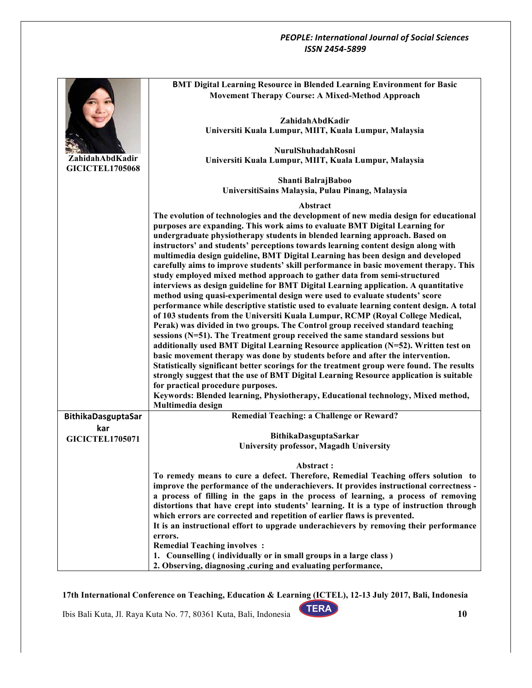|                           | <b>BMT Digital Learning Resource in Blended Learning Environment for Basic</b>                                                                                       |
|---------------------------|----------------------------------------------------------------------------------------------------------------------------------------------------------------------|
|                           | <b>Movement Therapy Course: A Mixed-Method Approach</b>                                                                                                              |
|                           |                                                                                                                                                                      |
|                           | ZahidahAbdKadir                                                                                                                                                      |
|                           | Universiti Kuala Lumpur, MIIT, Kuala Lumpur, Malaysia                                                                                                                |
|                           |                                                                                                                                                                      |
| ZahidahAbdKadir           | NurulShuhadahRosni                                                                                                                                                   |
| <b>GICICTEL1705068</b>    | Universiti Kuala Lumpur, MIIT, Kuala Lumpur, Malaysia                                                                                                                |
|                           | Shanti BalrajBaboo                                                                                                                                                   |
|                           | UniversitiSains Malaysia, Pulau Pinang, Malaysia                                                                                                                     |
|                           |                                                                                                                                                                      |
|                           | Abstract                                                                                                                                                             |
|                           | The evolution of technologies and the development of new media design for educational                                                                                |
|                           | purposes are expanding. This work aims to evaluate BMT Digital Learning for<br>undergraduate physiotherapy students in blended learning approach. Based on           |
|                           | instructors' and students' perceptions towards learning content design along with                                                                                    |
|                           | multimedia design guideline, BMT Digital Learning has been design and developed                                                                                      |
|                           | carefully aims to improve students' skill performance in basic movement therapy. This                                                                                |
|                           | study employed mixed method approach to gather data from semi-structured                                                                                             |
|                           | interviews as design guideline for BMT Digital Learning application. A quantitative                                                                                  |
|                           | method using quasi-experimental design were used to evaluate students' score                                                                                         |
|                           | performance while descriptive statistic used to evaluate learning content design. A total                                                                            |
|                           | of 103 students from the Universiti Kuala Lumpur, RCMP (Royal College Medical,<br>Perak) was divided in two groups. The Control group received standard teaching     |
|                           | sessions (N=51). The Treatment group received the same standard sessions but                                                                                         |
|                           | additionally used BMT Digital Learning Resource application (N=52). Written test on                                                                                  |
|                           | basic movement therapy was done by students before and after the intervention.                                                                                       |
|                           | Statistically significant better scorings for the treatment group were found. The results                                                                            |
|                           | strongly suggest that the use of BMT Digital Learning Resource application is suitable                                                                               |
|                           | for practical procedure purposes.                                                                                                                                    |
|                           | Keywords: Blended learning, Physiotherapy, Educational technology, Mixed method,                                                                                     |
|                           | Multimedia design                                                                                                                                                    |
| <b>BithikaDasguptaSar</b> | <b>Remedial Teaching: a Challenge or Reward?</b>                                                                                                                     |
| kar                       | BithikaDasguptaSarkar                                                                                                                                                |
| <b>GICICTEL1705071</b>    | <b>University professor, Magadh University</b>                                                                                                                       |
|                           |                                                                                                                                                                      |
|                           | Abstract:                                                                                                                                                            |
|                           | To remedy means to cure a defect. Therefore, Remedial Teaching offers solution to                                                                                    |
|                           | improve the performance of the underachievers. It provides instructional correctness -                                                                               |
|                           | a process of filling in the gaps in the process of learning, a process of removing                                                                                   |
|                           | distortions that have crept into students' learning. It is a type of instruction through<br>which errors are corrected and repetition of earlier flaws is prevented. |
|                           | It is an instructional effort to upgrade underachievers by removing their performance                                                                                |
|                           | errors.                                                                                                                                                              |
|                           | <b>Remedial Teaching involves:</b>                                                                                                                                   |
|                           | 1. Counselling (individually or in small groups in a large class)                                                                                                    |
|                           | 2. Observing, diagnosing , curing and evaluating performance,                                                                                                        |

**17th International Conference on Teaching, Education & Learning (ICTEL), 12-13 July 2017, Bali, Indonesia**

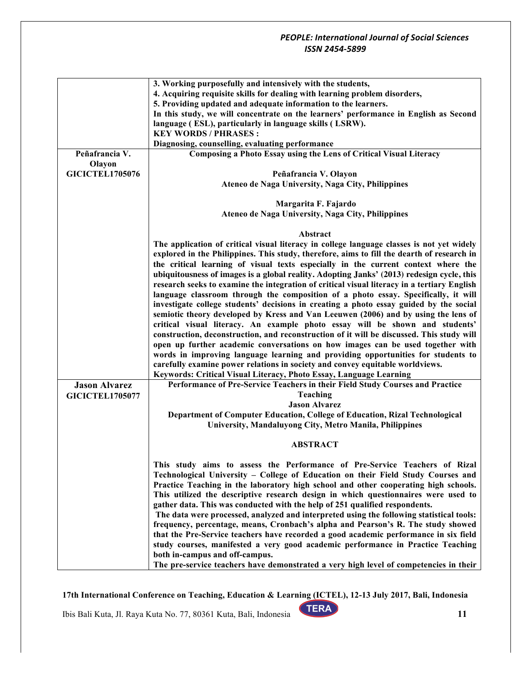|                        | 3. Working purposefully and intensively with the students,                                  |
|------------------------|---------------------------------------------------------------------------------------------|
|                        | 4. Acquiring requisite skills for dealing with learning problem disorders,                  |
|                        | 5. Providing updated and adequate information to the learners.                              |
|                        | In this study, we will concentrate on the learners' performance in English as Second        |
|                        | language (ESL), particularly in language skills (LSRW).                                     |
|                        | <b>KEY WORDS / PHRASES:</b>                                                                 |
|                        | Diagnosing, counselling, evaluating performance                                             |
| Peñafrancia V.         | Composing a Photo Essay using the Lens of Critical Visual Literacy                          |
| Olayon                 |                                                                                             |
| <b>GICICTEL1705076</b> | Peñafrancia V. Olayon                                                                       |
|                        | Ateneo de Naga University, Naga City, Philippines                                           |
|                        |                                                                                             |
|                        | Margarita F. Fajardo                                                                        |
|                        | Ateneo de Naga University, Naga City, Philippines                                           |
|                        |                                                                                             |
|                        | <b>Abstract</b>                                                                             |
|                        | The application of critical visual literacy in college language classes is not yet widely   |
|                        | explored in the Philippines. This study, therefore, aims to fill the dearth of research in  |
|                        | the critical learning of visual texts especially in the current context where the           |
|                        | ubiquitousness of images is a global reality. Adopting Janks' (2013) redesign cycle, this   |
|                        | research seeks to examine the integration of critical visual literacy in a tertiary English |
|                        | language classroom through the composition of a photo essay. Specifically, it will          |
|                        | investigate college students' decisions in creating a photo essay guided by the social      |
|                        | semiotic theory developed by Kress and Van Leeuwen (2006) and by using the lens of          |
|                        | critical visual literacy. An example photo essay will be shown and students'                |
|                        | construction, deconstruction, and reconstruction of it will be discussed. This study will   |
|                        | open up further academic conversations on how images can be used together with              |
|                        | words in improving language learning and providing opportunities for students to            |
|                        |                                                                                             |
|                        | carefully examine power relations in society and convey equitable worldviews.               |
|                        | Keywords: Critical Visual Literacy, Photo Essay, Language Learning                          |
| <b>Jason Alvarez</b>   | Performance of Pre-Service Teachers in their Field Study Courses and Practice               |
| <b>GICICTEL1705077</b> | Teaching                                                                                    |
|                        | <b>Jason Alvarez</b>                                                                        |
|                        | Department of Computer Education, College of Education, Rizal Technological                 |
|                        | University, Mandaluyong City, Metro Manila, Philippines                                     |
|                        |                                                                                             |
|                        | <b>ABSTRACT</b>                                                                             |
|                        | This study aims to assess the Performance of Pre-Service Teachers of Rizal                  |
|                        | Technological University - College of Education on their Field Study Courses and            |
|                        |                                                                                             |
|                        | Practice Teaching in the laboratory high school and other cooperating high schools.         |
|                        | This utilized the descriptive research design in which questionnaires were used to          |
|                        | gather data. This was conducted with the help of 251 qualified respondents.                 |
|                        | The data were processed, analyzed and interpreted using the following statistical tools:    |
|                        | frequency, percentage, means, Cronbach's alpha and Pearson's R. The study showed            |
|                        | that the Pre-Service teachers have recorded a good academic performance in six field        |
|                        | study courses, manifested a very good academic performance in Practice Teaching             |
|                        | both in-campus and off-campus.                                                              |
|                        | The pre-service teachers have demonstrated a very high level of competencies in their       |

**17th International Conference on Teaching, Education & Learning (ICTEL), 12-13 July 2017, Bali, Indonesia**

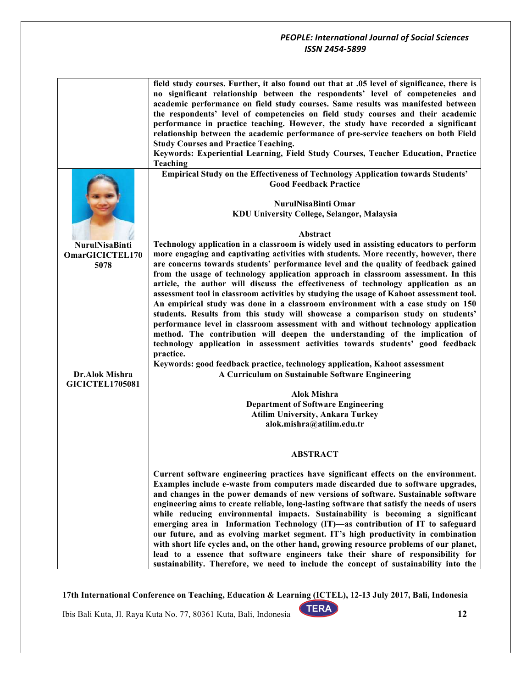|                        | field study courses. Further, it also found out that at .05 level of significance, there is |
|------------------------|---------------------------------------------------------------------------------------------|
|                        | no significant relationship between the respondents' level of competencies and              |
|                        | academic performance on field study courses. Same results was manifested between            |
|                        |                                                                                             |
|                        | the respondents' level of competencies on field study courses and their academic            |
|                        | performance in practice teaching. However, the study have recorded a significant            |
|                        | relationship between the academic performance of pre-service teachers on both Field         |
|                        | <b>Study Courses and Practice Teaching.</b>                                                 |
|                        | Keywords: Experiential Learning, Field Study Courses, Teacher Education, Practice           |
|                        |                                                                                             |
|                        | <b>Teaching</b>                                                                             |
|                        | <b>Empirical Study on the Effectiveness of Technology Application towards Students'</b>     |
|                        | <b>Good Feedback Practice</b>                                                               |
|                        |                                                                                             |
|                        | NurulNisaBinti Omar                                                                         |
|                        | KDU University College, Selangor, Malaysia                                                  |
|                        |                                                                                             |
|                        |                                                                                             |
|                        | Abstract                                                                                    |
| <b>NurulNisaBinti</b>  | Technology application in a classroom is widely used in assisting educators to perform      |
| <b>OmarGICICTEL170</b> | more engaging and captivating activities with students. More recently, however, there       |
| 5078                   | are concerns towards students' performance level and the quality of feedback gained         |
|                        | from the usage of technology application approach in classroom assessment. In this          |
|                        | article, the author will discuss the effectiveness of technology application as an          |
|                        |                                                                                             |
|                        | assessment tool in classroom activities by studying the usage of Kahoot assessment tool.    |
|                        | An empirical study was done in a classroom environment with a case study on 150             |
|                        | students. Results from this study will showcase a comparison study on students'             |
|                        | performance level in classroom assessment with and without technology application           |
|                        | method. The contribution will deepen the understanding of the implication of                |
|                        | technology application in assessment activities towards students' good feedback             |
|                        |                                                                                             |
|                        | practice.                                                                                   |
|                        | Keywords: good feedback practice, technology application, Kahoot assessment                 |
| Dr.Alok Mishra         | A Curriculum on Sustainable Software Engineering                                            |
| <b>GICICTEL1705081</b> |                                                                                             |
|                        | <b>Alok Mishra</b>                                                                          |
|                        | <b>Department of Software Engineering</b>                                                   |
|                        |                                                                                             |
|                        | <b>Atilim University, Ankara Turkey</b>                                                     |
|                        | alok.mishra@atilim.edu.tr                                                                   |
|                        |                                                                                             |
|                        |                                                                                             |
|                        | <b>ABSTRACT</b>                                                                             |
|                        |                                                                                             |
|                        | Current software engineering practices have significant effects on the environment.         |
|                        |                                                                                             |
|                        | Examples include e-waste from computers made discarded due to software upgrades,            |
|                        | and changes in the power demands of new versions of software. Sustainable software          |
|                        | engineering aims to create reliable, long-lasting software that satisfy the needs of users  |
|                        | while reducing environmental impacts. Sustainability is becoming a significant              |
|                        | emerging area in Information Technology (IT)-as contribution of IT to safeguard             |
|                        | our future, and as evolving market segment. IT's high productivity in combination           |
|                        | with short life cycles and, on the other hand, growing resource problems of our planet,     |
|                        |                                                                                             |
|                        | lead to a essence that software engineers take their share of responsibility for            |
|                        | sustainability. Therefore, we need to include the concept of sustainability into the        |

**17th International Conference on Teaching, Education & Learning (ICTEL), 12-13 July 2017, Bali, Indonesia**

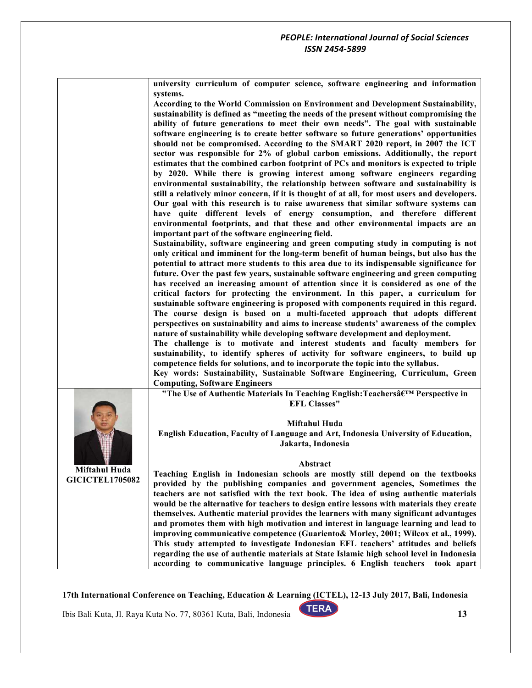|                        | university curriculum of computer science, software engineering and information                                                                                              |
|------------------------|------------------------------------------------------------------------------------------------------------------------------------------------------------------------------|
|                        | systems.                                                                                                                                                                     |
|                        | According to the World Commission on Environment and Development Sustainability,                                                                                             |
|                        | sustainability is defined as "meeting the needs of the present without compromising the<br>ability of future generations to meet their own needs". The goal with sustainable |
|                        | software engineering is to create better software so future generations' opportunities                                                                                       |
|                        | should not be compromised. According to the SMART 2020 report, in 2007 the ICT                                                                                               |
|                        | sector was responsible for 2% of global carbon emissions. Additionally, the report                                                                                           |
|                        | estimates that the combined carbon footprint of PCs and monitors is expected to triple                                                                                       |
|                        | by 2020. While there is growing interest among software engineers regarding                                                                                                  |
|                        | environmental sustainability, the relationship between software and sustainability is                                                                                        |
|                        | still a relatively minor concern, if it is thought of at all, for most users and developers.                                                                                 |
|                        | Our goal with this research is to raise awareness that similar software systems can                                                                                          |
|                        | have quite different levels of energy consumption, and therefore different<br>environmental footprints, and that these and other environmental impacts are an                |
|                        | important part of the software engineering field.                                                                                                                            |
|                        | Sustainability, software engineering and green computing study in computing is not                                                                                           |
|                        | only critical and imminent for the long-term benefit of human beings, but also has the                                                                                       |
|                        | potential to attract more students to this area due to its indispensable significance for                                                                                    |
|                        | future. Over the past few years, sustainable software engineering and green computing                                                                                        |
|                        | has received an increasing amount of attention since it is considered as one of the                                                                                          |
|                        | critical factors for protecting the environment. In this paper, a curriculum for                                                                                             |
|                        | sustainable software engineering is proposed with components required in this regard.<br>The course design is based on a multi-faceted approach that adopts different        |
|                        | perspectives on sustainability and aims to increase students' awareness of the complex                                                                                       |
|                        | nature of sustainability while developing software development and deployment.                                                                                               |
|                        | The challenge is to motivate and interest students and faculty members for                                                                                                   |
|                        | sustainability, to identify spheres of activity for software engineers, to build up                                                                                          |
|                        | competence fields for solutions, and to incorporate the topic into the syllabus.                                                                                             |
|                        | Key words: Sustainability, Sustainable Software Engineering, Curriculum, Green                                                                                               |
|                        | <b>Computing, Software Engineers</b>                                                                                                                                         |
|                        | "The Use of Authentic Materials In Teaching English: Teachers a ETM Perspective in<br><b>EFL Classes"</b>                                                                    |
|                        |                                                                                                                                                                              |
|                        | Miftahul Huda                                                                                                                                                                |
|                        | English Education, Faculty of Language and Art, Indonesia University of Education,                                                                                           |
|                        | Jakarta, Indonesia                                                                                                                                                           |
|                        |                                                                                                                                                                              |
| Miftahul Huda          | Abstract                                                                                                                                                                     |
| <b>GICICTEL1705082</b> | Teaching English in Indonesian schools are mostly still depend on the textbooks<br>provided by the publishing companies and government agencies, Sometimes the               |
|                        | teachers are not satisfied with the text book. The idea of using authentic materials                                                                                         |
|                        | would be the alternative for teachers to design entire lessons with materials they create                                                                                    |
|                        | themselves. Authentic material provides the learners with many significant advantages                                                                                        |
|                        | and promotes them with high motivation and interest in language learning and lead to                                                                                         |
|                        | improving communicative competence (Guariento& Morley, 2001; Wilcox et al., 1999).                                                                                           |
|                        | This study attempted to investigate Indonesian EFL teachers' attitudes and beliefs                                                                                           |
|                        | regarding the use of authentic materials at State Islamic high school level in Indonesia<br>according to communicative language principles. 6 English teachers<br>took apart |
|                        |                                                                                                                                                                              |

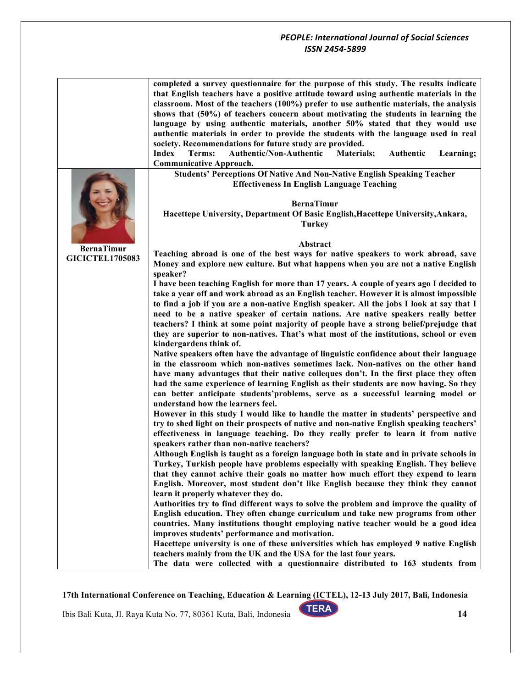|                                             | completed a survey questionnaire for the purpose of this study. The results indicate<br>that English teachers have a positive attitude toward using authentic materials in the<br>classroom. Most of the teachers (100%) prefer to use authentic materials, the analysis<br>shows that (50%) of teachers concern about motivating the students in learning the<br>language by using authentic materials, another 50% stated that they would use<br>authentic materials in order to provide the students with the language used in real<br>society. Recommendations for future study are provided.<br>Authentic/Non-Authentic Materials;<br>Index<br>Terms:<br>Authentic<br>Learning;<br><b>Communicative Approach.</b>                                                                                                                                                                                                                           |
|---------------------------------------------|--------------------------------------------------------------------------------------------------------------------------------------------------------------------------------------------------------------------------------------------------------------------------------------------------------------------------------------------------------------------------------------------------------------------------------------------------------------------------------------------------------------------------------------------------------------------------------------------------------------------------------------------------------------------------------------------------------------------------------------------------------------------------------------------------------------------------------------------------------------------------------------------------------------------------------------------------|
|                                             | <b>Students' Perceptions Of Native And Non-Native English Speaking Teacher</b>                                                                                                                                                                                                                                                                                                                                                                                                                                                                                                                                                                                                                                                                                                                                                                                                                                                                   |
|                                             | <b>Effectiveness In English Language Teaching</b><br><b>BernaTimur</b><br>Hacettepe University, Department Of Basic English, Hacettepe University, Ankara,<br><b>Turkey</b>                                                                                                                                                                                                                                                                                                                                                                                                                                                                                                                                                                                                                                                                                                                                                                      |
|                                             | Abstract                                                                                                                                                                                                                                                                                                                                                                                                                                                                                                                                                                                                                                                                                                                                                                                                                                                                                                                                         |
| <b>BernaTimur</b><br><b>GICICTEL1705083</b> | Teaching abroad is one of the best ways for native speakers to work abroad, save<br>Money and explore new culture. But what happens when you are not a native English<br>speaker?                                                                                                                                                                                                                                                                                                                                                                                                                                                                                                                                                                                                                                                                                                                                                                |
|                                             | I have been teaching English for more than 17 years. A couple of years ago I decided to<br>take a year off and work abroad as an English teacher. However it is almost impossible<br>to find a job if you are a non-native English speaker. All the jobs I look at say that I<br>need to be a native speaker of certain nations. Are native speakers really better<br>teachers? I think at some point majority of people have a strong belief/prejudge that<br>they are superior to non-natives. That's what most of the institutions, school or even<br>kindergardens think of.<br>Native speakers often have the advantage of linguistic confidence about their language<br>in the classroom which non-natives sometimes lack. Non-natives on the other hand<br>have many advantages that their native colleques don't. In the first place they often<br>had the same experience of learning English as their students are now having. So they |
|                                             | can better anticipate students'problems, serve as a successful learning model or<br>understand how the learners feel.<br>However in this study I would like to handle the matter in students' perspective and<br>try to shed light on their prospects of native and non-native English speaking teachers'<br>effectiveness in language teaching. Do they really prefer to learn it from native                                                                                                                                                                                                                                                                                                                                                                                                                                                                                                                                                   |
|                                             | speakers rather than non-native teachers?<br>Although English is taught as a foreign language both in state and in private schools in<br>Turkey, Turkish people have problems especially with speaking English. They believe<br>that they cannot achive their goals no matter how much effort they expend to learn<br>English. Moreover, most student don't like English because they think they cannot<br>learn it properly whatever they do.                                                                                                                                                                                                                                                                                                                                                                                                                                                                                                   |
|                                             | Authorities try to find different ways to solve the problem and improve the quality of<br>English education. They often change curriculum and take new programs from other<br>countries. Many institutions thought employing native teacher would be a good idea<br>improves students' performance and motivation.<br>Hacettepe university is one of these universities which has employed 9 native English<br>teachers mainly from the UK and the USA for the last four years.                                                                                                                                                                                                                                                                                                                                                                                                                                                                  |
|                                             | The data were collected with a questionnaire distributed to 163 students from                                                                                                                                                                                                                                                                                                                                                                                                                                                                                                                                                                                                                                                                                                                                                                                                                                                                    |

**17th International Conference on Teaching, Education & Learning (ICTEL), 12-13 July 2017, Bali, Indonesia**

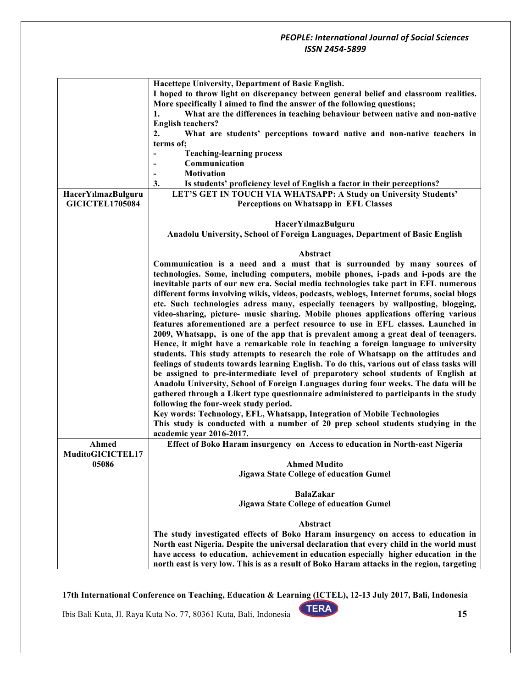|                        | Hacettepe University, Department of Basic English.                                         |
|------------------------|--------------------------------------------------------------------------------------------|
|                        | I hoped to throw light on discrepancy between general belief and classroom realities.      |
|                        | More specifically I aimed to find the answer of the following questions;                   |
|                        | What are the differences in teaching behaviour between native and non-native<br>1.         |
|                        | <b>English teachers?</b>                                                                   |
|                        | What are students' perceptions toward native and non-native teachers in<br>2.              |
|                        | terms of;                                                                                  |
|                        | <b>Teaching-learning process</b>                                                           |
|                        | Communication<br>-                                                                         |
|                        | <b>Motivation</b>                                                                          |
|                        |                                                                                            |
|                        | 3.<br>Is students' proficiency level of English a factor in their perceptions?             |
| HacerYılmazBulguru     | LET'S GET IN TOUCH VIA WHATSAPP: A Study on University Students'                           |
| <b>GICICTEL1705084</b> | Perceptions on Whatsapp in EFL Classes                                                     |
|                        |                                                                                            |
|                        | HacerYılmazBulguru                                                                         |
|                        | Anadolu University, School of Foreign Languages, Department of Basic English               |
|                        | Abstract                                                                                   |
|                        | Communication is a need and a must that is surrounded by many sources of                   |
|                        |                                                                                            |
|                        | technologies. Some, including computers, mobile phones, i-pads and i-pods are the          |
|                        | inevitable parts of our new era. Social media technologies take part in EFL numerous       |
|                        | different forms involving wikis, videos, podcasts, weblogs, Internet forums, social blogs  |
|                        | etc. Such technologies adress many, especially teenagers by wallposting, blogging,         |
|                        | video-sharing, picture- music sharing. Mobile phones applications offering various         |
|                        | features aforementioned are a perfect resource to use in EFL classes. Launched in          |
|                        | 2009, Whatsapp, is one of the app that is prevalent among a great deal of teenagers.       |
|                        | Hence, it might have a remarkable role in teaching a foreign language to university        |
|                        | students. This study attempts to research the role of Whatsapp on the attitudes and        |
|                        | feelings of students towards learning English. To do this, various out of class tasks will |
|                        | be assigned to pre-intermediate level of preparotory school students of English at         |
|                        | Anadolu University, School of Foreign Languages during four weeks. The data will be        |
|                        | gathered through a Likert type questionnaire administered to participants in the study     |
|                        | following the four-week study period.                                                      |
|                        |                                                                                            |
|                        | Key words: Technology, EFL, Whatsapp, Integration of Mobile Technologies                   |
|                        | This study is conducted with a number of 20 prep school students studying in the           |
|                        | academic year 2016-2017.                                                                   |
| Ahmed                  | Effect of Boko Haram insurgency on Access to education in North-east Nigeria               |
| MuditoGICICTEL17       |                                                                                            |
| 05086                  | <b>Ahmed Mudito</b>                                                                        |
|                        | <b>Jigawa State College of education Gumel</b>                                             |
|                        |                                                                                            |
|                        | <b>BalaZakar</b>                                                                           |
|                        | <b>Jigawa State College of education Gumel</b>                                             |
|                        | Abstract                                                                                   |
|                        | The study investigated effects of Boko Haram insurgency on access to education in          |
|                        | North east Nigeria. Despite the universal declaration that every child in the world must   |
|                        | have access to education, achievement in education especially higher education in the      |
|                        |                                                                                            |
|                        | north east is very low. This is as a result of Boko Haram attacks in the region, targeting |

**17th International Conference on Teaching, Education & Learning (ICTEL), 12-13 July 2017, Bali, Indonesia**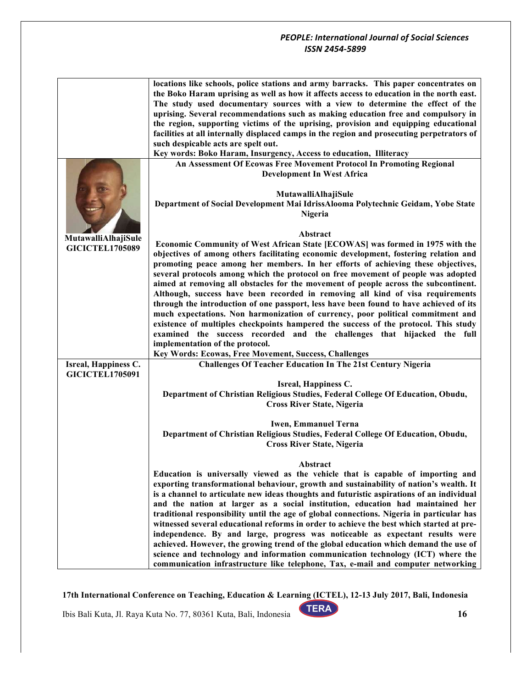|                                                | locations like schools, police stations and army barracks. This paper concentrates on<br>the Boko Haram uprising as well as how it affects access to education in the north east.<br>The study used documentary sources with a view to determine the effect of the<br>uprising. Several recommendations such as making education free and compulsory in<br>the region, supporting victims of the uprising, provision and equipping educational<br>facilities at all internally displaced camps in the region and prosecuting perpetrators of<br>such despicable acts are spelt out.<br>Key words: Boko Haram, Insurgency, Access to education, Illiteracy |
|------------------------------------------------|-----------------------------------------------------------------------------------------------------------------------------------------------------------------------------------------------------------------------------------------------------------------------------------------------------------------------------------------------------------------------------------------------------------------------------------------------------------------------------------------------------------------------------------------------------------------------------------------------------------------------------------------------------------|
|                                                | An Assessment Of Ecowas Free Movement Protocol In Promoting Regional                                                                                                                                                                                                                                                                                                                                                                                                                                                                                                                                                                                      |
|                                                | <b>Development In West Africa</b><br>MutawalliAlhajiSule<br>Department of Social Development Mai IdrissAlooma Polytechnic Geidam, Yobe State<br>Nigeria                                                                                                                                                                                                                                                                                                                                                                                                                                                                                                   |
|                                                | Abstract                                                                                                                                                                                                                                                                                                                                                                                                                                                                                                                                                                                                                                                  |
| MutawalliAlhajiSule<br><b>GICICTEL1705089</b>  | Economic Community of West African State [ECOWAS] was formed in 1975 with the<br>objectives of among others facilitating economic development, fostering relation and<br>promoting peace among her members. In her efforts of achieving these objectives,                                                                                                                                                                                                                                                                                                                                                                                                 |
|                                                | several protocols among which the protocol on free movement of people was adopted<br>aimed at removing all obstacles for the movement of people across the subcontinent.<br>Although, success have been recorded in removing all kind of visa requirements                                                                                                                                                                                                                                                                                                                                                                                                |
|                                                | through the introduction of one passport, less have been found to have achieved of its<br>much expectations. Non harmonization of currency, poor political commitment and<br>existence of multiples checkpoints hampered the success of the protocol. This study<br>examined the success recorded and the challenges that hijacked the full<br>implementation of the protocol.                                                                                                                                                                                                                                                                            |
|                                                | Key Words: Ecowas, Free Movement, Success, Challenges                                                                                                                                                                                                                                                                                                                                                                                                                                                                                                                                                                                                     |
| Isreal, Happiness C.<br><b>GICICTEL1705091</b> | <b>Challenges Of Teacher Education In The 21st Century Nigeria</b>                                                                                                                                                                                                                                                                                                                                                                                                                                                                                                                                                                                        |
|                                                | Isreal, Happiness C.                                                                                                                                                                                                                                                                                                                                                                                                                                                                                                                                                                                                                                      |
|                                                | Department of Christian Religious Studies, Federal College Of Education, Obudu,<br><b>Cross River State, Nigeria</b>                                                                                                                                                                                                                                                                                                                                                                                                                                                                                                                                      |
|                                                | <b>Iwen, Emmanuel Terna</b><br>Department of Christian Religious Studies, Federal College Of Education, Obudu,                                                                                                                                                                                                                                                                                                                                                                                                                                                                                                                                            |
|                                                | <b>Cross River State, Nigeria</b>                                                                                                                                                                                                                                                                                                                                                                                                                                                                                                                                                                                                                         |
|                                                | Abstract                                                                                                                                                                                                                                                                                                                                                                                                                                                                                                                                                                                                                                                  |
|                                                | Education is universally viewed as the vehicle that is capable of importing and                                                                                                                                                                                                                                                                                                                                                                                                                                                                                                                                                                           |
|                                                | exporting transformational behaviour, growth and sustainability of nation's wealth. It                                                                                                                                                                                                                                                                                                                                                                                                                                                                                                                                                                    |
|                                                | is a channel to articulate new ideas thoughts and futuristic aspirations of an individual<br>and the nation at larger as a social institution, education had maintained her                                                                                                                                                                                                                                                                                                                                                                                                                                                                               |
|                                                | traditional responsibility until the age of global connections. Nigeria in particular has                                                                                                                                                                                                                                                                                                                                                                                                                                                                                                                                                                 |
|                                                | witnessed several educational reforms in order to achieve the best which started at pre-                                                                                                                                                                                                                                                                                                                                                                                                                                                                                                                                                                  |
|                                                | independence. By and large, progress was noticeable as expectant results were<br>achieved. However, the growing trend of the global education which demand the use of<br>science and technology and information communication technology (ICT) where the                                                                                                                                                                                                                                                                                                                                                                                                  |
|                                                | communication infrastructure like telephone, Tax, e-mail and computer networking                                                                                                                                                                                                                                                                                                                                                                                                                                                                                                                                                                          |

**17th International Conference on Teaching, Education & Learning (ICTEL), 12-13 July 2017, Bali, Indonesia**

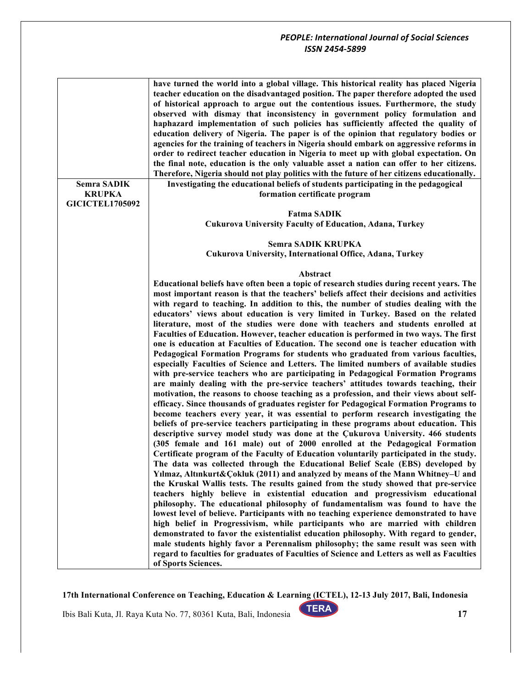|                        | have turned the world into a global village. This historical reality has placed Nigeria<br>teacher education on the disadvantaged position. The paper therefore adopted the used<br>of historical approach to argue out the contentious issues. Furthermore, the study<br>observed with dismay that inconsistency in government policy formulation and<br>haphazard implementation of such policies has sufficiently affected the quality of<br>education delivery of Nigeria. The paper is of the opinion that regulatory bodies or<br>agencies for the training of teachers in Nigeria should embark on aggressive reforms in<br>order to redirect teacher education in Nigeria to meet up with global expectation. On<br>the final note, education is the only valuable asset a nation can offer to her citizens.<br>Therefore, Nigeria should not play politics with the future of her citizens educationally. |
|------------------------|--------------------------------------------------------------------------------------------------------------------------------------------------------------------------------------------------------------------------------------------------------------------------------------------------------------------------------------------------------------------------------------------------------------------------------------------------------------------------------------------------------------------------------------------------------------------------------------------------------------------------------------------------------------------------------------------------------------------------------------------------------------------------------------------------------------------------------------------------------------------------------------------------------------------|
| <b>Semra SADIK</b>     | Investigating the educational beliefs of students participating in the pedagogical                                                                                                                                                                                                                                                                                                                                                                                                                                                                                                                                                                                                                                                                                                                                                                                                                                 |
| <b>KRUPKA</b>          | formation certificate program                                                                                                                                                                                                                                                                                                                                                                                                                                                                                                                                                                                                                                                                                                                                                                                                                                                                                      |
|                        |                                                                                                                                                                                                                                                                                                                                                                                                                                                                                                                                                                                                                                                                                                                                                                                                                                                                                                                    |
| <b>GICICTEL1705092</b> |                                                                                                                                                                                                                                                                                                                                                                                                                                                                                                                                                                                                                                                                                                                                                                                                                                                                                                                    |
|                        | <b>Fatma SADIK</b>                                                                                                                                                                                                                                                                                                                                                                                                                                                                                                                                                                                                                                                                                                                                                                                                                                                                                                 |
|                        | <b>Cukurova University Faculty of Education, Adana, Turkey</b>                                                                                                                                                                                                                                                                                                                                                                                                                                                                                                                                                                                                                                                                                                                                                                                                                                                     |
|                        |                                                                                                                                                                                                                                                                                                                                                                                                                                                                                                                                                                                                                                                                                                                                                                                                                                                                                                                    |
|                        | Semra SADIK KRUPKA                                                                                                                                                                                                                                                                                                                                                                                                                                                                                                                                                                                                                                                                                                                                                                                                                                                                                                 |
|                        | Cukurova University, International Office, Adana, Turkey                                                                                                                                                                                                                                                                                                                                                                                                                                                                                                                                                                                                                                                                                                                                                                                                                                                           |
|                        |                                                                                                                                                                                                                                                                                                                                                                                                                                                                                                                                                                                                                                                                                                                                                                                                                                                                                                                    |
|                        | Abstract                                                                                                                                                                                                                                                                                                                                                                                                                                                                                                                                                                                                                                                                                                                                                                                                                                                                                                           |
|                        | Educational beliefs have often been a topic of research studies during recent years. The                                                                                                                                                                                                                                                                                                                                                                                                                                                                                                                                                                                                                                                                                                                                                                                                                           |
|                        |                                                                                                                                                                                                                                                                                                                                                                                                                                                                                                                                                                                                                                                                                                                                                                                                                                                                                                                    |
|                        | most important reason is that the teachers' beliefs affect their decisions and activities                                                                                                                                                                                                                                                                                                                                                                                                                                                                                                                                                                                                                                                                                                                                                                                                                          |
|                        | with regard to teaching. In addition to this, the number of studies dealing with the                                                                                                                                                                                                                                                                                                                                                                                                                                                                                                                                                                                                                                                                                                                                                                                                                               |
|                        | educators' views about education is very limited in Turkey. Based on the related                                                                                                                                                                                                                                                                                                                                                                                                                                                                                                                                                                                                                                                                                                                                                                                                                                   |
|                        | literature, most of the studies were done with teachers and students enrolled at                                                                                                                                                                                                                                                                                                                                                                                                                                                                                                                                                                                                                                                                                                                                                                                                                                   |
|                        | Faculties of Education. However, teacher education is performed in two ways. The first                                                                                                                                                                                                                                                                                                                                                                                                                                                                                                                                                                                                                                                                                                                                                                                                                             |
|                        | one is education at Faculties of Education. The second one is teacher education with                                                                                                                                                                                                                                                                                                                                                                                                                                                                                                                                                                                                                                                                                                                                                                                                                               |
|                        |                                                                                                                                                                                                                                                                                                                                                                                                                                                                                                                                                                                                                                                                                                                                                                                                                                                                                                                    |
|                        | Pedagogical Formation Programs for students who graduated from various faculties,                                                                                                                                                                                                                                                                                                                                                                                                                                                                                                                                                                                                                                                                                                                                                                                                                                  |
|                        | especially Faculties of Science and Letters. The limited numbers of available studies                                                                                                                                                                                                                                                                                                                                                                                                                                                                                                                                                                                                                                                                                                                                                                                                                              |
|                        | with pre-service teachers who are participating in Pedagogical Formation Programs                                                                                                                                                                                                                                                                                                                                                                                                                                                                                                                                                                                                                                                                                                                                                                                                                                  |
|                        | are mainly dealing with the pre-service teachers' attitudes towards teaching, their                                                                                                                                                                                                                                                                                                                                                                                                                                                                                                                                                                                                                                                                                                                                                                                                                                |
|                        | motivation, the reasons to choose teaching as a profession, and their views about self-                                                                                                                                                                                                                                                                                                                                                                                                                                                                                                                                                                                                                                                                                                                                                                                                                            |
|                        | efficacy. Since thousands of graduates register for Pedagogical Formation Programs to                                                                                                                                                                                                                                                                                                                                                                                                                                                                                                                                                                                                                                                                                                                                                                                                                              |
|                        |                                                                                                                                                                                                                                                                                                                                                                                                                                                                                                                                                                                                                                                                                                                                                                                                                                                                                                                    |
|                        | become teachers every year, it was essential to perform research investigating the                                                                                                                                                                                                                                                                                                                                                                                                                                                                                                                                                                                                                                                                                                                                                                                                                                 |
|                        | beliefs of pre-service teachers participating in these programs about education. This                                                                                                                                                                                                                                                                                                                                                                                                                                                                                                                                                                                                                                                                                                                                                                                                                              |
|                        | descriptive survey model study was done at the Cukurova University. 466 students                                                                                                                                                                                                                                                                                                                                                                                                                                                                                                                                                                                                                                                                                                                                                                                                                                   |
|                        | (305 female and 161 male) out of 2000 enrolled at the Pedagogical Formation                                                                                                                                                                                                                                                                                                                                                                                                                                                                                                                                                                                                                                                                                                                                                                                                                                        |
|                        | Certificate program of the Faculty of Education voluntarily participated in the study.                                                                                                                                                                                                                                                                                                                                                                                                                                                                                                                                                                                                                                                                                                                                                                                                                             |
|                        | The data was collected through the Educational Belief Scale (EBS) developed by                                                                                                                                                                                                                                                                                                                                                                                                                                                                                                                                                                                                                                                                                                                                                                                                                                     |
|                        | Yılmaz, Altınkurt&Çokluk (2011) and analyzed by means of the Mann Whitney–U and                                                                                                                                                                                                                                                                                                                                                                                                                                                                                                                                                                                                                                                                                                                                                                                                                                    |
|                        |                                                                                                                                                                                                                                                                                                                                                                                                                                                                                                                                                                                                                                                                                                                                                                                                                                                                                                                    |
|                        | the Kruskal Wallis tests. The results gained from the study showed that pre-service                                                                                                                                                                                                                                                                                                                                                                                                                                                                                                                                                                                                                                                                                                                                                                                                                                |
|                        | teachers highly believe in existential education and progressivism educational                                                                                                                                                                                                                                                                                                                                                                                                                                                                                                                                                                                                                                                                                                                                                                                                                                     |
|                        | philosophy. The educational philosophy of fundamentalism was found to have the                                                                                                                                                                                                                                                                                                                                                                                                                                                                                                                                                                                                                                                                                                                                                                                                                                     |
|                        | lowest level of believe. Participants with no teaching experience demonstrated to have                                                                                                                                                                                                                                                                                                                                                                                                                                                                                                                                                                                                                                                                                                                                                                                                                             |
|                        | high belief in Progressivism, while participants who are married with children                                                                                                                                                                                                                                                                                                                                                                                                                                                                                                                                                                                                                                                                                                                                                                                                                                     |
|                        | demonstrated to favor the existentialist education philosophy. With regard to gender,                                                                                                                                                                                                                                                                                                                                                                                                                                                                                                                                                                                                                                                                                                                                                                                                                              |
|                        |                                                                                                                                                                                                                                                                                                                                                                                                                                                                                                                                                                                                                                                                                                                                                                                                                                                                                                                    |
|                        | male students highly favor a Perennalism philosophy; the same result was seen with                                                                                                                                                                                                                                                                                                                                                                                                                                                                                                                                                                                                                                                                                                                                                                                                                                 |
|                        | regard to faculties for graduates of Faculties of Science and Letters as well as Faculties                                                                                                                                                                                                                                                                                                                                                                                                                                                                                                                                                                                                                                                                                                                                                                                                                         |
|                        | of Sports Sciences.                                                                                                                                                                                                                                                                                                                                                                                                                                                                                                                                                                                                                                                                                                                                                                                                                                                                                                |
|                        |                                                                                                                                                                                                                                                                                                                                                                                                                                                                                                                                                                                                                                                                                                                                                                                                                                                                                                                    |

**17th International Conference on Teaching, Education & Learning (ICTEL), 12-13 July 2017, Bali, Indonesia**

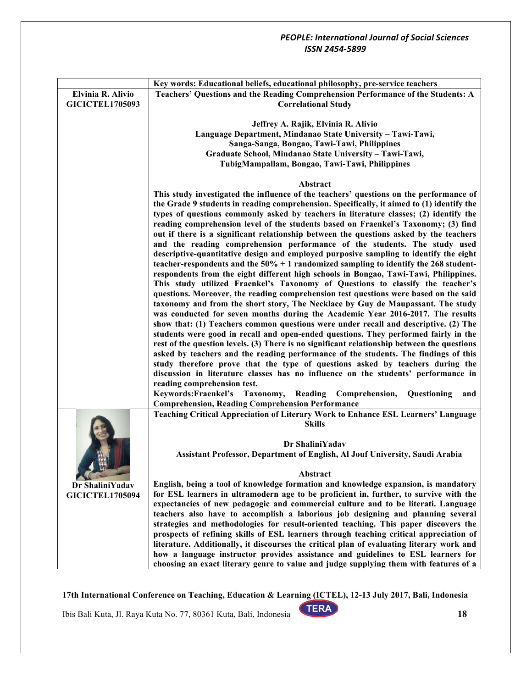|                          | Key words: Educational beliefs, educational philosophy, pre-service teachers                                                                 |
|--------------------------|----------------------------------------------------------------------------------------------------------------------------------------------|
| <b>Elvinia R. Alivio</b> | Teachers' Questions and the Reading Comprehension Performance of the Students: A                                                             |
| <b>GICICTEL1705093</b>   | <b>Correlational Study</b>                                                                                                                   |
|                          |                                                                                                                                              |
|                          |                                                                                                                                              |
|                          | Jeffrey A. Rajik, Elvinia R. Alivio                                                                                                          |
|                          | Language Department, Mindanao State University - Tawi-Tawi,                                                                                  |
|                          | Sanga-Sanga, Bongao, Tawi-Tawi, Philippines                                                                                                  |
|                          | Graduate School, Mindanao State University - Tawi-Tawi,                                                                                      |
|                          | TubigMampallam, Bongao, Tawi-Tawi, Philippines                                                                                               |
|                          | Abstract                                                                                                                                     |
|                          |                                                                                                                                              |
|                          | This study investigated the influence of the teachers' questions on the performance of                                                       |
|                          | the Grade 9 students in reading comprehension. Specifically, it aimed to (1) identify the                                                    |
|                          | types of questions commonly asked by teachers in literature classes; (2) identify the                                                        |
|                          | reading comprehension level of the students based on Fraenkel's Taxonomy; (3) find                                                           |
|                          | out if there is a significant relationship between the questions asked by the teachers                                                       |
|                          | and the reading comprehension performance of the students. The study used                                                                    |
|                          | descriptive-quantitative design and employed purposive sampling to identify the eight                                                        |
|                          | teacher-respondents and the $50\% + 1$ randomized sampling to identify the 268 student-                                                      |
|                          | respondents from the eight different high schools in Bongao, Tawi-Tawi, Philippines.                                                         |
|                          | This study utilized Fraenkel's Taxonomy of Questions to classify the teacher's                                                               |
|                          | questions. Moreover, the reading comprehension test questions were based on the said                                                         |
|                          | taxonomy and from the short story, The Necklace by Guy de Maupassant. The study                                                              |
|                          | was conducted for seven months during the Academic Year 2016-2017. The results                                                               |
|                          | show that: (1) Teachers common questions were under recall and descriptive. (2) The                                                          |
|                          | students were good in recall and open-ended questions. They performed fairly in the                                                          |
|                          | rest of the question levels. (3) There is no significant relationship between the questions                                                  |
|                          | asked by teachers and the reading performance of the students. The findings of this                                                          |
|                          | study therefore prove that the type of questions asked by teachers during the                                                                |
|                          | discussion in literature classes has no influence on the students' performance in                                                            |
|                          | reading comprehension test.                                                                                                                  |
|                          | Keywords: Fraenkel's Taxonomy,<br>Reading Comprehension,<br>Questioning                                                                      |
|                          | and                                                                                                                                          |
|                          | <b>Comprehension, Reading Comprehension Performance</b><br>Teaching Critical Appreciation of Literary Work to Enhance ESL Learners' Language |
|                          |                                                                                                                                              |
|                          | <b>Skills</b>                                                                                                                                |
|                          |                                                                                                                                              |
|                          | Dr ShaliniYadav                                                                                                                              |
|                          | Assistant Professor, Department of English, Al Jouf University, Saudi Arabia                                                                 |
|                          |                                                                                                                                              |
|                          | Abstract                                                                                                                                     |
| Dr ShaliniYadav          | English, being a tool of knowledge formation and knowledge expansion, is mandatory                                                           |
| <b>GICICTEL1705094</b>   | for ESL learners in ultramodern age to be proficient in, further, to survive with the                                                        |
|                          | expectancies of new pedagogic and commercial culture and to be literati. Language                                                            |
|                          | teachers also have to accomplish a laborious job designing and planning several                                                              |
|                          | strategies and methodologies for result-oriented teaching. This paper discovers the                                                          |
|                          | prospects of refining skills of ESL learners through teaching critical appreciation of                                                       |
|                          | literature. Additionally, it discourses the critical plan of evaluating literary work and                                                    |
|                          | how a language instructor provides assistance and guidelines to ESL learners for                                                             |
|                          | choosing an exact literary genre to value and judge supplying them with features of a                                                        |

**17th International Conference on Teaching, Education & Learning (ICTEL), 12-13 July 2017, Bali, Indonesia**

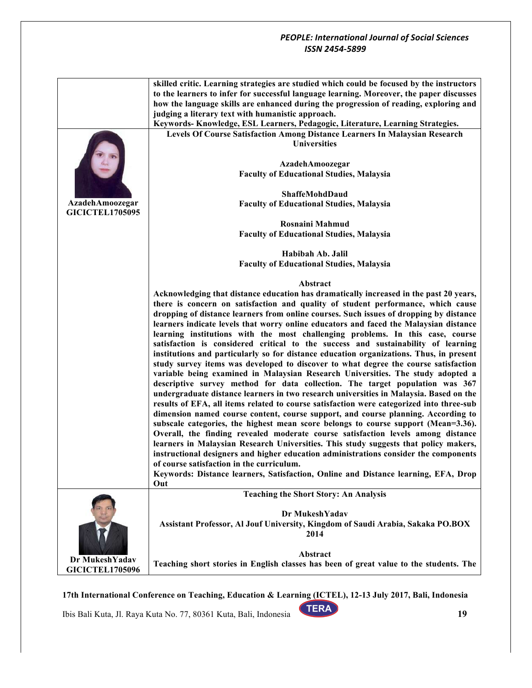|                        | skilled critic. Learning strategies are studied which could be focused by the instructors                                                                                       |
|------------------------|---------------------------------------------------------------------------------------------------------------------------------------------------------------------------------|
|                        | to the learners to infer for successful language learning. Moreover, the paper discusses                                                                                        |
|                        | how the language skills are enhanced during the progression of reading, exploring and                                                                                           |
|                        | judging a literary text with humanistic approach.                                                                                                                               |
|                        | Keywords-Knowledge, ESL Learners, Pedagogic, Literature, Learning Strategies.<br>Levels Of Course Satisfaction Among Distance Learners In Malaysian Research                    |
|                        | <b>Universities</b>                                                                                                                                                             |
|                        |                                                                                                                                                                                 |
|                        | AzadehAmoozegar                                                                                                                                                                 |
|                        | <b>Faculty of Educational Studies, Malaysia</b>                                                                                                                                 |
|                        |                                                                                                                                                                                 |
|                        | ShaffeMohdDaud                                                                                                                                                                  |
| AzadehAmoozegar        | <b>Faculty of Educational Studies, Malaysia</b>                                                                                                                                 |
| <b>GICICTEL1705095</b> |                                                                                                                                                                                 |
|                        | <b>Rosnaini Mahmud</b>                                                                                                                                                          |
|                        | <b>Faculty of Educational Studies, Malaysia</b>                                                                                                                                 |
|                        | Habibah Ab. Jalil                                                                                                                                                               |
|                        | <b>Faculty of Educational Studies, Malaysia</b>                                                                                                                                 |
|                        |                                                                                                                                                                                 |
|                        | Abstract                                                                                                                                                                        |
|                        | Acknowledging that distance education has dramatically increased in the past 20 years,                                                                                          |
|                        | there is concern on satisfaction and quality of student performance, which cause                                                                                                |
|                        | dropping of distance learners from online courses. Such issues of dropping by distance<br>learners indicate levels that worry online educators and faced the Malaysian distance |
|                        | learning institutions with the most challenging problems. In this case, course                                                                                                  |
|                        | satisfaction is considered critical to the success and sustainability of learning                                                                                               |
|                        | institutions and particularly so for distance education organizations. Thus, in present                                                                                         |
|                        | study survey items was developed to discover to what degree the course satisfaction                                                                                             |
|                        | variable being examined in Malaysian Research Universities. The study adopted a                                                                                                 |
|                        | descriptive survey method for data collection. The target population was 367                                                                                                    |
|                        | undergraduate distance learners in two research universities in Malaysia. Based on the                                                                                          |
|                        | results of EFA, all items related to course satisfaction were categorized into three-sub                                                                                        |
|                        | dimension named course content, course support, and course planning. According to                                                                                               |
|                        | subscale categories, the highest mean score belongs to course support (Mean=3.36).                                                                                              |
|                        | Overall, the finding revealed moderate course satisfaction levels among distance<br>learners in Malaysian Research Universities. This study suggests that policy makers,        |
|                        | instructional designers and higher education administrations consider the components                                                                                            |
|                        | of course satisfaction in the curriculum.                                                                                                                                       |
|                        | Keywords: Distance learners, Satisfaction, Online and Distance learning, EFA, Drop                                                                                              |
|                        | Out                                                                                                                                                                             |
|                        | <b>Teaching the Short Story: An Analysis</b>                                                                                                                                    |
|                        |                                                                                                                                                                                 |
|                        | Dr MukeshYadav                                                                                                                                                                  |
|                        | Assistant Professor, Al Jouf University, Kingdom of Saudi Arabia, Sakaka PO.BOX<br>2014                                                                                         |
|                        |                                                                                                                                                                                 |
|                        | Abstract                                                                                                                                                                        |
| Dr MukeshYadav         | Teaching short stories in English classes has been of great value to the students. The                                                                                          |
| <b>GICICTEL1705096</b> |                                                                                                                                                                                 |

**17th International Conference on Teaching, Education & Learning (ICTEL), 12-13 July 2017, Bali, Indonesia**

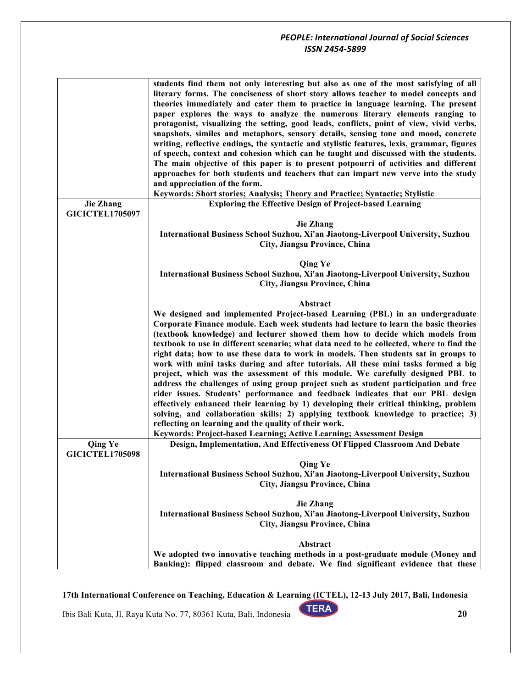|                        | students find them not only interesting but also as one of the most satisfying of all<br>literary forms. The conciseness of short story allows teacher to model concepts and<br>theories immediately and cater them to practice in language learning. The present<br>paper explores the ways to analyze the numerous literary elements ranging to<br>protagonist, visualizing the setting, good leads, conflicts, point of view, vivid verbs,<br>snapshots, similes and metaphors, sensory details, sensing tone and mood, concrete<br>writing, reflective endings, the syntactic and stylistic features, lexis, grammar, figures<br>of speech, context and cohesion which can be taught and discussed with the students.<br>The main objective of this paper is to present potpourri of activities and different<br>approaches for both students and teachers that can impart new verve into the study<br>and appreciation of the form.<br>Keywords: Short stories; Analysis; Theory and Practice; Syntactic; Stylistic |
|------------------------|--------------------------------------------------------------------------------------------------------------------------------------------------------------------------------------------------------------------------------------------------------------------------------------------------------------------------------------------------------------------------------------------------------------------------------------------------------------------------------------------------------------------------------------------------------------------------------------------------------------------------------------------------------------------------------------------------------------------------------------------------------------------------------------------------------------------------------------------------------------------------------------------------------------------------------------------------------------------------------------------------------------------------|
| <b>Jie Zhang</b>       | <b>Exploring the Effective Design of Project-based Learning</b>                                                                                                                                                                                                                                                                                                                                                                                                                                                                                                                                                                                                                                                                                                                                                                                                                                                                                                                                                          |
| <b>GICICTEL1705097</b> |                                                                                                                                                                                                                                                                                                                                                                                                                                                                                                                                                                                                                                                                                                                                                                                                                                                                                                                                                                                                                          |
|                        |                                                                                                                                                                                                                                                                                                                                                                                                                                                                                                                                                                                                                                                                                                                                                                                                                                                                                                                                                                                                                          |
|                        | <b>Jie Zhang</b>                                                                                                                                                                                                                                                                                                                                                                                                                                                                                                                                                                                                                                                                                                                                                                                                                                                                                                                                                                                                         |
|                        | International Business School Suzhou, Xi'an Jiaotong-Liverpool University, Suzhou                                                                                                                                                                                                                                                                                                                                                                                                                                                                                                                                                                                                                                                                                                                                                                                                                                                                                                                                        |
|                        | City, Jiangsu Province, China                                                                                                                                                                                                                                                                                                                                                                                                                                                                                                                                                                                                                                                                                                                                                                                                                                                                                                                                                                                            |
|                        |                                                                                                                                                                                                                                                                                                                                                                                                                                                                                                                                                                                                                                                                                                                                                                                                                                                                                                                                                                                                                          |
|                        | <b>Qing Ye</b>                                                                                                                                                                                                                                                                                                                                                                                                                                                                                                                                                                                                                                                                                                                                                                                                                                                                                                                                                                                                           |
|                        | International Business School Suzhou, Xi'an Jiaotong-Liverpool University, Suzhou                                                                                                                                                                                                                                                                                                                                                                                                                                                                                                                                                                                                                                                                                                                                                                                                                                                                                                                                        |
|                        | City, Jiangsu Province, China                                                                                                                                                                                                                                                                                                                                                                                                                                                                                                                                                                                                                                                                                                                                                                                                                                                                                                                                                                                            |
|                        |                                                                                                                                                                                                                                                                                                                                                                                                                                                                                                                                                                                                                                                                                                                                                                                                                                                                                                                                                                                                                          |
|                        | Abstract                                                                                                                                                                                                                                                                                                                                                                                                                                                                                                                                                                                                                                                                                                                                                                                                                                                                                                                                                                                                                 |
|                        |                                                                                                                                                                                                                                                                                                                                                                                                                                                                                                                                                                                                                                                                                                                                                                                                                                                                                                                                                                                                                          |
|                        | We designed and implemented Project-based Learning (PBL) in an undergraduate                                                                                                                                                                                                                                                                                                                                                                                                                                                                                                                                                                                                                                                                                                                                                                                                                                                                                                                                             |
|                        | Corporate Finance module. Each week students had lecture to learn the basic theories                                                                                                                                                                                                                                                                                                                                                                                                                                                                                                                                                                                                                                                                                                                                                                                                                                                                                                                                     |
|                        | (textbook knowledge) and lecturer showed them how to decide which models from                                                                                                                                                                                                                                                                                                                                                                                                                                                                                                                                                                                                                                                                                                                                                                                                                                                                                                                                            |
|                        | textbook to use in different scenario; what data need to be collected, where to find the                                                                                                                                                                                                                                                                                                                                                                                                                                                                                                                                                                                                                                                                                                                                                                                                                                                                                                                                 |
|                        | right data; how to use these data to work in models. Then students sat in groups to                                                                                                                                                                                                                                                                                                                                                                                                                                                                                                                                                                                                                                                                                                                                                                                                                                                                                                                                      |
|                        | work with mini tasks during and after tutorials. All these mini tasks formed a big                                                                                                                                                                                                                                                                                                                                                                                                                                                                                                                                                                                                                                                                                                                                                                                                                                                                                                                                       |
|                        | project, which was the assessment of this module. We carefully designed PBL to                                                                                                                                                                                                                                                                                                                                                                                                                                                                                                                                                                                                                                                                                                                                                                                                                                                                                                                                           |
|                        | address the challenges of using group project such as student participation and free                                                                                                                                                                                                                                                                                                                                                                                                                                                                                                                                                                                                                                                                                                                                                                                                                                                                                                                                     |
|                        | rider issues. Students' performance and feedback indicates that our PBL design                                                                                                                                                                                                                                                                                                                                                                                                                                                                                                                                                                                                                                                                                                                                                                                                                                                                                                                                           |
|                        |                                                                                                                                                                                                                                                                                                                                                                                                                                                                                                                                                                                                                                                                                                                                                                                                                                                                                                                                                                                                                          |
|                        | effectively enhanced their learning by 1) developing their critical thinking, problem                                                                                                                                                                                                                                                                                                                                                                                                                                                                                                                                                                                                                                                                                                                                                                                                                                                                                                                                    |
|                        | solving, and collaboration skills; 2) applying textbook knowledge to practice; 3)                                                                                                                                                                                                                                                                                                                                                                                                                                                                                                                                                                                                                                                                                                                                                                                                                                                                                                                                        |
|                        | reflecting on learning and the quality of their work.                                                                                                                                                                                                                                                                                                                                                                                                                                                                                                                                                                                                                                                                                                                                                                                                                                                                                                                                                                    |
|                        | Keywords: Project-based Learning; Active Learning; Assessment Design                                                                                                                                                                                                                                                                                                                                                                                                                                                                                                                                                                                                                                                                                                                                                                                                                                                                                                                                                     |
| <b>Qing Ye</b>         | Design, Implementation, And Effectiveness Of Flipped Classroom And Debate                                                                                                                                                                                                                                                                                                                                                                                                                                                                                                                                                                                                                                                                                                                                                                                                                                                                                                                                                |
| <b>GICICTEL1705098</b> |                                                                                                                                                                                                                                                                                                                                                                                                                                                                                                                                                                                                                                                                                                                                                                                                                                                                                                                                                                                                                          |
|                        | <b>Qing Ye</b>                                                                                                                                                                                                                                                                                                                                                                                                                                                                                                                                                                                                                                                                                                                                                                                                                                                                                                                                                                                                           |
|                        | International Business School Suzhou, Xi'an Jiaotong-Liverpool University, Suzhou                                                                                                                                                                                                                                                                                                                                                                                                                                                                                                                                                                                                                                                                                                                                                                                                                                                                                                                                        |
|                        |                                                                                                                                                                                                                                                                                                                                                                                                                                                                                                                                                                                                                                                                                                                                                                                                                                                                                                                                                                                                                          |
|                        | City, Jiangsu Province, China                                                                                                                                                                                                                                                                                                                                                                                                                                                                                                                                                                                                                                                                                                                                                                                                                                                                                                                                                                                            |
|                        | <b>Jie Zhang</b>                                                                                                                                                                                                                                                                                                                                                                                                                                                                                                                                                                                                                                                                                                                                                                                                                                                                                                                                                                                                         |
|                        |                                                                                                                                                                                                                                                                                                                                                                                                                                                                                                                                                                                                                                                                                                                                                                                                                                                                                                                                                                                                                          |
|                        | International Business School Suzhou, Xi'an Jiaotong-Liverpool University, Suzhou                                                                                                                                                                                                                                                                                                                                                                                                                                                                                                                                                                                                                                                                                                                                                                                                                                                                                                                                        |
|                        | City, Jiangsu Province, China                                                                                                                                                                                                                                                                                                                                                                                                                                                                                                                                                                                                                                                                                                                                                                                                                                                                                                                                                                                            |
|                        |                                                                                                                                                                                                                                                                                                                                                                                                                                                                                                                                                                                                                                                                                                                                                                                                                                                                                                                                                                                                                          |
|                        | Abstract                                                                                                                                                                                                                                                                                                                                                                                                                                                                                                                                                                                                                                                                                                                                                                                                                                                                                                                                                                                                                 |
|                        | We adopted two innovative teaching methods in a post-graduate module (Money and                                                                                                                                                                                                                                                                                                                                                                                                                                                                                                                                                                                                                                                                                                                                                                                                                                                                                                                                          |
|                        | Banking): flipped classroom and debate. We find significant evidence that these                                                                                                                                                                                                                                                                                                                                                                                                                                                                                                                                                                                                                                                                                                                                                                                                                                                                                                                                          |

**17th International Conference on Teaching, Education & Learning (ICTEL), 12-13 July 2017, Bali, Indonesia**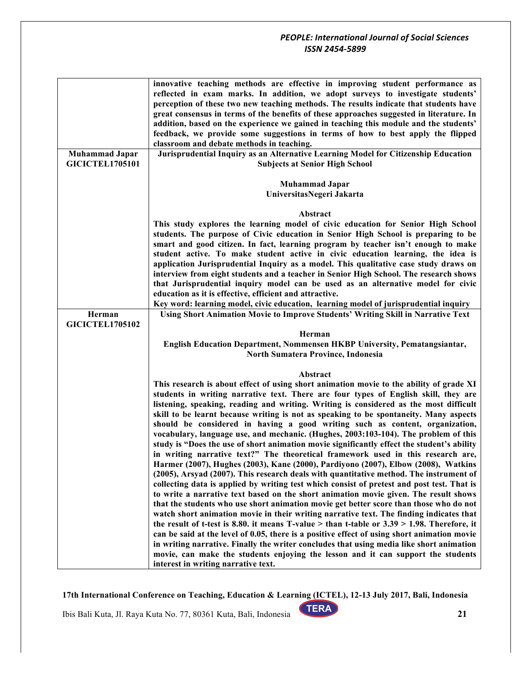| <b>Muhammad Japar</b>  | innovative teaching methods are effective in improving student performance as<br>reflected in exam marks. In addition, we adopt surveys to investigate students'<br>perception of these two new teaching methods. The results indicate that students have<br>great consensus in terms of the benefits of these approaches suggested in literature. In<br>addition, based on the experience we gained in teaching this module and the students'<br>feedback, we provide some suggestions in terms of how to best apply the flipped<br>classroom and debate methods in teaching.<br>Jurisprudential Inquiry as an Alternative Learning Model for Citizenship Education                                                                                                                                                                                                                                                                                                                                                                                                                                                                                                                                                                                                                                                                                                                                                                                                                                                                                                                                                                                                                                                        |
|------------------------|-----------------------------------------------------------------------------------------------------------------------------------------------------------------------------------------------------------------------------------------------------------------------------------------------------------------------------------------------------------------------------------------------------------------------------------------------------------------------------------------------------------------------------------------------------------------------------------------------------------------------------------------------------------------------------------------------------------------------------------------------------------------------------------------------------------------------------------------------------------------------------------------------------------------------------------------------------------------------------------------------------------------------------------------------------------------------------------------------------------------------------------------------------------------------------------------------------------------------------------------------------------------------------------------------------------------------------------------------------------------------------------------------------------------------------------------------------------------------------------------------------------------------------------------------------------------------------------------------------------------------------------------------------------------------------------------------------------------------------|
| <b>GICICTEL1705101</b> | <b>Subjects at Senior High School</b>                                                                                                                                                                                                                                                                                                                                                                                                                                                                                                                                                                                                                                                                                                                                                                                                                                                                                                                                                                                                                                                                                                                                                                                                                                                                                                                                                                                                                                                                                                                                                                                                                                                                                       |
|                        | <b>Muhammad Japar</b><br>UniversitasNegeri Jakarta                                                                                                                                                                                                                                                                                                                                                                                                                                                                                                                                                                                                                                                                                                                                                                                                                                                                                                                                                                                                                                                                                                                                                                                                                                                                                                                                                                                                                                                                                                                                                                                                                                                                          |
| Herman                 | Abstract<br>This study explores the learning model of civic education for Senior High School<br>students. The purpose of Civic education in Senior High School is preparing to be<br>smart and good citizen. In fact, learning program by teacher isn't enough to make<br>student active. To make student active in civic education learning, the idea is<br>application Jurisprudential Inquiry as a model. This qualitative case study draws on<br>interview from eight students and a teacher in Senior High School. The research shows<br>that Jurisprudential inquiry model can be used as an alternative model for civic<br>education as it is effective, efficient and attractive.<br>Key word: learning model, civic education, learning model of jurisprudential inquiry<br><b>Using Short Animation Movie to Improve Students' Writing Skill in Narrative Text</b>                                                                                                                                                                                                                                                                                                                                                                                                                                                                                                                                                                                                                                                                                                                                                                                                                                                |
| <b>GICICTEL1705102</b> | Herman<br>English Education Department, Nommensen HKBP University, Pematangsiantar,<br>North Sumatera Province, Indonesia                                                                                                                                                                                                                                                                                                                                                                                                                                                                                                                                                                                                                                                                                                                                                                                                                                                                                                                                                                                                                                                                                                                                                                                                                                                                                                                                                                                                                                                                                                                                                                                                   |
|                        | Abstract<br>This research is about effect of using short animation movie to the ability of grade XI<br>students in writing narrative text. There are four types of English skill, they are<br>listening, speaking, reading and writing. Writing is considered as the most difficult<br>skill to be learnt because writing is not as speaking to be spontaneity. Many aspects<br>should be considered in having a good writing such as content, organization,<br>vocabulary, language use, and mechanic. (Hughes, 2003:103-104). The problem of this<br>study is "Does the use of short animation movie significantly effect the student's ability<br>in writing narrative text?" The theoretical framework used in this research are,<br>Harmer (2007), Hughes (2003), Kane (2000), Pardiyono (2007), Elbow (2008), Watkins<br>(2005), Arsyad (2007). This research deals with quantitative method. The instrument of<br>collecting data is applied by writing test which consist of pretest and post test. That is<br>to write a narrative text based on the short animation movie given. The result shows<br>that the students who use short animation movie get better score than those who do not<br>watch short animation movie in their writing narrative text. The finding indicates that<br>the result of t-test is 8.80. it means $T$ -value > than t-table or $3.39 > 1.98$ . Therefore, it<br>can be said at the level of 0.05, there is a positive effect of using short animation movie<br>in writing narrative. Finally the writer concludes that using media like short animation<br>movie, can make the students enjoying the lesson and it can support the students<br>interest in writing narrative text. |

**17th International Conference on Teaching, Education & Learning (ICTEL), 12-13 July 2017, Bali, Indonesia**

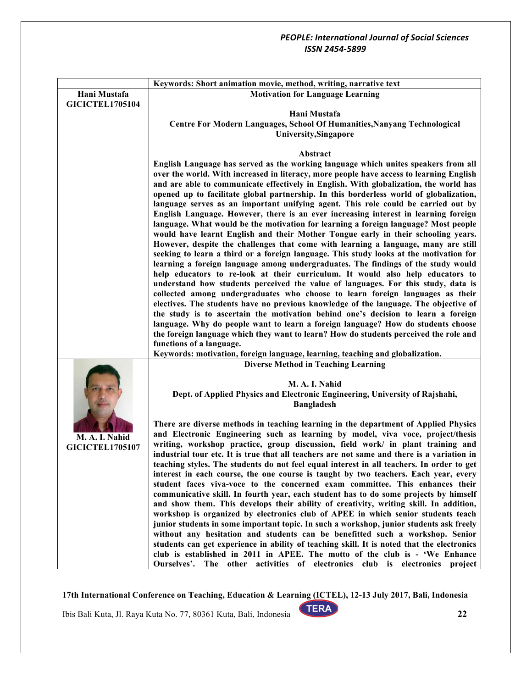|                        | Keywords: Short animation movie, method, writing, narrative text                           |
|------------------------|--------------------------------------------------------------------------------------------|
| Hani Mustafa           | <b>Motivation for Language Learning</b>                                                    |
| <b>GICICTEL1705104</b> |                                                                                            |
|                        | Hani Mustafa                                                                               |
|                        | Centre For Modern Languages, School Of Humanities, Nanyang Technological                   |
|                        | <b>University, Singapore</b>                                                               |
|                        |                                                                                            |
|                        | Abstract                                                                                   |
|                        | English Language has served as the working language which unites speakers from all         |
|                        | over the world. With increased in literacy, more people have access to learning English    |
|                        |                                                                                            |
|                        | and are able to communicate effectively in English. With globalization, the world has      |
|                        | opened up to facilitate global partnership. In this borderless world of globalization,     |
|                        | language serves as an important unifying agent. This role could be carried out by          |
|                        | English Language. However, there is an ever increasing interest in learning foreign        |
|                        | language. What would be the motivation for learning a foreign language? Most people        |
|                        | would have learnt English and their Mother Tongue early in their schooling years.          |
|                        | However, despite the challenges that come with learning a language, many are still         |
|                        | seeking to learn a third or a foreign language. This study looks at the motivation for     |
|                        | learning a foreign language among undergraduates. The findings of the study would          |
|                        | help educators to re-look at their curriculum. It would also help educators to             |
|                        | understand how students perceived the value of languages. For this study, data is          |
|                        | collected among undergraduates who choose to learn foreign languages as their              |
|                        | electives. The students have no previous knowledge of the language. The objective of       |
|                        |                                                                                            |
|                        | the study is to ascertain the motivation behind one's decision to learn a foreign          |
|                        | language. Why do people want to learn a foreign language? How do students choose           |
|                        | the foreign language which they want to learn? How do students perceived the role and      |
|                        | functions of a language.                                                                   |
|                        | Keywords: motivation, foreign language, learning, teaching and globalization.              |
|                        | <b>Diverse Method in Teaching Learning</b>                                                 |
|                        |                                                                                            |
|                        | M. A. I. Nahid                                                                             |
|                        | Dept. of Applied Physics and Electronic Engineering, University of Rajshahi,               |
|                        | <b>Bangladesh</b>                                                                          |
|                        |                                                                                            |
|                        | There are diverse methods in teaching learning in the department of Applied Physics        |
|                        | and Electronic Engineering such as learning by model, viva voce, project/thesis            |
| M. A. I. Nahid         | writing, workshop practice, group discussion, field work/ in plant training and            |
| <b>GICICTEL1705107</b> | industrial tour etc. It is true that all teachers are not same and there is a variation in |
|                        |                                                                                            |
|                        | teaching styles. The students do not feel equal interest in all teachers. In order to get  |
|                        | interest in each course, the one course is taught by two teachers. Each year, every        |
|                        | student faces viva-voce to the concerned exam committee. This enhances their               |
|                        | communicative skill. In fourth year, each student has to do some projects by himself       |
|                        | and show them. This develops their ability of creativity, writing skill. In addition,      |
|                        | workshop is organized by electronics club of APEE in which senior students teach           |
|                        | junior students in some important topic. In such a workshop, junior students ask freely    |
|                        | without any hesitation and students can be benefitted such a workshop. Senior              |
|                        | students can get experience in ability of teaching skill. It is noted that the electronics |
|                        | club is established in 2011 in APEE. The motto of the club is - 'We Enhance                |
|                        | Ourselves'. The other activities of electronics club is electronics project                |

**17th International Conference on Teaching, Education & Learning (ICTEL), 12-13 July 2017, Bali, Indonesia**

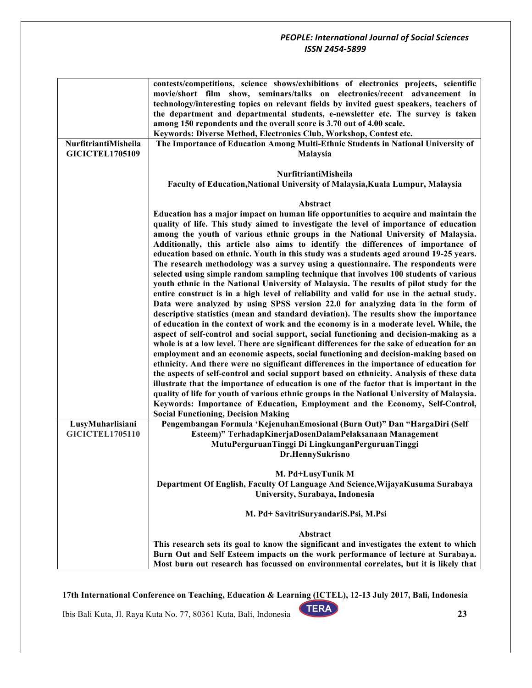|                        | contests/competitions, science shows/exhibitions of electronics projects, scientific        |
|------------------------|---------------------------------------------------------------------------------------------|
|                        | movie/short film show, seminars/talks on electronics/recent advancement in                  |
|                        | technology/interesting topics on relevant fields by invited guest speakers, teachers of     |
|                        | the department and departmental students, e-newsletter etc. The survey is taken             |
|                        | among 150 repondents and the overall score is 3.70 out of 4.00 scale.                       |
|                        | Keywords: Diverse Method, Electronics Club, Workshop, Contest etc.                          |
| NurfitriantiMisheila   | The Importance of Education Among Multi-Ethnic Students in National University of           |
| <b>GICICTEL1705109</b> | Malaysia                                                                                    |
|                        |                                                                                             |
|                        | NurfitriantiMisheila                                                                        |
|                        |                                                                                             |
|                        | Faculty of Education, National University of Malaysia, Kuala Lumpur, Malaysia               |
|                        | Abstract                                                                                    |
|                        |                                                                                             |
|                        | Education has a major impact on human life opportunities to acquire and maintain the        |
|                        | quality of life. This study aimed to investigate the level of importance of education       |
|                        | among the youth of various ethnic groups in the National University of Malaysia.            |
|                        | Additionally, this article also aims to identify the differences of importance of           |
|                        | education based on ethnic. Youth in this study was a students aged around 19-25 years.      |
|                        | The research methodology was a survey using a questionnaire. The respondents were           |
|                        | selected using simple random sampling technique that involves 100 students of various       |
|                        | youth ethnic in the National University of Malaysia. The results of pilot study for the     |
|                        |                                                                                             |
|                        | entire construct is in a high level of reliability and valid for use in the actual study.   |
|                        | Data were analyzed by using SPSS version 22.0 for analyzing data in the form of             |
|                        | descriptive statistics (mean and standard deviation). The results show the importance       |
|                        | of education in the context of work and the economy is in a moderate level. While, the      |
|                        | aspect of self-control and social support, social functioning and decision-making as a      |
|                        | whole is at a low level. There are significant differences for the sake of education for an |
|                        | employment and an economic aspects, social functioning and decision-making based on         |
|                        | ethnicity. And there were no significant differences in the importance of education for     |
|                        | the aspects of self-control and social support based on ethnicity. Analysis of these data   |
|                        |                                                                                             |
|                        | illustrate that the importance of education is one of the factor that is important in the   |
|                        | quality of life for youth of various ethnic groups in the National University of Malaysia.  |
|                        | Keywords: Importance of Education, Employment and the Economy, Self-Control,                |
|                        | <b>Social Functioning, Decision Making</b>                                                  |
| LusyMuharlisiani       | Pengembangan Formula 'KejenuhanEmosional (Burn Out)" Dan "HargaDiri (Self                   |
| <b>GICICTEL1705110</b> | Esteem)" TerhadapKinerjaDosenDalamPelaksanaan Management                                    |
|                        | MutuPerguruanTinggi Di LingkunganPerguruanTinggi                                            |
|                        | Dr.HennySukrisno                                                                            |
|                        |                                                                                             |
|                        | M. Pd+LusyTunik M                                                                           |
|                        | Department Of English, Faculty Of Language And Science, WijayaKusuma Surabaya               |
|                        |                                                                                             |
|                        | University, Surabaya, Indonesia                                                             |
|                        |                                                                                             |
|                        | M. Pd+ SavitriSuryandariS.Psi, M.Psi                                                        |
|                        | Abstract                                                                                    |
|                        | This research sets its goal to know the significant and investigates the extent to which    |
|                        |                                                                                             |
|                        | Burn Out and Self Esteem impacts on the work performance of lecture at Surabaya.            |
|                        | Most burn out research has focussed on environmental correlates, but it is likely that      |

**17th International Conference on Teaching, Education & Learning (ICTEL), 12-13 July 2017, Bali, Indonesia**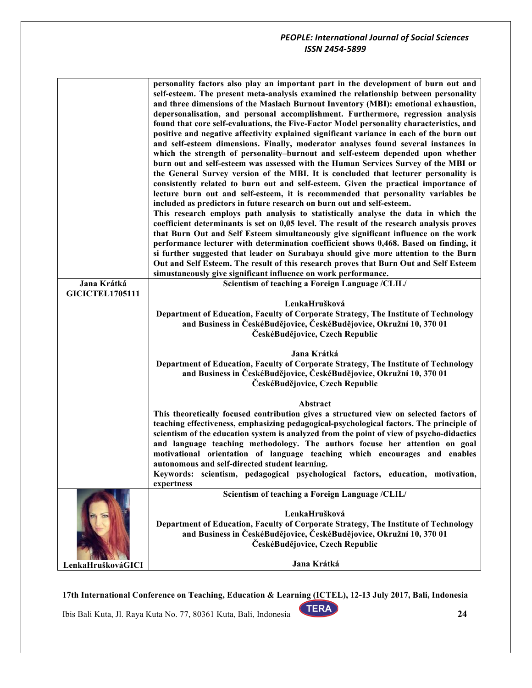|                        | personality factors also play an important part in the development of burn out and<br>self-esteem. The present meta-analysis examined the relationship between personality<br>and three dimensions of the Maslach Burnout Inventory (MBI): emotional exhaustion,<br>depersonalisation, and personal accomplishment. Furthermore, regression analysis<br>found that core self-evaluations, the Five-Factor Model personality characteristics, and<br>positive and negative affectivity explained significant variance in each of the burn out<br>and self-esteem dimensions. Finally, moderator analyses found several instances in<br>which the strength of personality-burnout and self-esteem depended upon whether<br>burn out and self-esteem was assessed with the Human Services Survey of the MBI or<br>the General Survey version of the MBI. It is concluded that lecturer personality is<br>consistently related to burn out and self-esteem. Given the practical importance of |
|------------------------|-------------------------------------------------------------------------------------------------------------------------------------------------------------------------------------------------------------------------------------------------------------------------------------------------------------------------------------------------------------------------------------------------------------------------------------------------------------------------------------------------------------------------------------------------------------------------------------------------------------------------------------------------------------------------------------------------------------------------------------------------------------------------------------------------------------------------------------------------------------------------------------------------------------------------------------------------------------------------------------------|
|                        | lecture burn out and self-esteem, it is recommended that personality variables be<br>included as predictors in future research on burn out and self-esteem.                                                                                                                                                                                                                                                                                                                                                                                                                                                                                                                                                                                                                                                                                                                                                                                                                               |
|                        | This research employs path analysis to statistically analyse the data in which the<br>coefficient determinants is set on 0,05 level. The result of the research analysis proves<br>that Burn Out and Self Esteem simultaneously give significant influence on the work<br>performance lecturer with determination coefficient shows 0,468. Based on finding, it<br>si further suggested that leader on Surabaya should give more attention to the Burn                                                                                                                                                                                                                                                                                                                                                                                                                                                                                                                                    |
|                        | Out and Self Esteem. The result of this research proves that Burn Out and Self Esteem<br>simustaneously give significant influence on work performance.                                                                                                                                                                                                                                                                                                                                                                                                                                                                                                                                                                                                                                                                                                                                                                                                                                   |
| Jana Krátká            | Scientism of teaching a Foreign Language /CLIL/                                                                                                                                                                                                                                                                                                                                                                                                                                                                                                                                                                                                                                                                                                                                                                                                                                                                                                                                           |
| <b>GICICTEL1705111</b> | LenkaHrušková                                                                                                                                                                                                                                                                                                                                                                                                                                                                                                                                                                                                                                                                                                                                                                                                                                                                                                                                                                             |
|                        | Department of Education, Faculty of Corporate Strategy, The Institute of Technology<br>and Business in ČeskéBudějovice, ČeskéBudějovice, Okružní 10, 370 01<br>ČeskéBudějovice, Czech Republic                                                                                                                                                                                                                                                                                                                                                                                                                                                                                                                                                                                                                                                                                                                                                                                            |
|                        | Jana Krátká                                                                                                                                                                                                                                                                                                                                                                                                                                                                                                                                                                                                                                                                                                                                                                                                                                                                                                                                                                               |
|                        | Department of Education, Faculty of Corporate Strategy, The Institute of Technology<br>and Business in ČeskéBudějovice, ČeskéBudějovice, Okružní 10, 370 01<br>ČeskéBudějovice, Czech Republic                                                                                                                                                                                                                                                                                                                                                                                                                                                                                                                                                                                                                                                                                                                                                                                            |
|                        | Abstract                                                                                                                                                                                                                                                                                                                                                                                                                                                                                                                                                                                                                                                                                                                                                                                                                                                                                                                                                                                  |
|                        | This theoretically focused contribution gives a structured view on selected factors of<br>teaching effectiveness, emphasizing pedagogical-psychological factors. The principle of<br>scientism of the education system is analyzed from the point of view of psycho-didactics<br>and language teaching methodology. The authors focuse her attention on goal<br>motivational orientation of language teaching which encourages and enables<br>autonomous and self-directed student learning.<br>Keywords: scientism, pedagogical psychological factors, education, motivation,                                                                                                                                                                                                                                                                                                                                                                                                            |
|                        | expertness                                                                                                                                                                                                                                                                                                                                                                                                                                                                                                                                                                                                                                                                                                                                                                                                                                                                                                                                                                                |
| LenkaHruškováGICI      | Scientism of teaching a Foreign Language /CLIL/<br>LenkaHrušková<br>Department of Education, Faculty of Corporate Strategy, The Institute of Technology<br>and Business in ČeskéBudějovice, ČeskéBudějovice, Okružní 10, 370 01<br>ČeskéBudějovice, Czech Republic<br>Jana Krátká                                                                                                                                                                                                                                                                                                                                                                                                                                                                                                                                                                                                                                                                                                         |
|                        |                                                                                                                                                                                                                                                                                                                                                                                                                                                                                                                                                                                                                                                                                                                                                                                                                                                                                                                                                                                           |

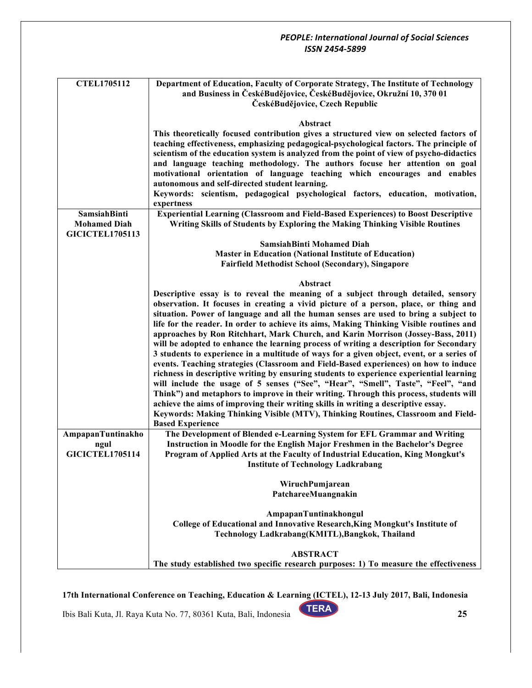|                                                                      | <b>PEOPLE: International Journal of Social Sciences</b><br>ISSN 2454-5899                                                                                                                                                                                                                                                                                                                                                                                                                                                                                                                                                               |
|----------------------------------------------------------------------|-----------------------------------------------------------------------------------------------------------------------------------------------------------------------------------------------------------------------------------------------------------------------------------------------------------------------------------------------------------------------------------------------------------------------------------------------------------------------------------------------------------------------------------------------------------------------------------------------------------------------------------------|
|                                                                      |                                                                                                                                                                                                                                                                                                                                                                                                                                                                                                                                                                                                                                         |
| <b>CTEL1705112</b>                                                   | Department of Education, Faculty of Corporate Strategy, The Institute of Technology<br>and Business in ČeskéBudějovice, ČeskéBudějovice, Okružní 10, 370 01<br>ČeskéBudějovice, Czech Republic                                                                                                                                                                                                                                                                                                                                                                                                                                          |
|                                                                      | Abstract                                                                                                                                                                                                                                                                                                                                                                                                                                                                                                                                                                                                                                |
|                                                                      | This theoretically focused contribution gives a structured view on selected factors of<br>teaching effectiveness, emphasizing pedagogical-psychological factors. The principle of<br>scientism of the education system is analyzed from the point of view of psycho-didactics<br>and language teaching methodology. The authors focuse her attention on goal<br>motivational orientation of language teaching which encourages and enables                                                                                                                                                                                              |
|                                                                      | autonomous and self-directed student learning.                                                                                                                                                                                                                                                                                                                                                                                                                                                                                                                                                                                          |
|                                                                      | Keywords: scientism, pedagogical psychological factors, education, motivation,<br>expertness                                                                                                                                                                                                                                                                                                                                                                                                                                                                                                                                            |
| <b>SamsiahBinti</b><br><b>Mohamed Diah</b><br><b>GICICTEL1705113</b> | <b>Experiential Learning (Classroom and Field-Based Experiences) to Boost Descriptive</b><br>Writing Skills of Students by Exploring the Making Thinking Visible Routines                                                                                                                                                                                                                                                                                                                                                                                                                                                               |
|                                                                      | <b>SamsiahBinti Mohamed Diah</b>                                                                                                                                                                                                                                                                                                                                                                                                                                                                                                                                                                                                        |
|                                                                      | <b>Master in Education (National Institute of Education)</b>                                                                                                                                                                                                                                                                                                                                                                                                                                                                                                                                                                            |
|                                                                      | <b>Fairfield Methodist School (Secondary), Singapore</b>                                                                                                                                                                                                                                                                                                                                                                                                                                                                                                                                                                                |
|                                                                      | Abstract                                                                                                                                                                                                                                                                                                                                                                                                                                                                                                                                                                                                                                |
|                                                                      | Descriptive essay is to reveal the meaning of a subject through detailed, sensory<br>observation. It focuses in creating a vivid picture of a person, place, or thing and<br>situation. Power of language and all the human senses are used to bring a subject to<br>life for the reader. In order to achieve its aims, Making Thinking Visible routines and<br>approaches by Ron Ritchhart, Mark Church, and Karin Morrison (Jossey-Bass, 2011)<br>will be adopted to enhance the learning process of writing a description for Secondary<br>3 students to experience in a multitude of ways for a given object, event, or a series of |
|                                                                      | events. Teaching strategies (Classroom and Field-Based experiences) on how to induce<br>richness in descriptive writing by ensuring students to experience experiential learning<br>will include the usage of 5 senses ("See", "Hear", "Smell", Taste", "Feel", "and<br>Think") and metaphors to improve in their writing. Through this process, students will<br>achieve the aims of improving their writing skills in writing a descriptive essay.<br>Keywords: Making Thinking Visible (MTV), Thinking Routines, Classroom and Field-<br><b>Based Experience</b>                                                                     |
| AmpapanTuntinakho                                                    | The Development of Blended e-Learning System for EFL Grammar and Writing                                                                                                                                                                                                                                                                                                                                                                                                                                                                                                                                                                |
| ngul<br><b>GICICTEL1705114</b>                                       | Instruction in Moodle for the English Major Freshmen in the Bachelor's Degree<br>Program of Applied Arts at the Faculty of Industrial Education, King Mongkut's                                                                                                                                                                                                                                                                                                                                                                                                                                                                         |
|                                                                      | <b>Institute of Technology Ladkrabang</b>                                                                                                                                                                                                                                                                                                                                                                                                                                                                                                                                                                                               |
|                                                                      |                                                                                                                                                                                                                                                                                                                                                                                                                                                                                                                                                                                                                                         |
|                                                                      | WiruchPumjarean<br>PatchareeMuangnakin                                                                                                                                                                                                                                                                                                                                                                                                                                                                                                                                                                                                  |
|                                                                      | AmpapanTuntinakhongul<br>College of Educational and Innovative Research, King Mongkut's Institute of<br>Technology Ladkrabang(KMITL), Bangkok, Thailand                                                                                                                                                                                                                                                                                                                                                                                                                                                                                 |
|                                                                      | <b>ABSTRACT</b><br>The study established two specific research purposes: 1) To measure the effectiveness                                                                                                                                                                                                                                                                                                                                                                                                                                                                                                                                |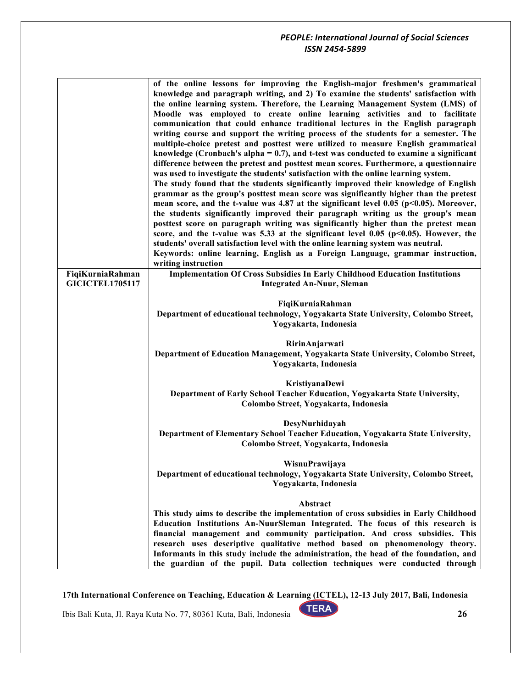|                                            | of the online lessons for improving the English-major freshmen's grammatical<br>knowledge and paragraph writing, and 2) To examine the students' satisfaction with<br>the online learning system. Therefore, the Learning Management System (LMS) of<br>Moodle was employed to create online learning activities and to facilitate<br>communication that could enhance traditional lectures in the English paragraph<br>writing course and support the writing process of the students for a semester. The<br>multiple-choice pretest and posttest were utilized to measure English grammatical<br>knowledge (Cronbach's alpha = $0.7$ ), and t-test was conducted to examine a significant<br>difference between the pretest and posttest mean scores. Furthermore, a questionnaire<br>was used to investigate the students' satisfaction with the online learning system.<br>The study found that the students significantly improved their knowledge of English<br>grammar as the group's posttest mean score was significantly higher than the pretest<br>mean score, and the t-value was 4.87 at the significant level 0.05 (p<0.05). Moreover,<br>the students significantly improved their paragraph writing as the group's mean<br>posttest score on paragraph writing was significantly higher than the pretest mean<br>score, and the t-value was 5.33 at the significant level 0.05 ( $p<0.05$ ). However, the<br>students' overall satisfaction level with the online learning system was neutral.<br>Keywords: online learning, English as a Foreign Language, grammar instruction,<br>writing instruction |
|--------------------------------------------|-------------------------------------------------------------------------------------------------------------------------------------------------------------------------------------------------------------------------------------------------------------------------------------------------------------------------------------------------------------------------------------------------------------------------------------------------------------------------------------------------------------------------------------------------------------------------------------------------------------------------------------------------------------------------------------------------------------------------------------------------------------------------------------------------------------------------------------------------------------------------------------------------------------------------------------------------------------------------------------------------------------------------------------------------------------------------------------------------------------------------------------------------------------------------------------------------------------------------------------------------------------------------------------------------------------------------------------------------------------------------------------------------------------------------------------------------------------------------------------------------------------------------------------------------------------------------------------------------------------------------|
| FiqiKurniaRahman<br><b>GICICTEL1705117</b> | <b>Implementation Of Cross Subsidies In Early Childhood Education Institutions</b><br><b>Integrated An-Nuur, Sleman</b>                                                                                                                                                                                                                                                                                                                                                                                                                                                                                                                                                                                                                                                                                                                                                                                                                                                                                                                                                                                                                                                                                                                                                                                                                                                                                                                                                                                                                                                                                                 |
|                                            | FiqiKurniaRahman<br>Department of educational technology, Yogyakarta State University, Colombo Street,<br>Yogyakarta, Indonesia<br>RirinAnjarwati<br>Department of Education Management, Yogyakarta State University, Colombo Street,<br>Yogyakarta, Indonesia                                                                                                                                                                                                                                                                                                                                                                                                                                                                                                                                                                                                                                                                                                                                                                                                                                                                                                                                                                                                                                                                                                                                                                                                                                                                                                                                                          |
|                                            | KristiyanaDewi<br>Department of Early School Teacher Education, Yogyakarta State University,<br>Colombo Street, Yogyakarta, Indonesia                                                                                                                                                                                                                                                                                                                                                                                                                                                                                                                                                                                                                                                                                                                                                                                                                                                                                                                                                                                                                                                                                                                                                                                                                                                                                                                                                                                                                                                                                   |
|                                            | DesyNurhidayah<br>Department of Elementary School Teacher Education, Yogyakarta State University,<br>Colombo Street, Yogyakarta, Indonesia                                                                                                                                                                                                                                                                                                                                                                                                                                                                                                                                                                                                                                                                                                                                                                                                                                                                                                                                                                                                                                                                                                                                                                                                                                                                                                                                                                                                                                                                              |
|                                            | WisnuPrawijaya<br>Department of educational technology, Yogyakarta State University, Colombo Street,<br>Yogyakarta, Indonesia                                                                                                                                                                                                                                                                                                                                                                                                                                                                                                                                                                                                                                                                                                                                                                                                                                                                                                                                                                                                                                                                                                                                                                                                                                                                                                                                                                                                                                                                                           |
|                                            | Abstract<br>This study aims to describe the implementation of cross subsidies in Early Childhood<br>Education Institutions An-NuurSleman Integrated. The focus of this research is<br>financial management and community participation. And cross subsidies. This<br>research uses descriptive qualitative method based on phenomenology theory.<br>Informants in this study include the administration, the head of the foundation, and<br>the guardian of the pupil. Data collection techniques were conducted through                                                                                                                                                                                                                                                                                                                                                                                                                                                                                                                                                                                                                                                                                                                                                                                                                                                                                                                                                                                                                                                                                                |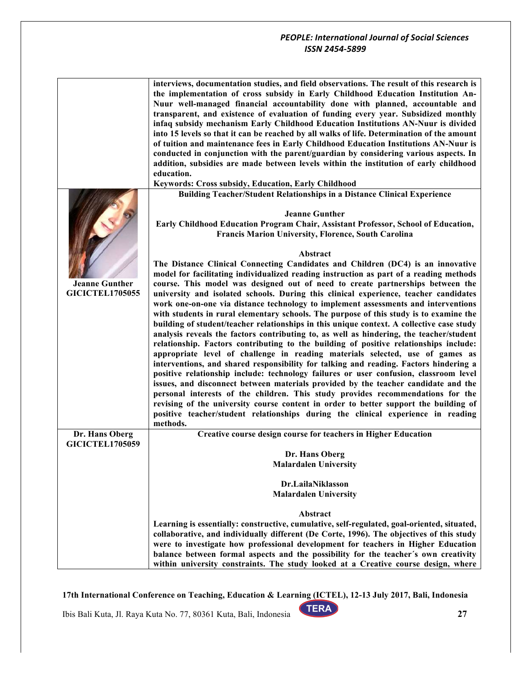|                                                 | interviews, documentation studies, and field observations. The result of this research is<br>the implementation of cross subsidy in Early Childhood Education Institution An-<br>Nuur well-managed financial accountability done with planned, accountable and<br>transparent, and existence of evaluation of funding every year. Subsidized monthly<br>infaq subsidy mechanism Early Childhood Education Institutions AN-Nuur is divided<br>into 15 levels so that it can be reached by all walks of life. Determination of the amount<br>of tuition and maintenance fees in Early Childhood Education Institutions AN-Nuur is<br>conducted in conjunction with the parent/guardian by considering various aspects. In<br>addition, subsidies are made between levels within the institution of early childhood<br>education.<br>Keywords: Cross subsidy, Education, Early Childhood                                                                                                                                                                                                                                                                                                                                                                                                                                                                                 |
|-------------------------------------------------|-----------------------------------------------------------------------------------------------------------------------------------------------------------------------------------------------------------------------------------------------------------------------------------------------------------------------------------------------------------------------------------------------------------------------------------------------------------------------------------------------------------------------------------------------------------------------------------------------------------------------------------------------------------------------------------------------------------------------------------------------------------------------------------------------------------------------------------------------------------------------------------------------------------------------------------------------------------------------------------------------------------------------------------------------------------------------------------------------------------------------------------------------------------------------------------------------------------------------------------------------------------------------------------------------------------------------------------------------------------------------|
|                                                 |                                                                                                                                                                                                                                                                                                                                                                                                                                                                                                                                                                                                                                                                                                                                                                                                                                                                                                                                                                                                                                                                                                                                                                                                                                                                                                                                                                       |
|                                                 | Building Teacher/Student Relationships in a Distance Clinical Experience<br><b>Jeanne Gunther</b><br>Early Childhood Education Program Chair, Assistant Professor, School of Education,<br>Francis Marion University, Florence, South Carolina                                                                                                                                                                                                                                                                                                                                                                                                                                                                                                                                                                                                                                                                                                                                                                                                                                                                                                                                                                                                                                                                                                                        |
|                                                 | Abstract                                                                                                                                                                                                                                                                                                                                                                                                                                                                                                                                                                                                                                                                                                                                                                                                                                                                                                                                                                                                                                                                                                                                                                                                                                                                                                                                                              |
|                                                 | The Distance Clinical Connecting Candidates and Children (DC4) is an innovative                                                                                                                                                                                                                                                                                                                                                                                                                                                                                                                                                                                                                                                                                                                                                                                                                                                                                                                                                                                                                                                                                                                                                                                                                                                                                       |
| <b>Jeanne Gunther</b><br><b>GICICTEL1705055</b> | model for facilitating individualized reading instruction as part of a reading methods<br>course. This model was designed out of need to create partnerships between the<br>university and isolated schools. During this clinical experience, teacher candidates<br>work one-on-one via distance technology to implement assessments and interventions<br>with students in rural elementary schools. The purpose of this study is to examine the<br>building of student/teacher relationships in this unique context. A collective case study<br>analysis reveals the factors contributing to, as well as hindering, the teacher/student<br>relationship. Factors contributing to the building of positive relationships include:<br>appropriate level of challenge in reading materials selected, use of games as<br>interventions, and shared responsibility for talking and reading. Factors hindering a<br>positive relationship include: technology failures or user confusion, classroom level<br>issues, and disconnect between materials provided by the teacher candidate and the<br>personal interests of the children. This study provides recommendations for the<br>revising of the university course content in order to better support the building of<br>positive teacher/student relationships during the clinical experience in reading<br>methods. |
| Dr. Hans Oberg                                  | Creative course design course for teachers in Higher Education                                                                                                                                                                                                                                                                                                                                                                                                                                                                                                                                                                                                                                                                                                                                                                                                                                                                                                                                                                                                                                                                                                                                                                                                                                                                                                        |
| <b>GICICTEL1705059</b>                          |                                                                                                                                                                                                                                                                                                                                                                                                                                                                                                                                                                                                                                                                                                                                                                                                                                                                                                                                                                                                                                                                                                                                                                                                                                                                                                                                                                       |
|                                                 | Dr. Hans Oberg                                                                                                                                                                                                                                                                                                                                                                                                                                                                                                                                                                                                                                                                                                                                                                                                                                                                                                                                                                                                                                                                                                                                                                                                                                                                                                                                                        |
|                                                 | <b>Malardalen University</b>                                                                                                                                                                                                                                                                                                                                                                                                                                                                                                                                                                                                                                                                                                                                                                                                                                                                                                                                                                                                                                                                                                                                                                                                                                                                                                                                          |
|                                                 |                                                                                                                                                                                                                                                                                                                                                                                                                                                                                                                                                                                                                                                                                                                                                                                                                                                                                                                                                                                                                                                                                                                                                                                                                                                                                                                                                                       |
|                                                 | Dr.LailaNiklasson                                                                                                                                                                                                                                                                                                                                                                                                                                                                                                                                                                                                                                                                                                                                                                                                                                                                                                                                                                                                                                                                                                                                                                                                                                                                                                                                                     |
|                                                 | <b>Malardalen University</b>                                                                                                                                                                                                                                                                                                                                                                                                                                                                                                                                                                                                                                                                                                                                                                                                                                                                                                                                                                                                                                                                                                                                                                                                                                                                                                                                          |
|                                                 | Abstract                                                                                                                                                                                                                                                                                                                                                                                                                                                                                                                                                                                                                                                                                                                                                                                                                                                                                                                                                                                                                                                                                                                                                                                                                                                                                                                                                              |
|                                                 | Learning is essentially: constructive, cumulative, self-regulated, goal-oriented, situated,                                                                                                                                                                                                                                                                                                                                                                                                                                                                                                                                                                                                                                                                                                                                                                                                                                                                                                                                                                                                                                                                                                                                                                                                                                                                           |
|                                                 | collaborative, and individually different (De Corte, 1996). The objectives of this study                                                                                                                                                                                                                                                                                                                                                                                                                                                                                                                                                                                                                                                                                                                                                                                                                                                                                                                                                                                                                                                                                                                                                                                                                                                                              |
|                                                 | were to investigate how professional development for teachers in Higher Education                                                                                                                                                                                                                                                                                                                                                                                                                                                                                                                                                                                                                                                                                                                                                                                                                                                                                                                                                                                                                                                                                                                                                                                                                                                                                     |
|                                                 | balance between formal aspects and the possibility for the teacher's own creativity                                                                                                                                                                                                                                                                                                                                                                                                                                                                                                                                                                                                                                                                                                                                                                                                                                                                                                                                                                                                                                                                                                                                                                                                                                                                                   |
|                                                 | within university constraints. The study looked at a Creative course design, where                                                                                                                                                                                                                                                                                                                                                                                                                                                                                                                                                                                                                                                                                                                                                                                                                                                                                                                                                                                                                                                                                                                                                                                                                                                                                    |

**17th International Conference on Teaching, Education & Learning (ICTEL), 12-13 July 2017, Bali, Indonesia**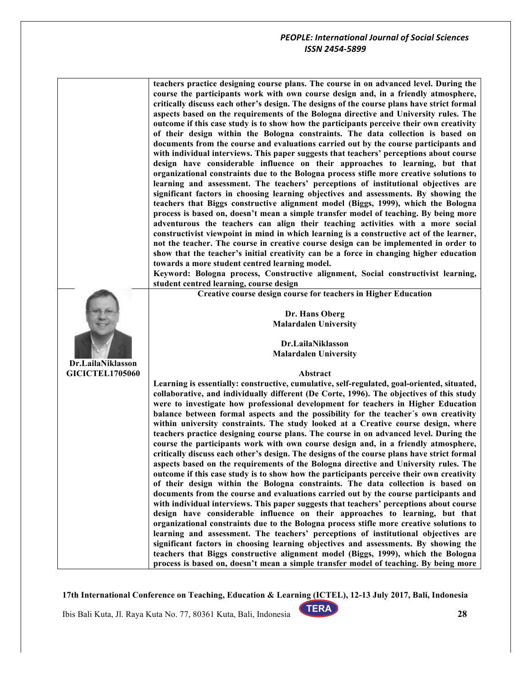|                        | teachers practice designing course plans. The course in on advanced level. During the<br>course the participants work with own course design and, in a friendly atmosphere,<br>critically discuss each other's design. The designs of the course plans have strict formal<br>aspects based on the requirements of the Bologna directive and University rules. The<br>outcome if this case study is to show how the participants perceive their own creativity<br>of their design within the Bologna constraints. The data collection is based on<br>documents from the course and evaluations carried out by the course participants and<br>with individual interviews. This paper suggests that teachers' perceptions about course<br>design have considerable influence on their approaches to learning, but that<br>organizational constraints due to the Bologna process stifle more creative solutions to<br>learning and assessment. The teachers' perceptions of institutional objectives are<br>significant factors in choosing learning objectives and assessments. By showing the<br>teachers that Biggs constructive alignment model (Biggs, 1999), which the Bologna<br>process is based on, doesn't mean a simple transfer model of teaching. By being more<br>adventurous the teachers can align their teaching activities with a more social<br>constructivist viewpoint in mind in which learning is a constructive act of the learner,<br>not the teacher. The course in creative course design can be implemented in order to<br>show that the teacher's initial creativity can be a force in changing higher education<br>towards a more student centred learning model.<br>Keyword: Bologna process, Constructive alignment, Social constructivist learning,<br>student centred learning, course design |
|------------------------|-----------------------------------------------------------------------------------------------------------------------------------------------------------------------------------------------------------------------------------------------------------------------------------------------------------------------------------------------------------------------------------------------------------------------------------------------------------------------------------------------------------------------------------------------------------------------------------------------------------------------------------------------------------------------------------------------------------------------------------------------------------------------------------------------------------------------------------------------------------------------------------------------------------------------------------------------------------------------------------------------------------------------------------------------------------------------------------------------------------------------------------------------------------------------------------------------------------------------------------------------------------------------------------------------------------------------------------------------------------------------------------------------------------------------------------------------------------------------------------------------------------------------------------------------------------------------------------------------------------------------------------------------------------------------------------------------------------------------------------------------------------------------------------------------------------------------------|
|                        | Creative course design course for teachers in Higher Education                                                                                                                                                                                                                                                                                                                                                                                                                                                                                                                                                                                                                                                                                                                                                                                                                                                                                                                                                                                                                                                                                                                                                                                                                                                                                                                                                                                                                                                                                                                                                                                                                                                                                                                                                              |
|                        | Dr. Hans Oberg<br><b>Malardalen University</b>                                                                                                                                                                                                                                                                                                                                                                                                                                                                                                                                                                                                                                                                                                                                                                                                                                                                                                                                                                                                                                                                                                                                                                                                                                                                                                                                                                                                                                                                                                                                                                                                                                                                                                                                                                              |
|                        | Dr.LailaNiklasson                                                                                                                                                                                                                                                                                                                                                                                                                                                                                                                                                                                                                                                                                                                                                                                                                                                                                                                                                                                                                                                                                                                                                                                                                                                                                                                                                                                                                                                                                                                                                                                                                                                                                                                                                                                                           |
| Dr.LailaNiklasson      | <b>Malardalen University</b>                                                                                                                                                                                                                                                                                                                                                                                                                                                                                                                                                                                                                                                                                                                                                                                                                                                                                                                                                                                                                                                                                                                                                                                                                                                                                                                                                                                                                                                                                                                                                                                                                                                                                                                                                                                                |
| <b>GICICTEL1705060</b> | Abstract                                                                                                                                                                                                                                                                                                                                                                                                                                                                                                                                                                                                                                                                                                                                                                                                                                                                                                                                                                                                                                                                                                                                                                                                                                                                                                                                                                                                                                                                                                                                                                                                                                                                                                                                                                                                                    |
|                        | Learning is essentially: constructive, cumulative, self-regulated, goal-oriented, situated,                                                                                                                                                                                                                                                                                                                                                                                                                                                                                                                                                                                                                                                                                                                                                                                                                                                                                                                                                                                                                                                                                                                                                                                                                                                                                                                                                                                                                                                                                                                                                                                                                                                                                                                                 |
|                        | collaborative, and individually different (De Corte, 1996). The objectives of this study                                                                                                                                                                                                                                                                                                                                                                                                                                                                                                                                                                                                                                                                                                                                                                                                                                                                                                                                                                                                                                                                                                                                                                                                                                                                                                                                                                                                                                                                                                                                                                                                                                                                                                                                    |
|                        | were to investigate how professional development for teachers in Higher Education                                                                                                                                                                                                                                                                                                                                                                                                                                                                                                                                                                                                                                                                                                                                                                                                                                                                                                                                                                                                                                                                                                                                                                                                                                                                                                                                                                                                                                                                                                                                                                                                                                                                                                                                           |
|                        | balance between formal aspects and the possibility for the teacher's own creativity                                                                                                                                                                                                                                                                                                                                                                                                                                                                                                                                                                                                                                                                                                                                                                                                                                                                                                                                                                                                                                                                                                                                                                                                                                                                                                                                                                                                                                                                                                                                                                                                                                                                                                                                         |
|                        | within university constraints. The study looked at a Creative course design, where<br>teachers practice designing course plans. The course in on advanced level. During the                                                                                                                                                                                                                                                                                                                                                                                                                                                                                                                                                                                                                                                                                                                                                                                                                                                                                                                                                                                                                                                                                                                                                                                                                                                                                                                                                                                                                                                                                                                                                                                                                                                 |
|                        | course the participants work with own course design and, in a friendly atmosphere,                                                                                                                                                                                                                                                                                                                                                                                                                                                                                                                                                                                                                                                                                                                                                                                                                                                                                                                                                                                                                                                                                                                                                                                                                                                                                                                                                                                                                                                                                                                                                                                                                                                                                                                                          |
|                        | critically discuss each other's design. The designs of the course plans have strict formal                                                                                                                                                                                                                                                                                                                                                                                                                                                                                                                                                                                                                                                                                                                                                                                                                                                                                                                                                                                                                                                                                                                                                                                                                                                                                                                                                                                                                                                                                                                                                                                                                                                                                                                                  |
|                        | aspects based on the requirements of the Bologna directive and University rules. The                                                                                                                                                                                                                                                                                                                                                                                                                                                                                                                                                                                                                                                                                                                                                                                                                                                                                                                                                                                                                                                                                                                                                                                                                                                                                                                                                                                                                                                                                                                                                                                                                                                                                                                                        |
|                        | outcome if this case study is to show how the participants perceive their own creativity                                                                                                                                                                                                                                                                                                                                                                                                                                                                                                                                                                                                                                                                                                                                                                                                                                                                                                                                                                                                                                                                                                                                                                                                                                                                                                                                                                                                                                                                                                                                                                                                                                                                                                                                    |
|                        | of their design within the Bologna constraints. The data collection is based on                                                                                                                                                                                                                                                                                                                                                                                                                                                                                                                                                                                                                                                                                                                                                                                                                                                                                                                                                                                                                                                                                                                                                                                                                                                                                                                                                                                                                                                                                                                                                                                                                                                                                                                                             |
|                        | documents from the course and evaluations carried out by the course participants and                                                                                                                                                                                                                                                                                                                                                                                                                                                                                                                                                                                                                                                                                                                                                                                                                                                                                                                                                                                                                                                                                                                                                                                                                                                                                                                                                                                                                                                                                                                                                                                                                                                                                                                                        |
|                        | with individual interviews. This paper suggests that teachers' perceptions about course                                                                                                                                                                                                                                                                                                                                                                                                                                                                                                                                                                                                                                                                                                                                                                                                                                                                                                                                                                                                                                                                                                                                                                                                                                                                                                                                                                                                                                                                                                                                                                                                                                                                                                                                     |
|                        | design have considerable influence on their approaches to learning, but that                                                                                                                                                                                                                                                                                                                                                                                                                                                                                                                                                                                                                                                                                                                                                                                                                                                                                                                                                                                                                                                                                                                                                                                                                                                                                                                                                                                                                                                                                                                                                                                                                                                                                                                                                |
|                        | organizational constraints due to the Bologna process stifle more creative solutions to                                                                                                                                                                                                                                                                                                                                                                                                                                                                                                                                                                                                                                                                                                                                                                                                                                                                                                                                                                                                                                                                                                                                                                                                                                                                                                                                                                                                                                                                                                                                                                                                                                                                                                                                     |
|                        | learning and assessment. The teachers' perceptions of institutional objectives are<br>significant factors in choosing learning objectives and assessments. By showing the                                                                                                                                                                                                                                                                                                                                                                                                                                                                                                                                                                                                                                                                                                                                                                                                                                                                                                                                                                                                                                                                                                                                                                                                                                                                                                                                                                                                                                                                                                                                                                                                                                                   |
|                        | teachers that Biggs constructive alignment model (Biggs, 1999), which the Bologna                                                                                                                                                                                                                                                                                                                                                                                                                                                                                                                                                                                                                                                                                                                                                                                                                                                                                                                                                                                                                                                                                                                                                                                                                                                                                                                                                                                                                                                                                                                                                                                                                                                                                                                                           |
|                        | process is based on, doesn't mean a simple transfer model of teaching. By being more                                                                                                                                                                                                                                                                                                                                                                                                                                                                                                                                                                                                                                                                                                                                                                                                                                                                                                                                                                                                                                                                                                                                                                                                                                                                                                                                                                                                                                                                                                                                                                                                                                                                                                                                        |

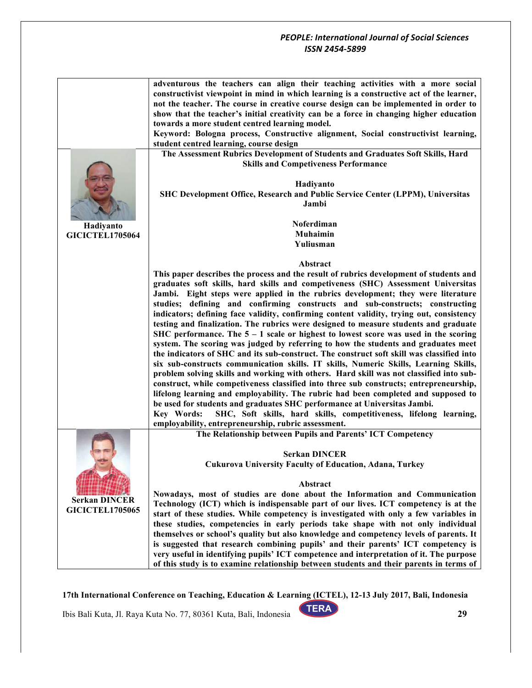|                        | adventurous the teachers can align their teaching activities with a more social<br>constructivist viewpoint in mind in which learning is a constructive act of the learner,<br>not the teacher. The course in creative course design can be implemented in order to<br>show that the teacher's initial creativity can be a force in changing higher education<br>towards a more student centred learning model.<br>Keyword: Bologna process, Constructive alignment, Social constructivist learning,<br>student centred learning, course design                                                                                                                                                                                                                                                                                                                                                                                                                                                                                                                                                                                                                                                                                                                                                                                                                                                                       |
|------------------------|-----------------------------------------------------------------------------------------------------------------------------------------------------------------------------------------------------------------------------------------------------------------------------------------------------------------------------------------------------------------------------------------------------------------------------------------------------------------------------------------------------------------------------------------------------------------------------------------------------------------------------------------------------------------------------------------------------------------------------------------------------------------------------------------------------------------------------------------------------------------------------------------------------------------------------------------------------------------------------------------------------------------------------------------------------------------------------------------------------------------------------------------------------------------------------------------------------------------------------------------------------------------------------------------------------------------------------------------------------------------------------------------------------------------------|
|                        | The Assessment Rubrics Development of Students and Graduates Soft Skills, Hard                                                                                                                                                                                                                                                                                                                                                                                                                                                                                                                                                                                                                                                                                                                                                                                                                                                                                                                                                                                                                                                                                                                                                                                                                                                                                                                                        |
|                        | <b>Skills and Competiveness Performance</b><br>Hadiyanto<br>SHC Development Office, Research and Public Service Center (LPPM), Universitas<br>Jambi                                                                                                                                                                                                                                                                                                                                                                                                                                                                                                                                                                                                                                                                                                                                                                                                                                                                                                                                                                                                                                                                                                                                                                                                                                                                   |
| Hadiyanto              | Noferdiman                                                                                                                                                                                                                                                                                                                                                                                                                                                                                                                                                                                                                                                                                                                                                                                                                                                                                                                                                                                                                                                                                                                                                                                                                                                                                                                                                                                                            |
| <b>GICICTEL1705064</b> | Muhaimin                                                                                                                                                                                                                                                                                                                                                                                                                                                                                                                                                                                                                                                                                                                                                                                                                                                                                                                                                                                                                                                                                                                                                                                                                                                                                                                                                                                                              |
|                        | Yuliusman                                                                                                                                                                                                                                                                                                                                                                                                                                                                                                                                                                                                                                                                                                                                                                                                                                                                                                                                                                                                                                                                                                                                                                                                                                                                                                                                                                                                             |
|                        | Abstract<br>This paper describes the process and the result of rubrics development of students and<br>graduates soft skills, hard skills and competiveness (SHC) Assessment Universitas<br>Jambi. Eight steps were applied in the rubrics development; they were literature<br>studies; defining and confirming constructs and sub-constructs; constructing<br>indicators; defining face validity, confirming content validity, trying out, consistency<br>testing and finalization. The rubrics were designed to measure students and graduate<br>SHC performance. The $5 - 1$ scale or highest to lowest score was used in the scoring<br>system. The scoring was judged by referring to how the students and graduates meet<br>the indicators of SHC and its sub-construct. The construct soft skill was classified into<br>six sub-constructs communication skills. IT skills, Numeric Skills, Learning Skills,<br>problem solving skills and working with others. Hard skill was not classified into sub-<br>construct, while competiveness classified into three sub constructs; entrepreneurship,<br>lifelong learning and employability. The rubric had been completed and supposed to<br>be used for students and graduates SHC performance at Universitas Jambi.<br>SHC, Soft skills, hard skills, competitiveness, lifelong learning,<br>Key Words:<br>employability, entrepreneurship, rubric assessment. |
|                        | The Relationship between Pupils and Parents' ICT Competency<br><b>Serkan DINCER</b>                                                                                                                                                                                                                                                                                                                                                                                                                                                                                                                                                                                                                                                                                                                                                                                                                                                                                                                                                                                                                                                                                                                                                                                                                                                                                                                                   |
|                        | <b>Cukurova University Faculty of Education, Adana, Turkey</b>                                                                                                                                                                                                                                                                                                                                                                                                                                                                                                                                                                                                                                                                                                                                                                                                                                                                                                                                                                                                                                                                                                                                                                                                                                                                                                                                                        |
|                        |                                                                                                                                                                                                                                                                                                                                                                                                                                                                                                                                                                                                                                                                                                                                                                                                                                                                                                                                                                                                                                                                                                                                                                                                                                                                                                                                                                                                                       |
|                        | Abstract                                                                                                                                                                                                                                                                                                                                                                                                                                                                                                                                                                                                                                                                                                                                                                                                                                                                                                                                                                                                                                                                                                                                                                                                                                                                                                                                                                                                              |
| <b>Serkan DINCER</b>   | Nowadays, most of studies are done about the Information and Communication                                                                                                                                                                                                                                                                                                                                                                                                                                                                                                                                                                                                                                                                                                                                                                                                                                                                                                                                                                                                                                                                                                                                                                                                                                                                                                                                            |
| <b>GICICTEL1705065</b> | Technology (ICT) which is indispensable part of our lives. ICT competency is at the                                                                                                                                                                                                                                                                                                                                                                                                                                                                                                                                                                                                                                                                                                                                                                                                                                                                                                                                                                                                                                                                                                                                                                                                                                                                                                                                   |
|                        | start of these studies. While competency is investigated with only a few variables in                                                                                                                                                                                                                                                                                                                                                                                                                                                                                                                                                                                                                                                                                                                                                                                                                                                                                                                                                                                                                                                                                                                                                                                                                                                                                                                                 |
|                        | these studies, competencies in early periods take shape with not only individual                                                                                                                                                                                                                                                                                                                                                                                                                                                                                                                                                                                                                                                                                                                                                                                                                                                                                                                                                                                                                                                                                                                                                                                                                                                                                                                                      |
|                        | themselves or school's quality but also knowledge and competency levels of parents. It                                                                                                                                                                                                                                                                                                                                                                                                                                                                                                                                                                                                                                                                                                                                                                                                                                                                                                                                                                                                                                                                                                                                                                                                                                                                                                                                |
|                        | is suggested that research combining pupils' and their parents' ICT competency is                                                                                                                                                                                                                                                                                                                                                                                                                                                                                                                                                                                                                                                                                                                                                                                                                                                                                                                                                                                                                                                                                                                                                                                                                                                                                                                                     |
|                        | very useful in identifying pupils' ICT competence and interpretation of it. The purpose                                                                                                                                                                                                                                                                                                                                                                                                                                                                                                                                                                                                                                                                                                                                                                                                                                                                                                                                                                                                                                                                                                                                                                                                                                                                                                                               |
|                        | of this study is to examine relationship between students and their parents in terms of                                                                                                                                                                                                                                                                                                                                                                                                                                                                                                                                                                                                                                                                                                                                                                                                                                                                                                                                                                                                                                                                                                                                                                                                                                                                                                                               |

**17th International Conference on Teaching, Education & Learning (ICTEL), 12-13 July 2017, Bali, Indonesia**

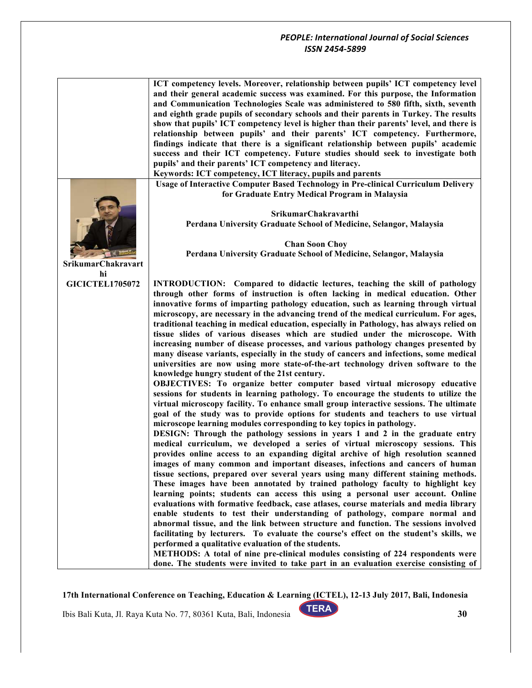| ICT competency levels. Moreover, relationship between pupils' ICT competency level<br>and their general academic success was examined. For this purpose, the Information<br>and Communication Technologies Scale was administered to 580 fifth, sixth, seventh<br>and eighth grade pupils of secondary schools and their parents in Turkey. The results<br>show that pupils' ICT competency level is higher than their parents' level, and there is<br>relationship between pupils' and their parents' ICT competency. Furthermore,<br>findings indicate that there is a significant relationship between pupils' academic<br>success and their ICT competency. Future studies should seek to investigate both<br>pupils' and their parents' ICT competency and literacy.<br>Keywords: ICT competency, ICT literacy, pupils and parents<br><b>Usage of Interactive Computer Based Technology in Pre-clinical Curriculum Delivery</b><br>for Graduate Entry Medical Program in Malaysia<br>SrikumarChakravarthi<br>Perdana University Graduate School of Medicine, Selangor, Malaysia<br><b>Chan Soon Choy</b><br>Perdana University Graduate School of Medicine, Selangor, Malaysia<br><b>SrikumarChakravart</b><br>hi<br><b>GICICTEL1705072</b><br><b>INTRODUCTION:</b> Compared to didactic lectures, teaching the skill of pathology<br>through other forms of instruction is often lacking in medical education. Other<br>innovative forms of imparting pathology education, such as learning through virtual<br>microscopy, are necessary in the advancing trend of the medical curriculum. For ages,<br>traditional teaching in medical education, especially in Pathology, has always relied on<br>tissue slides of various diseases which are studied under the microscope. With<br>increasing number of disease processes, and various pathology changes presented by<br>many disease variants, especially in the study of cancers and infections, some medical<br>universities are now using more state-of-the-art technology driven software to the<br>knowledge hungry student of the 21st century.<br><b>OBJECTIVES:</b> To organize better computer based virtual microsopy educative<br>sessions for students in learning pathology. To encourage the students to utilize the<br>virtual microscopy facility. To enhance small group interactive sessions. The ultimate<br>goal of the study was to provide options for students and teachers to use virtual |                                                                                                                                                                                                                                                                                                                                                                                                          |
|-----------------------------------------------------------------------------------------------------------------------------------------------------------------------------------------------------------------------------------------------------------------------------------------------------------------------------------------------------------------------------------------------------------------------------------------------------------------------------------------------------------------------------------------------------------------------------------------------------------------------------------------------------------------------------------------------------------------------------------------------------------------------------------------------------------------------------------------------------------------------------------------------------------------------------------------------------------------------------------------------------------------------------------------------------------------------------------------------------------------------------------------------------------------------------------------------------------------------------------------------------------------------------------------------------------------------------------------------------------------------------------------------------------------------------------------------------------------------------------------------------------------------------------------------------------------------------------------------------------------------------------------------------------------------------------------------------------------------------------------------------------------------------------------------------------------------------------------------------------------------------------------------------------------------------------------------------------------------------------------------------------------------------------------------------------------------------------------------------------------------------------------------------------------------------------------------------------------------------------------------------------------------------------------------------------------------------------------------------------------------------------------------------------------------------------------------------------------------------|----------------------------------------------------------------------------------------------------------------------------------------------------------------------------------------------------------------------------------------------------------------------------------------------------------------------------------------------------------------------------------------------------------|
|                                                                                                                                                                                                                                                                                                                                                                                                                                                                                                                                                                                                                                                                                                                                                                                                                                                                                                                                                                                                                                                                                                                                                                                                                                                                                                                                                                                                                                                                                                                                                                                                                                                                                                                                                                                                                                                                                                                                                                                                                                                                                                                                                                                                                                                                                                                                                                                                                                                                             |                                                                                                                                                                                                                                                                                                                                                                                                          |
|                                                                                                                                                                                                                                                                                                                                                                                                                                                                                                                                                                                                                                                                                                                                                                                                                                                                                                                                                                                                                                                                                                                                                                                                                                                                                                                                                                                                                                                                                                                                                                                                                                                                                                                                                                                                                                                                                                                                                                                                                                                                                                                                                                                                                                                                                                                                                                                                                                                                             |                                                                                                                                                                                                                                                                                                                                                                                                          |
|                                                                                                                                                                                                                                                                                                                                                                                                                                                                                                                                                                                                                                                                                                                                                                                                                                                                                                                                                                                                                                                                                                                                                                                                                                                                                                                                                                                                                                                                                                                                                                                                                                                                                                                                                                                                                                                                                                                                                                                                                                                                                                                                                                                                                                                                                                                                                                                                                                                                             |                                                                                                                                                                                                                                                                                                                                                                                                          |
|                                                                                                                                                                                                                                                                                                                                                                                                                                                                                                                                                                                                                                                                                                                                                                                                                                                                                                                                                                                                                                                                                                                                                                                                                                                                                                                                                                                                                                                                                                                                                                                                                                                                                                                                                                                                                                                                                                                                                                                                                                                                                                                                                                                                                                                                                                                                                                                                                                                                             |                                                                                                                                                                                                                                                                                                                                                                                                          |
|                                                                                                                                                                                                                                                                                                                                                                                                                                                                                                                                                                                                                                                                                                                                                                                                                                                                                                                                                                                                                                                                                                                                                                                                                                                                                                                                                                                                                                                                                                                                                                                                                                                                                                                                                                                                                                                                                                                                                                                                                                                                                                                                                                                                                                                                                                                                                                                                                                                                             |                                                                                                                                                                                                                                                                                                                                                                                                          |
|                                                                                                                                                                                                                                                                                                                                                                                                                                                                                                                                                                                                                                                                                                                                                                                                                                                                                                                                                                                                                                                                                                                                                                                                                                                                                                                                                                                                                                                                                                                                                                                                                                                                                                                                                                                                                                                                                                                                                                                                                                                                                                                                                                                                                                                                                                                                                                                                                                                                             |                                                                                                                                                                                                                                                                                                                                                                                                          |
|                                                                                                                                                                                                                                                                                                                                                                                                                                                                                                                                                                                                                                                                                                                                                                                                                                                                                                                                                                                                                                                                                                                                                                                                                                                                                                                                                                                                                                                                                                                                                                                                                                                                                                                                                                                                                                                                                                                                                                                                                                                                                                                                                                                                                                                                                                                                                                                                                                                                             |                                                                                                                                                                                                                                                                                                                                                                                                          |
| microscope learning modules corresponding to key topics in pathology.<br>DESIGN: Through the pathology sessions in years 1 and 2 in the graduate entry<br>medical curriculum, we developed a series of virtual microscopy sessions. This<br>provides online access to an expanding digital archive of high resolution scanned<br>images of many common and important diseases, infections and cancers of human<br>tissue sections, prepared over several years using many different staining methods.<br>These images have been annotated by trained pathology faculty to highlight key<br>learning points; students can access this using a personal user account. Online<br>evaluations with formative feedback, case atlases, course materials and media library                                                                                                                                                                                                                                                                                                                                                                                                                                                                                                                                                                                                                                                                                                                                                                                                                                                                                                                                                                                                                                                                                                                                                                                                                                                                                                                                                                                                                                                                                                                                                                                                                                                                                                         | enable students to test their understanding of pathology, compare normal and<br>abnormal tissue, and the link between structure and function. The sessions involved<br>facilitating by lecturers. To evaluate the course's effect on the student's skills, we<br>performed a qualitative evaluation of the students.<br>METHODS: A total of nine pre-clinical modules consisting of 224 respondents were |
|                                                                                                                                                                                                                                                                                                                                                                                                                                                                                                                                                                                                                                                                                                                                                                                                                                                                                                                                                                                                                                                                                                                                                                                                                                                                                                                                                                                                                                                                                                                                                                                                                                                                                                                                                                                                                                                                                                                                                                                                                                                                                                                                                                                                                                                                                                                                                                                                                                                                             |                                                                                                                                                                                                                                                                                                                                                                                                          |
|                                                                                                                                                                                                                                                                                                                                                                                                                                                                                                                                                                                                                                                                                                                                                                                                                                                                                                                                                                                                                                                                                                                                                                                                                                                                                                                                                                                                                                                                                                                                                                                                                                                                                                                                                                                                                                                                                                                                                                                                                                                                                                                                                                                                                                                                                                                                                                                                                                                                             |                                                                                                                                                                                                                                                                                                                                                                                                          |
|                                                                                                                                                                                                                                                                                                                                                                                                                                                                                                                                                                                                                                                                                                                                                                                                                                                                                                                                                                                                                                                                                                                                                                                                                                                                                                                                                                                                                                                                                                                                                                                                                                                                                                                                                                                                                                                                                                                                                                                                                                                                                                                                                                                                                                                                                                                                                                                                                                                                             |                                                                                                                                                                                                                                                                                                                                                                                                          |
|                                                                                                                                                                                                                                                                                                                                                                                                                                                                                                                                                                                                                                                                                                                                                                                                                                                                                                                                                                                                                                                                                                                                                                                                                                                                                                                                                                                                                                                                                                                                                                                                                                                                                                                                                                                                                                                                                                                                                                                                                                                                                                                                                                                                                                                                                                                                                                                                                                                                             |                                                                                                                                                                                                                                                                                                                                                                                                          |
|                                                                                                                                                                                                                                                                                                                                                                                                                                                                                                                                                                                                                                                                                                                                                                                                                                                                                                                                                                                                                                                                                                                                                                                                                                                                                                                                                                                                                                                                                                                                                                                                                                                                                                                                                                                                                                                                                                                                                                                                                                                                                                                                                                                                                                                                                                                                                                                                                                                                             |                                                                                                                                                                                                                                                                                                                                                                                                          |
|                                                                                                                                                                                                                                                                                                                                                                                                                                                                                                                                                                                                                                                                                                                                                                                                                                                                                                                                                                                                                                                                                                                                                                                                                                                                                                                                                                                                                                                                                                                                                                                                                                                                                                                                                                                                                                                                                                                                                                                                                                                                                                                                                                                                                                                                                                                                                                                                                                                                             | done. The students were invited to take part in an evaluation exercise consisting of                                                                                                                                                                                                                                                                                                                     |

**17th International Conference on Teaching, Education & Learning (ICTEL), 12-13 July 2017, Bali, Indonesia**

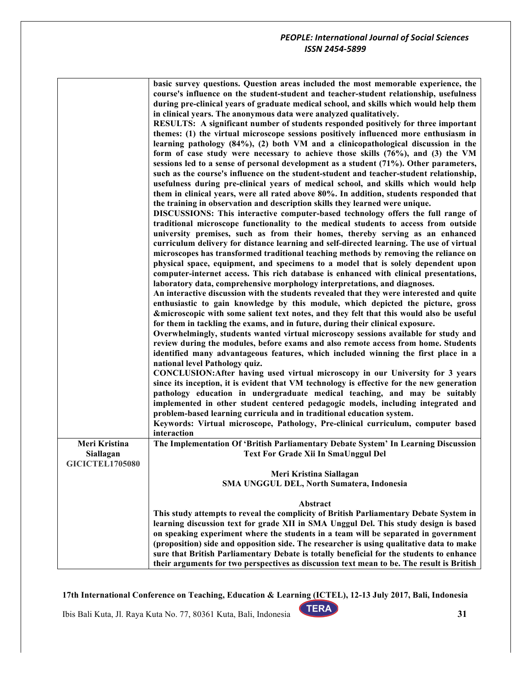| course's influence on the student-student and teacher-student relationship, usefulness<br>during pre-clinical years of graduate medical school, and skills which would help them<br>in clinical years. The anonymous data were analyzed qualitatively.<br>RESULTS: A significant number of students responded positively for three important<br>themes: (1) the virtual microscope sessions positively influenced more enthusiasm in<br>learning pathology $(84\%)$ , $(2)$ both VM and a clinicopathological discussion in the<br>form of case study were necessary to achieve those skills (76%), and (3) the VM<br>sessions led to a sense of personal development as a student (71%). Other parameters,<br>such as the course's influence on the student-student and teacher-student relationship,<br>usefulness during pre-clinical years of medical school, and skills which would help<br>them in clinical years, were all rated above 80%. In addition, students responded that<br>the training in observation and description skills they learned were unique.<br>DISCUSSIONS: This interactive computer-based technology offers the full range of<br>traditional microscope functionality to the medical students to access from outside<br>university premises, such as from their homes, thereby serving as an enhanced<br>curriculum delivery for distance learning and self-directed learning. The use of virtual<br>microscopes has transformed traditional teaching methods by removing the reliance on<br>physical space, equipment, and specimens to a model that is solely dependent upon<br>computer-internet access. This rich database is enhanced with clinical presentations,<br>laboratory data, comprehensive morphology interpretations, and diagnoses.<br>An interactive discussion with the students revealed that they were interested and quite<br>enthusiastic to gain knowledge by this module, which depicted the picture, gross<br>&microscopic with some salient text notes, and they felt that this would also be useful<br>for them in tackling the exams, and in future, during their clinical exposure.<br>Overwhelmingly, students wanted virtual microscopy sessions available for study and<br>review during the modules, before exams and also remote access from home. Students<br>identified many advantageous features, which included winning the first place in a<br>national level Pathology quiz.<br>CONCLUSION: After having used virtual microscopy in our University for 3 years<br>since its inception, it is evident that VM technology is effective for the new generation<br>pathology education in undergraduate medical teaching, and may be suitably<br>implemented in other student centered pedagogic models, including integrated and<br>problem-based learning curricula and in traditional education system.<br>Keywords: Virtual microscope, Pathology, Pre-clinical curriculum, computer based<br>interaction<br>Meri Kristina<br>The Implementation Of 'British Parliamentary Debate System' In Learning Discussion<br>Text For Grade Xii In SmaUnggul Del<br>Siallagan<br><b>GICICTEL1705080</b><br>Meri Kristina Siallagan<br>SMA UNGGUL DEL, North Sumatera, Indonesia |
|------------------------------------------------------------------------------------------------------------------------------------------------------------------------------------------------------------------------------------------------------------------------------------------------------------------------------------------------------------------------------------------------------------------------------------------------------------------------------------------------------------------------------------------------------------------------------------------------------------------------------------------------------------------------------------------------------------------------------------------------------------------------------------------------------------------------------------------------------------------------------------------------------------------------------------------------------------------------------------------------------------------------------------------------------------------------------------------------------------------------------------------------------------------------------------------------------------------------------------------------------------------------------------------------------------------------------------------------------------------------------------------------------------------------------------------------------------------------------------------------------------------------------------------------------------------------------------------------------------------------------------------------------------------------------------------------------------------------------------------------------------------------------------------------------------------------------------------------------------------------------------------------------------------------------------------------------------------------------------------------------------------------------------------------------------------------------------------------------------------------------------------------------------------------------------------------------------------------------------------------------------------------------------------------------------------------------------------------------------------------------------------------------------------------------------------------------------------------------------------------------------------------------------------------------------------------------------------------------------------------------------------------------------------------------------------------------------------------------------------------------------------------------------------------------------------------------------------------------------------------------------------------------------------------------------------------------------------------------------------------------------------------------------------------------------------------------------------------------------------------------------------------------------------------------------------------------------------------------------------------|
|                                                                                                                                                                                                                                                                                                                                                                                                                                                                                                                                                                                                                                                                                                                                                                                                                                                                                                                                                                                                                                                                                                                                                                                                                                                                                                                                                                                                                                                                                                                                                                                                                                                                                                                                                                                                                                                                                                                                                                                                                                                                                                                                                                                                                                                                                                                                                                                                                                                                                                                                                                                                                                                                                                                                                                                                                                                                                                                                                                                                                                                                                                                                                                                                                                                |
|                                                                                                                                                                                                                                                                                                                                                                                                                                                                                                                                                                                                                                                                                                                                                                                                                                                                                                                                                                                                                                                                                                                                                                                                                                                                                                                                                                                                                                                                                                                                                                                                                                                                                                                                                                                                                                                                                                                                                                                                                                                                                                                                                                                                                                                                                                                                                                                                                                                                                                                                                                                                                                                                                                                                                                                                                                                                                                                                                                                                                                                                                                                                                                                                                                                |
|                                                                                                                                                                                                                                                                                                                                                                                                                                                                                                                                                                                                                                                                                                                                                                                                                                                                                                                                                                                                                                                                                                                                                                                                                                                                                                                                                                                                                                                                                                                                                                                                                                                                                                                                                                                                                                                                                                                                                                                                                                                                                                                                                                                                                                                                                                                                                                                                                                                                                                                                                                                                                                                                                                                                                                                                                                                                                                                                                                                                                                                                                                                                                                                                                                                |
|                                                                                                                                                                                                                                                                                                                                                                                                                                                                                                                                                                                                                                                                                                                                                                                                                                                                                                                                                                                                                                                                                                                                                                                                                                                                                                                                                                                                                                                                                                                                                                                                                                                                                                                                                                                                                                                                                                                                                                                                                                                                                                                                                                                                                                                                                                                                                                                                                                                                                                                                                                                                                                                                                                                                                                                                                                                                                                                                                                                                                                                                                                                                                                                                                                                |
|                                                                                                                                                                                                                                                                                                                                                                                                                                                                                                                                                                                                                                                                                                                                                                                                                                                                                                                                                                                                                                                                                                                                                                                                                                                                                                                                                                                                                                                                                                                                                                                                                                                                                                                                                                                                                                                                                                                                                                                                                                                                                                                                                                                                                                                                                                                                                                                                                                                                                                                                                                                                                                                                                                                                                                                                                                                                                                                                                                                                                                                                                                                                                                                                                                                |
|                                                                                                                                                                                                                                                                                                                                                                                                                                                                                                                                                                                                                                                                                                                                                                                                                                                                                                                                                                                                                                                                                                                                                                                                                                                                                                                                                                                                                                                                                                                                                                                                                                                                                                                                                                                                                                                                                                                                                                                                                                                                                                                                                                                                                                                                                                                                                                                                                                                                                                                                                                                                                                                                                                                                                                                                                                                                                                                                                                                                                                                                                                                                                                                                                                                |
|                                                                                                                                                                                                                                                                                                                                                                                                                                                                                                                                                                                                                                                                                                                                                                                                                                                                                                                                                                                                                                                                                                                                                                                                                                                                                                                                                                                                                                                                                                                                                                                                                                                                                                                                                                                                                                                                                                                                                                                                                                                                                                                                                                                                                                                                                                                                                                                                                                                                                                                                                                                                                                                                                                                                                                                                                                                                                                                                                                                                                                                                                                                                                                                                                                                |
|                                                                                                                                                                                                                                                                                                                                                                                                                                                                                                                                                                                                                                                                                                                                                                                                                                                                                                                                                                                                                                                                                                                                                                                                                                                                                                                                                                                                                                                                                                                                                                                                                                                                                                                                                                                                                                                                                                                                                                                                                                                                                                                                                                                                                                                                                                                                                                                                                                                                                                                                                                                                                                                                                                                                                                                                                                                                                                                                                                                                                                                                                                                                                                                                                                                |
|                                                                                                                                                                                                                                                                                                                                                                                                                                                                                                                                                                                                                                                                                                                                                                                                                                                                                                                                                                                                                                                                                                                                                                                                                                                                                                                                                                                                                                                                                                                                                                                                                                                                                                                                                                                                                                                                                                                                                                                                                                                                                                                                                                                                                                                                                                                                                                                                                                                                                                                                                                                                                                                                                                                                                                                                                                                                                                                                                                                                                                                                                                                                                                                                                                                |
|                                                                                                                                                                                                                                                                                                                                                                                                                                                                                                                                                                                                                                                                                                                                                                                                                                                                                                                                                                                                                                                                                                                                                                                                                                                                                                                                                                                                                                                                                                                                                                                                                                                                                                                                                                                                                                                                                                                                                                                                                                                                                                                                                                                                                                                                                                                                                                                                                                                                                                                                                                                                                                                                                                                                                                                                                                                                                                                                                                                                                                                                                                                                                                                                                                                |
|                                                                                                                                                                                                                                                                                                                                                                                                                                                                                                                                                                                                                                                                                                                                                                                                                                                                                                                                                                                                                                                                                                                                                                                                                                                                                                                                                                                                                                                                                                                                                                                                                                                                                                                                                                                                                                                                                                                                                                                                                                                                                                                                                                                                                                                                                                                                                                                                                                                                                                                                                                                                                                                                                                                                                                                                                                                                                                                                                                                                                                                                                                                                                                                                                                                |
|                                                                                                                                                                                                                                                                                                                                                                                                                                                                                                                                                                                                                                                                                                                                                                                                                                                                                                                                                                                                                                                                                                                                                                                                                                                                                                                                                                                                                                                                                                                                                                                                                                                                                                                                                                                                                                                                                                                                                                                                                                                                                                                                                                                                                                                                                                                                                                                                                                                                                                                                                                                                                                                                                                                                                                                                                                                                                                                                                                                                                                                                                                                                                                                                                                                |
|                                                                                                                                                                                                                                                                                                                                                                                                                                                                                                                                                                                                                                                                                                                                                                                                                                                                                                                                                                                                                                                                                                                                                                                                                                                                                                                                                                                                                                                                                                                                                                                                                                                                                                                                                                                                                                                                                                                                                                                                                                                                                                                                                                                                                                                                                                                                                                                                                                                                                                                                                                                                                                                                                                                                                                                                                                                                                                                                                                                                                                                                                                                                                                                                                                                |
|                                                                                                                                                                                                                                                                                                                                                                                                                                                                                                                                                                                                                                                                                                                                                                                                                                                                                                                                                                                                                                                                                                                                                                                                                                                                                                                                                                                                                                                                                                                                                                                                                                                                                                                                                                                                                                                                                                                                                                                                                                                                                                                                                                                                                                                                                                                                                                                                                                                                                                                                                                                                                                                                                                                                                                                                                                                                                                                                                                                                                                                                                                                                                                                                                                                |
|                                                                                                                                                                                                                                                                                                                                                                                                                                                                                                                                                                                                                                                                                                                                                                                                                                                                                                                                                                                                                                                                                                                                                                                                                                                                                                                                                                                                                                                                                                                                                                                                                                                                                                                                                                                                                                                                                                                                                                                                                                                                                                                                                                                                                                                                                                                                                                                                                                                                                                                                                                                                                                                                                                                                                                                                                                                                                                                                                                                                                                                                                                                                                                                                                                                |
|                                                                                                                                                                                                                                                                                                                                                                                                                                                                                                                                                                                                                                                                                                                                                                                                                                                                                                                                                                                                                                                                                                                                                                                                                                                                                                                                                                                                                                                                                                                                                                                                                                                                                                                                                                                                                                                                                                                                                                                                                                                                                                                                                                                                                                                                                                                                                                                                                                                                                                                                                                                                                                                                                                                                                                                                                                                                                                                                                                                                                                                                                                                                                                                                                                                |
|                                                                                                                                                                                                                                                                                                                                                                                                                                                                                                                                                                                                                                                                                                                                                                                                                                                                                                                                                                                                                                                                                                                                                                                                                                                                                                                                                                                                                                                                                                                                                                                                                                                                                                                                                                                                                                                                                                                                                                                                                                                                                                                                                                                                                                                                                                                                                                                                                                                                                                                                                                                                                                                                                                                                                                                                                                                                                                                                                                                                                                                                                                                                                                                                                                                |
|                                                                                                                                                                                                                                                                                                                                                                                                                                                                                                                                                                                                                                                                                                                                                                                                                                                                                                                                                                                                                                                                                                                                                                                                                                                                                                                                                                                                                                                                                                                                                                                                                                                                                                                                                                                                                                                                                                                                                                                                                                                                                                                                                                                                                                                                                                                                                                                                                                                                                                                                                                                                                                                                                                                                                                                                                                                                                                                                                                                                                                                                                                                                                                                                                                                |
|                                                                                                                                                                                                                                                                                                                                                                                                                                                                                                                                                                                                                                                                                                                                                                                                                                                                                                                                                                                                                                                                                                                                                                                                                                                                                                                                                                                                                                                                                                                                                                                                                                                                                                                                                                                                                                                                                                                                                                                                                                                                                                                                                                                                                                                                                                                                                                                                                                                                                                                                                                                                                                                                                                                                                                                                                                                                                                                                                                                                                                                                                                                                                                                                                                                |
|                                                                                                                                                                                                                                                                                                                                                                                                                                                                                                                                                                                                                                                                                                                                                                                                                                                                                                                                                                                                                                                                                                                                                                                                                                                                                                                                                                                                                                                                                                                                                                                                                                                                                                                                                                                                                                                                                                                                                                                                                                                                                                                                                                                                                                                                                                                                                                                                                                                                                                                                                                                                                                                                                                                                                                                                                                                                                                                                                                                                                                                                                                                                                                                                                                                |
|                                                                                                                                                                                                                                                                                                                                                                                                                                                                                                                                                                                                                                                                                                                                                                                                                                                                                                                                                                                                                                                                                                                                                                                                                                                                                                                                                                                                                                                                                                                                                                                                                                                                                                                                                                                                                                                                                                                                                                                                                                                                                                                                                                                                                                                                                                                                                                                                                                                                                                                                                                                                                                                                                                                                                                                                                                                                                                                                                                                                                                                                                                                                                                                                                                                |
|                                                                                                                                                                                                                                                                                                                                                                                                                                                                                                                                                                                                                                                                                                                                                                                                                                                                                                                                                                                                                                                                                                                                                                                                                                                                                                                                                                                                                                                                                                                                                                                                                                                                                                                                                                                                                                                                                                                                                                                                                                                                                                                                                                                                                                                                                                                                                                                                                                                                                                                                                                                                                                                                                                                                                                                                                                                                                                                                                                                                                                                                                                                                                                                                                                                |
|                                                                                                                                                                                                                                                                                                                                                                                                                                                                                                                                                                                                                                                                                                                                                                                                                                                                                                                                                                                                                                                                                                                                                                                                                                                                                                                                                                                                                                                                                                                                                                                                                                                                                                                                                                                                                                                                                                                                                                                                                                                                                                                                                                                                                                                                                                                                                                                                                                                                                                                                                                                                                                                                                                                                                                                                                                                                                                                                                                                                                                                                                                                                                                                                                                                |
|                                                                                                                                                                                                                                                                                                                                                                                                                                                                                                                                                                                                                                                                                                                                                                                                                                                                                                                                                                                                                                                                                                                                                                                                                                                                                                                                                                                                                                                                                                                                                                                                                                                                                                                                                                                                                                                                                                                                                                                                                                                                                                                                                                                                                                                                                                                                                                                                                                                                                                                                                                                                                                                                                                                                                                                                                                                                                                                                                                                                                                                                                                                                                                                                                                                |
|                                                                                                                                                                                                                                                                                                                                                                                                                                                                                                                                                                                                                                                                                                                                                                                                                                                                                                                                                                                                                                                                                                                                                                                                                                                                                                                                                                                                                                                                                                                                                                                                                                                                                                                                                                                                                                                                                                                                                                                                                                                                                                                                                                                                                                                                                                                                                                                                                                                                                                                                                                                                                                                                                                                                                                                                                                                                                                                                                                                                                                                                                                                                                                                                                                                |
|                                                                                                                                                                                                                                                                                                                                                                                                                                                                                                                                                                                                                                                                                                                                                                                                                                                                                                                                                                                                                                                                                                                                                                                                                                                                                                                                                                                                                                                                                                                                                                                                                                                                                                                                                                                                                                                                                                                                                                                                                                                                                                                                                                                                                                                                                                                                                                                                                                                                                                                                                                                                                                                                                                                                                                                                                                                                                                                                                                                                                                                                                                                                                                                                                                                |
|                                                                                                                                                                                                                                                                                                                                                                                                                                                                                                                                                                                                                                                                                                                                                                                                                                                                                                                                                                                                                                                                                                                                                                                                                                                                                                                                                                                                                                                                                                                                                                                                                                                                                                                                                                                                                                                                                                                                                                                                                                                                                                                                                                                                                                                                                                                                                                                                                                                                                                                                                                                                                                                                                                                                                                                                                                                                                                                                                                                                                                                                                                                                                                                                                                                |
|                                                                                                                                                                                                                                                                                                                                                                                                                                                                                                                                                                                                                                                                                                                                                                                                                                                                                                                                                                                                                                                                                                                                                                                                                                                                                                                                                                                                                                                                                                                                                                                                                                                                                                                                                                                                                                                                                                                                                                                                                                                                                                                                                                                                                                                                                                                                                                                                                                                                                                                                                                                                                                                                                                                                                                                                                                                                                                                                                                                                                                                                                                                                                                                                                                                |
|                                                                                                                                                                                                                                                                                                                                                                                                                                                                                                                                                                                                                                                                                                                                                                                                                                                                                                                                                                                                                                                                                                                                                                                                                                                                                                                                                                                                                                                                                                                                                                                                                                                                                                                                                                                                                                                                                                                                                                                                                                                                                                                                                                                                                                                                                                                                                                                                                                                                                                                                                                                                                                                                                                                                                                                                                                                                                                                                                                                                                                                                                                                                                                                                                                                |
|                                                                                                                                                                                                                                                                                                                                                                                                                                                                                                                                                                                                                                                                                                                                                                                                                                                                                                                                                                                                                                                                                                                                                                                                                                                                                                                                                                                                                                                                                                                                                                                                                                                                                                                                                                                                                                                                                                                                                                                                                                                                                                                                                                                                                                                                                                                                                                                                                                                                                                                                                                                                                                                                                                                                                                                                                                                                                                                                                                                                                                                                                                                                                                                                                                                |
|                                                                                                                                                                                                                                                                                                                                                                                                                                                                                                                                                                                                                                                                                                                                                                                                                                                                                                                                                                                                                                                                                                                                                                                                                                                                                                                                                                                                                                                                                                                                                                                                                                                                                                                                                                                                                                                                                                                                                                                                                                                                                                                                                                                                                                                                                                                                                                                                                                                                                                                                                                                                                                                                                                                                                                                                                                                                                                                                                                                                                                                                                                                                                                                                                                                |
|                                                                                                                                                                                                                                                                                                                                                                                                                                                                                                                                                                                                                                                                                                                                                                                                                                                                                                                                                                                                                                                                                                                                                                                                                                                                                                                                                                                                                                                                                                                                                                                                                                                                                                                                                                                                                                                                                                                                                                                                                                                                                                                                                                                                                                                                                                                                                                                                                                                                                                                                                                                                                                                                                                                                                                                                                                                                                                                                                                                                                                                                                                                                                                                                                                                |
|                                                                                                                                                                                                                                                                                                                                                                                                                                                                                                                                                                                                                                                                                                                                                                                                                                                                                                                                                                                                                                                                                                                                                                                                                                                                                                                                                                                                                                                                                                                                                                                                                                                                                                                                                                                                                                                                                                                                                                                                                                                                                                                                                                                                                                                                                                                                                                                                                                                                                                                                                                                                                                                                                                                                                                                                                                                                                                                                                                                                                                                                                                                                                                                                                                                |
|                                                                                                                                                                                                                                                                                                                                                                                                                                                                                                                                                                                                                                                                                                                                                                                                                                                                                                                                                                                                                                                                                                                                                                                                                                                                                                                                                                                                                                                                                                                                                                                                                                                                                                                                                                                                                                                                                                                                                                                                                                                                                                                                                                                                                                                                                                                                                                                                                                                                                                                                                                                                                                                                                                                                                                                                                                                                                                                                                                                                                                                                                                                                                                                                                                                |
|                                                                                                                                                                                                                                                                                                                                                                                                                                                                                                                                                                                                                                                                                                                                                                                                                                                                                                                                                                                                                                                                                                                                                                                                                                                                                                                                                                                                                                                                                                                                                                                                                                                                                                                                                                                                                                                                                                                                                                                                                                                                                                                                                                                                                                                                                                                                                                                                                                                                                                                                                                                                                                                                                                                                                                                                                                                                                                                                                                                                                                                                                                                                                                                                                                                |
|                                                                                                                                                                                                                                                                                                                                                                                                                                                                                                                                                                                                                                                                                                                                                                                                                                                                                                                                                                                                                                                                                                                                                                                                                                                                                                                                                                                                                                                                                                                                                                                                                                                                                                                                                                                                                                                                                                                                                                                                                                                                                                                                                                                                                                                                                                                                                                                                                                                                                                                                                                                                                                                                                                                                                                                                                                                                                                                                                                                                                                                                                                                                                                                                                                                |
|                                                                                                                                                                                                                                                                                                                                                                                                                                                                                                                                                                                                                                                                                                                                                                                                                                                                                                                                                                                                                                                                                                                                                                                                                                                                                                                                                                                                                                                                                                                                                                                                                                                                                                                                                                                                                                                                                                                                                                                                                                                                                                                                                                                                                                                                                                                                                                                                                                                                                                                                                                                                                                                                                                                                                                                                                                                                                                                                                                                                                                                                                                                                                                                                                                                |
|                                                                                                                                                                                                                                                                                                                                                                                                                                                                                                                                                                                                                                                                                                                                                                                                                                                                                                                                                                                                                                                                                                                                                                                                                                                                                                                                                                                                                                                                                                                                                                                                                                                                                                                                                                                                                                                                                                                                                                                                                                                                                                                                                                                                                                                                                                                                                                                                                                                                                                                                                                                                                                                                                                                                                                                                                                                                                                                                                                                                                                                                                                                                                                                                                                                |
|                                                                                                                                                                                                                                                                                                                                                                                                                                                                                                                                                                                                                                                                                                                                                                                                                                                                                                                                                                                                                                                                                                                                                                                                                                                                                                                                                                                                                                                                                                                                                                                                                                                                                                                                                                                                                                                                                                                                                                                                                                                                                                                                                                                                                                                                                                                                                                                                                                                                                                                                                                                                                                                                                                                                                                                                                                                                                                                                                                                                                                                                                                                                                                                                                                                |
| Abstract                                                                                                                                                                                                                                                                                                                                                                                                                                                                                                                                                                                                                                                                                                                                                                                                                                                                                                                                                                                                                                                                                                                                                                                                                                                                                                                                                                                                                                                                                                                                                                                                                                                                                                                                                                                                                                                                                                                                                                                                                                                                                                                                                                                                                                                                                                                                                                                                                                                                                                                                                                                                                                                                                                                                                                                                                                                                                                                                                                                                                                                                                                                                                                                                                                       |
| This study attempts to reveal the complicity of British Parliamentary Debate System in                                                                                                                                                                                                                                                                                                                                                                                                                                                                                                                                                                                                                                                                                                                                                                                                                                                                                                                                                                                                                                                                                                                                                                                                                                                                                                                                                                                                                                                                                                                                                                                                                                                                                                                                                                                                                                                                                                                                                                                                                                                                                                                                                                                                                                                                                                                                                                                                                                                                                                                                                                                                                                                                                                                                                                                                                                                                                                                                                                                                                                                                                                                                                         |
| learning discussion text for grade XII in SMA Unggul Del. This study design is based<br>on speaking experiment where the students in a team will be separated in government                                                                                                                                                                                                                                                                                                                                                                                                                                                                                                                                                                                                                                                                                                                                                                                                                                                                                                                                                                                                                                                                                                                                                                                                                                                                                                                                                                                                                                                                                                                                                                                                                                                                                                                                                                                                                                                                                                                                                                                                                                                                                                                                                                                                                                                                                                                                                                                                                                                                                                                                                                                                                                                                                                                                                                                                                                                                                                                                                                                                                                                                    |
| (proposition) side and opposition side. The researcher is using qualitative data to make                                                                                                                                                                                                                                                                                                                                                                                                                                                                                                                                                                                                                                                                                                                                                                                                                                                                                                                                                                                                                                                                                                                                                                                                                                                                                                                                                                                                                                                                                                                                                                                                                                                                                                                                                                                                                                                                                                                                                                                                                                                                                                                                                                                                                                                                                                                                                                                                                                                                                                                                                                                                                                                                                                                                                                                                                                                                                                                                                                                                                                                                                                                                                       |
| sure that British Parliamentary Debate is totally beneficial for the students to enhance                                                                                                                                                                                                                                                                                                                                                                                                                                                                                                                                                                                                                                                                                                                                                                                                                                                                                                                                                                                                                                                                                                                                                                                                                                                                                                                                                                                                                                                                                                                                                                                                                                                                                                                                                                                                                                                                                                                                                                                                                                                                                                                                                                                                                                                                                                                                                                                                                                                                                                                                                                                                                                                                                                                                                                                                                                                                                                                                                                                                                                                                                                                                                       |
| their arguments for two perspectives as discussion text mean to be. The result is British                                                                                                                                                                                                                                                                                                                                                                                                                                                                                                                                                                                                                                                                                                                                                                                                                                                                                                                                                                                                                                                                                                                                                                                                                                                                                                                                                                                                                                                                                                                                                                                                                                                                                                                                                                                                                                                                                                                                                                                                                                                                                                                                                                                                                                                                                                                                                                                                                                                                                                                                                                                                                                                                                                                                                                                                                                                                                                                                                                                                                                                                                                                                                      |

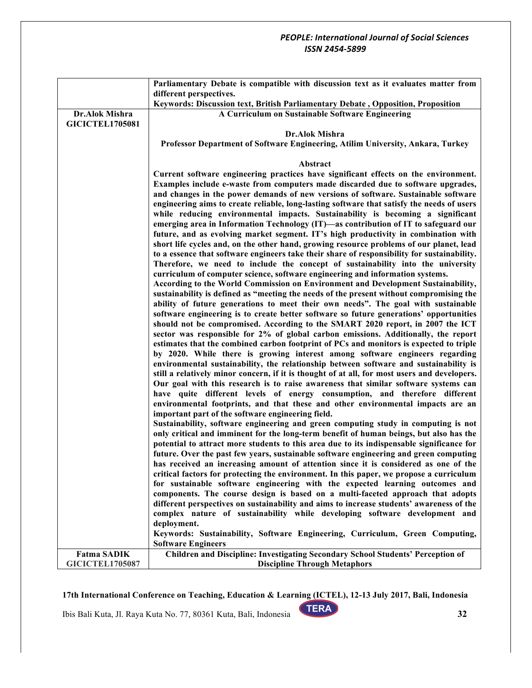|                        | Parliamentary Debate is compatible with discussion text as it evaluates matter from                                                                                   |
|------------------------|-----------------------------------------------------------------------------------------------------------------------------------------------------------------------|
|                        | different perspectives.                                                                                                                                               |
|                        | Keywords: Discussion text, British Parliamentary Debate, Opposition, Proposition                                                                                      |
| Dr.Alok Mishra         | A Curriculum on Sustainable Software Engineering                                                                                                                      |
| <b>GICICTEL1705081</b> |                                                                                                                                                                       |
|                        | Dr.Alok Mishra                                                                                                                                                        |
|                        | Professor Department of Software Engineering, Atilim University, Ankara, Turkey                                                                                       |
|                        | Abstract                                                                                                                                                              |
|                        | Current software engineering practices have significant effects on the environment.                                                                                   |
|                        | Examples include e-waste from computers made discarded due to software upgrades,                                                                                      |
|                        | and changes in the power demands of new versions of software. Sustainable software                                                                                    |
|                        | engineering aims to create reliable, long-lasting software that satisfy the needs of users                                                                            |
|                        | while reducing environmental impacts. Sustainability is becoming a significant                                                                                        |
|                        | emerging area in Information Technology (IT)—as contribution of IT to safeguard our                                                                                   |
|                        | future, and as evolving market segment. IT's high productivity in combination with                                                                                    |
|                        | short life cycles and, on the other hand, growing resource problems of our planet, lead                                                                               |
|                        | to a essence that software engineers take their share of responsibility for sustainability.                                                                           |
|                        | Therefore, we need to include the concept of sustainability into the university                                                                                       |
|                        | curriculum of computer science, software engineering and information systems.                                                                                         |
|                        | According to the World Commission on Environment and Development Sustainability,                                                                                      |
|                        | sustainability is defined as "meeting the needs of the present without compromising the                                                                               |
|                        | ability of future generations to meet their own needs". The goal with sustainable                                                                                     |
|                        | software engineering is to create better software so future generations' opportunities                                                                                |
|                        | should not be compromised. According to the SMART 2020 report, in 2007 the ICT                                                                                        |
|                        | sector was responsible for 2% of global carbon emissions. Additionally, the report                                                                                    |
|                        | estimates that the combined carbon footprint of PCs and monitors is expected to triple<br>by 2020. While there is growing interest among software engineers regarding |
|                        | environmental sustainability, the relationship between software and sustainability is                                                                                 |
|                        | still a relatively minor concern, if it is thought of at all, for most users and developers.                                                                          |
|                        | Our goal with this research is to raise awareness that similar software systems can                                                                                   |
|                        | have quite different levels of energy consumption, and therefore different                                                                                            |
|                        | environmental footprints, and that these and other environmental impacts are an                                                                                       |
|                        | important part of the software engineering field.                                                                                                                     |
|                        | Sustainability, software engineering and green computing study in computing is not                                                                                    |
|                        | only critical and imminent for the long-term benefit of human beings, but also has the                                                                                |
|                        | potential to attract more students to this area due to its indispensable significance for                                                                             |
|                        | future. Over the past few years, sustainable software engineering and green computing                                                                                 |
|                        | has received an increasing amount of attention since it is considered as one of the                                                                                   |
|                        | critical factors for protecting the environment. In this paper, we propose a curriculum                                                                               |
|                        | for sustainable software engineering with the expected learning outcomes and                                                                                          |
|                        | components. The course design is based on a multi-faceted approach that adopts                                                                                        |
|                        | different perspectives on sustainability and aims to increase students' awareness of the                                                                              |
|                        | complex nature of sustainability while developing software development and                                                                                            |
|                        | deployment.                                                                                                                                                           |
|                        | Keywords: Sustainability, Software Engineering, Curriculum, Green Computing,                                                                                          |
| <b>Fatma SADIK</b>     | <b>Software Engineers</b><br>Children and Discipline: Investigating Secondary School Students' Perception of                                                          |
| <b>GICICTEL1705087</b> | <b>Discipline Through Metaphors</b>                                                                                                                                   |

**17th International Conference on Teaching, Education & Learning (ICTEL), 12-13 July 2017, Bali, Indonesia**

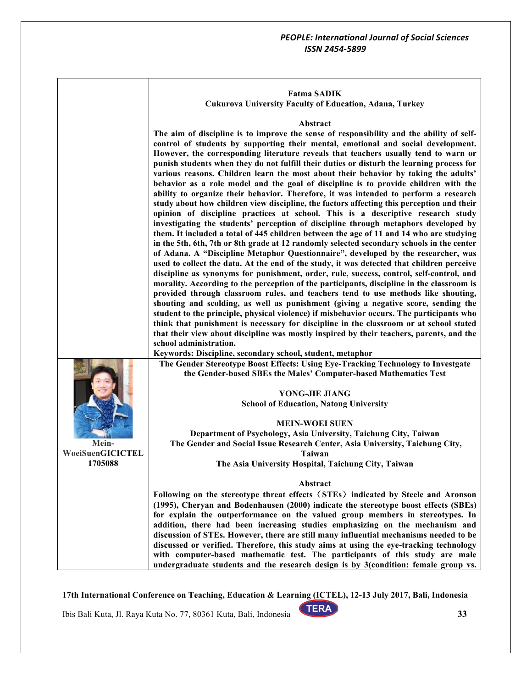|                  | <b>Fatma SADIK</b>                                                                                                                                                                                                                                                                                                                                                                                                                                                                                                                                                                                                                                                                                                                                                                                                                                                                                                                                                                                                                                                                                                                                                                                                                                                                                                                                                                                                                                                                                                                                                                                                                                                                                                                                                  |
|------------------|---------------------------------------------------------------------------------------------------------------------------------------------------------------------------------------------------------------------------------------------------------------------------------------------------------------------------------------------------------------------------------------------------------------------------------------------------------------------------------------------------------------------------------------------------------------------------------------------------------------------------------------------------------------------------------------------------------------------------------------------------------------------------------------------------------------------------------------------------------------------------------------------------------------------------------------------------------------------------------------------------------------------------------------------------------------------------------------------------------------------------------------------------------------------------------------------------------------------------------------------------------------------------------------------------------------------------------------------------------------------------------------------------------------------------------------------------------------------------------------------------------------------------------------------------------------------------------------------------------------------------------------------------------------------------------------------------------------------------------------------------------------------|
|                  | <b>Cukurova University Faculty of Education, Adana, Turkey</b>                                                                                                                                                                                                                                                                                                                                                                                                                                                                                                                                                                                                                                                                                                                                                                                                                                                                                                                                                                                                                                                                                                                                                                                                                                                                                                                                                                                                                                                                                                                                                                                                                                                                                                      |
|                  |                                                                                                                                                                                                                                                                                                                                                                                                                                                                                                                                                                                                                                                                                                                                                                                                                                                                                                                                                                                                                                                                                                                                                                                                                                                                                                                                                                                                                                                                                                                                                                                                                                                                                                                                                                     |
|                  | Abstract<br>The aim of discipline is to improve the sense of responsibility and the ability of self-<br>control of students by supporting their mental, emotional and social development.<br>However, the corresponding literature reveals that teachers usually tend to warn or<br>punish students when they do not fulfill their duties or disturb the learning process for<br>various reasons. Children learn the most about their behavior by taking the adults'<br>behavior as a role model and the goal of discipline is to provide children with the<br>ability to organize their behavior. Therefore, it was intended to perform a research<br>study about how children view discipline, the factors affecting this perception and their<br>opinion of discipline practices at school. This is a descriptive research study<br>investigating the students' perception of discipline through metaphors developed by<br>them. It included a total of 445 children between the age of 11 and 14 who are studying<br>in the 5th, 6th, 7th or 8th grade at 12 randomly selected secondary schools in the center<br>of Adana. A "Discipline Metaphor Questionnaire", developed by the researcher, was<br>used to collect the data. At the end of the study, it was detected that children perceive<br>discipline as synonyms for punishment, order, rule, success, control, self-control, and<br>morality. According to the perception of the participants, discipline in the classroom is<br>provided through classroom rules, and teachers tend to use methods like shouting,<br>shouting and scolding, as well as punishment (giving a negative score, sending the<br>student to the principle, physical violence) if misbehavior occurs. The participants who |
|                  | think that punishment is necessary for discipline in the classroom or at school stated                                                                                                                                                                                                                                                                                                                                                                                                                                                                                                                                                                                                                                                                                                                                                                                                                                                                                                                                                                                                                                                                                                                                                                                                                                                                                                                                                                                                                                                                                                                                                                                                                                                                              |
|                  | that their view about discipline was mostly inspired by their teachers, parents, and the                                                                                                                                                                                                                                                                                                                                                                                                                                                                                                                                                                                                                                                                                                                                                                                                                                                                                                                                                                                                                                                                                                                                                                                                                                                                                                                                                                                                                                                                                                                                                                                                                                                                            |
|                  | school administration.                                                                                                                                                                                                                                                                                                                                                                                                                                                                                                                                                                                                                                                                                                                                                                                                                                                                                                                                                                                                                                                                                                                                                                                                                                                                                                                                                                                                                                                                                                                                                                                                                                                                                                                                              |
|                  | Keywords: Discipline, secondary school, student, metaphor                                                                                                                                                                                                                                                                                                                                                                                                                                                                                                                                                                                                                                                                                                                                                                                                                                                                                                                                                                                                                                                                                                                                                                                                                                                                                                                                                                                                                                                                                                                                                                                                                                                                                                           |
|                  | The Gender Stereotype Boost Effects: Using Eye-Tracking Technology to Investgate<br>the Gender-based SBEs the Males' Computer-based Mathematics Test                                                                                                                                                                                                                                                                                                                                                                                                                                                                                                                                                                                                                                                                                                                                                                                                                                                                                                                                                                                                                                                                                                                                                                                                                                                                                                                                                                                                                                                                                                                                                                                                                |
|                  | YONG-JIE JIANG                                                                                                                                                                                                                                                                                                                                                                                                                                                                                                                                                                                                                                                                                                                                                                                                                                                                                                                                                                                                                                                                                                                                                                                                                                                                                                                                                                                                                                                                                                                                                                                                                                                                                                                                                      |
|                  | <b>School of Education, Natong University</b>                                                                                                                                                                                                                                                                                                                                                                                                                                                                                                                                                                                                                                                                                                                                                                                                                                                                                                                                                                                                                                                                                                                                                                                                                                                                                                                                                                                                                                                                                                                                                                                                                                                                                                                       |
|                  |                                                                                                                                                                                                                                                                                                                                                                                                                                                                                                                                                                                                                                                                                                                                                                                                                                                                                                                                                                                                                                                                                                                                                                                                                                                                                                                                                                                                                                                                                                                                                                                                                                                                                                                                                                     |
|                  | <b>MEIN-WOEI SUEN</b><br>Department of Psychology, Asia University, Taichung City, Taiwan                                                                                                                                                                                                                                                                                                                                                                                                                                                                                                                                                                                                                                                                                                                                                                                                                                                                                                                                                                                                                                                                                                                                                                                                                                                                                                                                                                                                                                                                                                                                                                                                                                                                           |
| Mein-            | The Gender and Social Issue Research Center, Asia University, Taichung City,                                                                                                                                                                                                                                                                                                                                                                                                                                                                                                                                                                                                                                                                                                                                                                                                                                                                                                                                                                                                                                                                                                                                                                                                                                                                                                                                                                                                                                                                                                                                                                                                                                                                                        |
| WoeiSuenGICICTEL | Taiwan                                                                                                                                                                                                                                                                                                                                                                                                                                                                                                                                                                                                                                                                                                                                                                                                                                                                                                                                                                                                                                                                                                                                                                                                                                                                                                                                                                                                                                                                                                                                                                                                                                                                                                                                                              |
| 1705088          | The Asia University Hospital, Taichung City, Taiwan                                                                                                                                                                                                                                                                                                                                                                                                                                                                                                                                                                                                                                                                                                                                                                                                                                                                                                                                                                                                                                                                                                                                                                                                                                                                                                                                                                                                                                                                                                                                                                                                                                                                                                                 |
|                  | Abstract                                                                                                                                                                                                                                                                                                                                                                                                                                                                                                                                                                                                                                                                                                                                                                                                                                                                                                                                                                                                                                                                                                                                                                                                                                                                                                                                                                                                                                                                                                                                                                                                                                                                                                                                                            |
|                  | Following on the stereotype threat effects (STEs) indicated by Steele and Aronson                                                                                                                                                                                                                                                                                                                                                                                                                                                                                                                                                                                                                                                                                                                                                                                                                                                                                                                                                                                                                                                                                                                                                                                                                                                                                                                                                                                                                                                                                                                                                                                                                                                                                   |
|                  | (1995), Cheryan and Bodenhausen (2000) indicate the stereotype boost effects (SBEs)                                                                                                                                                                                                                                                                                                                                                                                                                                                                                                                                                                                                                                                                                                                                                                                                                                                                                                                                                                                                                                                                                                                                                                                                                                                                                                                                                                                                                                                                                                                                                                                                                                                                                 |
|                  | for explain the outperformance on the valued group members in stereotypes. In                                                                                                                                                                                                                                                                                                                                                                                                                                                                                                                                                                                                                                                                                                                                                                                                                                                                                                                                                                                                                                                                                                                                                                                                                                                                                                                                                                                                                                                                                                                                                                                                                                                                                       |
|                  | addition, there had been increasing studies emphasizing on the mechanism and                                                                                                                                                                                                                                                                                                                                                                                                                                                                                                                                                                                                                                                                                                                                                                                                                                                                                                                                                                                                                                                                                                                                                                                                                                                                                                                                                                                                                                                                                                                                                                                                                                                                                        |
|                  | discussion of STEs. However, there are still many influential mechanisms needed to be<br>discussed or verified. Therefore, this study aims at using the eye-tracking technology<br>with computer-based mathematic test. The participants of this study are male<br>undergraduate students and the research design is by 3(condition: female group vs.                                                                                                                                                                                                                                                                                                                                                                                                                                                                                                                                                                                                                                                                                                                                                                                                                                                                                                                                                                                                                                                                                                                                                                                                                                                                                                                                                                                                               |
|                  |                                                                                                                                                                                                                                                                                                                                                                                                                                                                                                                                                                                                                                                                                                                                                                                                                                                                                                                                                                                                                                                                                                                                                                                                                                                                                                                                                                                                                                                                                                                                                                                                                                                                                                                                                                     |

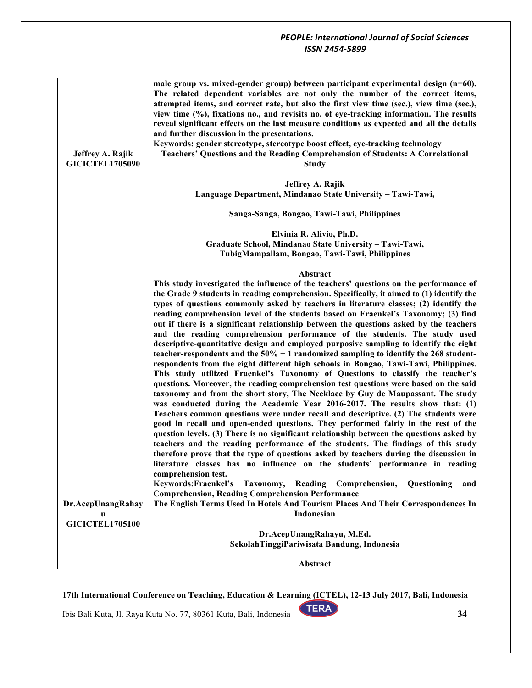|                        | Abstract                                                                                                                                                                    |
|------------------------|-----------------------------------------------------------------------------------------------------------------------------------------------------------------------------|
|                        |                                                                                                                                                                             |
|                        | Dr.AcepUnangRahayu, M.Ed.<br>SekolahTinggiPariwisata Bandung, Indonesia                                                                                                     |
| <b>GICICTEL1705100</b> |                                                                                                                                                                             |
|                        | Indonesian                                                                                                                                                                  |
| Dr.AcepUnangRahay      | The English Terms Used In Hotels And Tourism Places And Their Correspondences In                                                                                            |
|                        | <b>Comprehension, Reading Comprehension Performance</b>                                                                                                                     |
|                        | Keywords:Fraenkel's<br>Taxonomy,<br>Reading Comprehension,<br><b>Ouestioning</b><br>and                                                                                     |
|                        | literature classes has no influence on the students' performance in reading<br>comprehension test.                                                                          |
|                        | therefore prove that the type of questions asked by teachers during the discussion in                                                                                       |
|                        | teachers and the reading performance of the students. The findings of this study                                                                                            |
|                        | question levels. (3) There is no significant relationship between the questions asked by                                                                                    |
|                        | Teachers common questions were under recall and descriptive. (2) The students were<br>good in recall and open-ended questions. They performed fairly in the rest of the     |
|                        | was conducted during the Academic Year 2016-2017. The results show that: (1)                                                                                                |
|                        | taxonomy and from the short story, The Necklace by Guy de Maupassant. The study                                                                                             |
|                        | questions. Moreover, the reading comprehension test questions were based on the said                                                                                        |
|                        | respondents from the eight different high schools in Bongao, Tawi-Tawi, Philippines.<br>This study utilized Fraenkel's Taxonomy of Questions to classify the teacher's      |
|                        | teacher-respondents and the $50\% + 1$ randomized sampling to identify the 268 student-                                                                                     |
|                        | descriptive-quantitative design and employed purposive sampling to identify the eight                                                                                       |
|                        | and the reading comprehension performance of the students. The study used                                                                                                   |
|                        | out if there is a significant relationship between the questions asked by the teachers                                                                                      |
|                        | types of questions commonly asked by teachers in literature classes; (2) identify the<br>reading comprehension level of the students based on Fraenkel's Taxonomy; (3) find |
|                        | the Grade 9 students in reading comprehension. Specifically, it aimed to (1) identify the                                                                                   |
|                        | This study investigated the influence of the teachers' questions on the performance of                                                                                      |
|                        | Abstract                                                                                                                                                                    |
|                        | TubigMampallam, Bongao, Tawi-Tawi, Philippines                                                                                                                              |
|                        | Graduate School, Mindanao State University - Tawi-Tawi,                                                                                                                     |
|                        | Elvinia R. Alivio, Ph.D.                                                                                                                                                    |
|                        | Sanga-Sanga, Bongao, Tawi-Tawi, Philippines                                                                                                                                 |
|                        |                                                                                                                                                                             |
|                        | Jeffrey A. Rajik<br>Language Department, Mindanao State University - Tawi-Tawi,                                                                                             |
|                        |                                                                                                                                                                             |
| <b>GICICTEL1705090</b> | <b>Study</b>                                                                                                                                                                |
| Jeffrey A. Rajik       | Keywords: gender stereotype, stereotype boost effect, eye-tracking technology<br>Teachers' Questions and the Reading Comprehension of Students: A Correlational             |
|                        | and further discussion in the presentations.                                                                                                                                |
|                        | reveal significant effects on the last measure conditions as expected and all the details                                                                                   |
|                        | view time (%), fixations no., and revisits no. of eye-tracking information. The results                                                                                     |
|                        | The related dependent variables are not only the number of the correct items,<br>attempted items, and correct rate, but also the first view time (sec.), view time (sec.),  |
|                        | male group vs. mixed-gender group) between participant experimental design (n=60).                                                                                          |
|                        |                                                                                                                                                                             |

**17th International Conference on Teaching, Education & Learning (ICTEL), 12-13 July 2017, Bali, Indonesia**

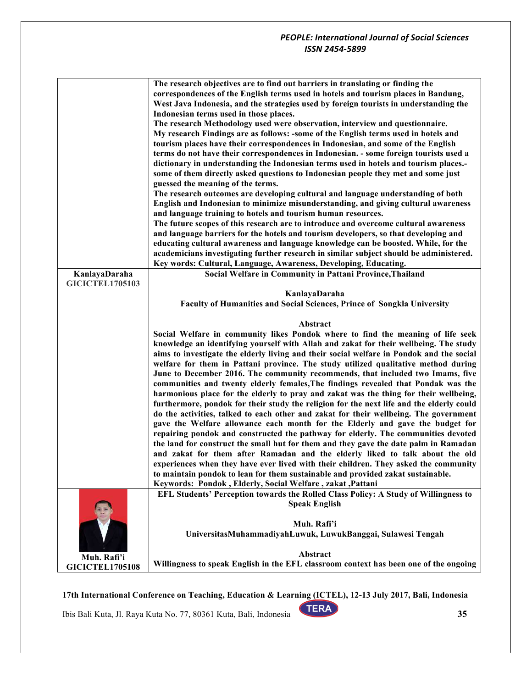|                                       | The research objectives are to find out barriers in translating or finding the           |
|---------------------------------------|------------------------------------------------------------------------------------------|
|                                       | correspondences of the English terms used in hotels and tourism places in Bandung,       |
|                                       | West Java Indonesia, and the strategies used by foreign tourists in understanding the    |
|                                       |                                                                                          |
|                                       | Indonesian terms used in those places.                                                   |
|                                       | The research Methodology used were observation, interview and questionnaire.             |
|                                       | My research Findings are as follows: -some of the English terms used in hotels and       |
|                                       | tourism places have their correspondences in Indonesian, and some of the English         |
|                                       | terms do not have their correspondences in Indonesian. - some foreign tourists used a    |
|                                       | dictionary in understanding the Indonesian terms used in hotels and tourism places.-     |
|                                       | some of them directly asked questions to Indonesian people they met and some just        |
|                                       |                                                                                          |
|                                       | guessed the meaning of the terms.                                                        |
|                                       | The research outcomes are developing cultural and language understanding of both         |
|                                       | English and Indonesian to minimize misunderstanding, and giving cultural awareness       |
|                                       | and language training to hotels and tourism human resources.                             |
|                                       | The future scopes of this research are to introduce and overcome cultural awareness      |
|                                       | and language barriers for the hotels and tourism developers, so that developing and      |
|                                       |                                                                                          |
|                                       | educating cultural awareness and language knowledge can be boosted. While, for the       |
|                                       | academicians investigating further research in similar subject should be administered.   |
|                                       | Key words: Cultural, Language, Awareness, Developing, Educating.                         |
| KanlayaDaraha                         | Social Welfare in Community in Pattani Province, Thailand                                |
| <b>GICICTEL1705103</b>                |                                                                                          |
|                                       | KanlayaDaraha                                                                            |
|                                       | Faculty of Humanities and Social Sciences, Prince of Songkla University                  |
|                                       |                                                                                          |
|                                       | Abstract                                                                                 |
|                                       |                                                                                          |
|                                       | Social Welfare in community likes Pondok where to find the meaning of life seek          |
|                                       | knowledge an identifying yourself with Allah and zakat for their wellbeing. The study    |
|                                       | aims to investigate the elderly living and their social welfare in Pondok and the social |
|                                       | welfare for them in Pattani province. The study utilized qualitative method during       |
|                                       | June to December 2016. The community recommends, that included two Imams, five           |
|                                       | communities and twenty elderly females, The findings revealed that Pondak was the        |
|                                       | harmonious place for the elderly to pray and zakat was the thing for their wellbeing,    |
|                                       |                                                                                          |
|                                       | furthermore, pondok for their study the religion for the next life and the elderly could |
|                                       | do the activities, talked to each other and zakat for their wellbeing. The government    |
|                                       | gave the Welfare allowance each month for the Elderly and gave the budget for            |
|                                       | repairing pondok and constructed the pathway for elderly. The communities devoted        |
|                                       | the land for construct the small hut for them and they gave the date palm in Ramadan     |
|                                       | and zakat for them after Ramadan and the elderly liked to talk about the old             |
|                                       | experiences when they have ever lived with their children. They asked the community      |
|                                       |                                                                                          |
|                                       |                                                                                          |
|                                       | to maintain pondok to lean for them sustainable and provided zakat sustainable.          |
|                                       | Keywords: Pondok, Elderly, Social Welfare, zakat, Pattani                                |
|                                       | EFL Students' Perception towards the Rolled Class Policy: A Study of Willingness to      |
|                                       |                                                                                          |
|                                       | <b>Speak English</b>                                                                     |
|                                       |                                                                                          |
|                                       | Muh. Rafi'i                                                                              |
|                                       | UniversitasMuhammadiyahLuwuk, LuwukBanggai, Sulawesi Tengah                              |
|                                       |                                                                                          |
|                                       | <b>Abstract</b>                                                                          |
| Muh. Rafi'i<br><b>GICICTEL1705108</b> | Willingness to speak English in the EFL classroom context has been one of the ongoing    |

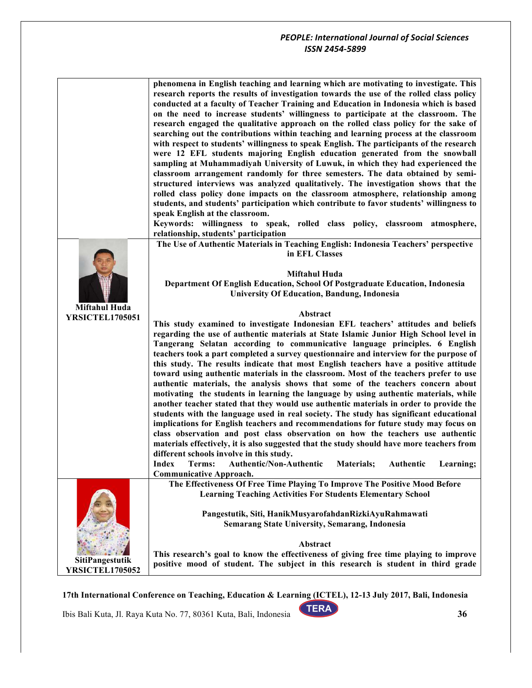|                        | phenomena in English teaching and learning which are motivating to investigate. This<br>research reports the results of investigation towards the use of the rolled class policy<br>conducted at a faculty of Teacher Training and Education in Indonesia which is based<br>on the need to increase students' willingness to participate at the classroom. The<br>research engaged the qualitative approach on the rolled class policy for the sake of<br>searching out the contributions within teaching and learning process at the classroom<br>with respect to students' willingness to speak English. The participants of the research<br>were 12 EFL students majoring English education generated from the snowball<br>sampling at Muhammadiyah University of Luwuk, in which they had experienced the<br>classroom arrangement randomly for three semesters. The data obtained by semi-<br>structured interviews was analyzed qualitatively. The investigation shows that the<br>rolled class policy done impacts on the classroom atmosphere, relationship among<br>students, and students' participation which contribute to favor students' willingness to<br>speak English at the classroom.<br>Keywords: willingness to speak, rolled class policy, classroom atmosphere, |
|------------------------|----------------------------------------------------------------------------------------------------------------------------------------------------------------------------------------------------------------------------------------------------------------------------------------------------------------------------------------------------------------------------------------------------------------------------------------------------------------------------------------------------------------------------------------------------------------------------------------------------------------------------------------------------------------------------------------------------------------------------------------------------------------------------------------------------------------------------------------------------------------------------------------------------------------------------------------------------------------------------------------------------------------------------------------------------------------------------------------------------------------------------------------------------------------------------------------------------------------------------------------------------------------------------------------|
|                        | relationship, students' participation                                                                                                                                                                                                                                                                                                                                                                                                                                                                                                                                                                                                                                                                                                                                                                                                                                                                                                                                                                                                                                                                                                                                                                                                                                                  |
|                        | The Use of Authentic Materials in Teaching English: Indonesia Teachers' perspective<br>in EFL Classes                                                                                                                                                                                                                                                                                                                                                                                                                                                                                                                                                                                                                                                                                                                                                                                                                                                                                                                                                                                                                                                                                                                                                                                  |
|                        | <b>Miftahul Huda</b>                                                                                                                                                                                                                                                                                                                                                                                                                                                                                                                                                                                                                                                                                                                                                                                                                                                                                                                                                                                                                                                                                                                                                                                                                                                                   |
|                        |                                                                                                                                                                                                                                                                                                                                                                                                                                                                                                                                                                                                                                                                                                                                                                                                                                                                                                                                                                                                                                                                                                                                                                                                                                                                                        |
|                        | Department Of English Education, School Of Postgraduate Education, Indonesia                                                                                                                                                                                                                                                                                                                                                                                                                                                                                                                                                                                                                                                                                                                                                                                                                                                                                                                                                                                                                                                                                                                                                                                                           |
|                        | <b>University Of Education, Bandung, Indonesia</b>                                                                                                                                                                                                                                                                                                                                                                                                                                                                                                                                                                                                                                                                                                                                                                                                                                                                                                                                                                                                                                                                                                                                                                                                                                     |
| <b>Miftahul Huda</b>   |                                                                                                                                                                                                                                                                                                                                                                                                                                                                                                                                                                                                                                                                                                                                                                                                                                                                                                                                                                                                                                                                                                                                                                                                                                                                                        |
| YRSICTEL1705051        | Abstract                                                                                                                                                                                                                                                                                                                                                                                                                                                                                                                                                                                                                                                                                                                                                                                                                                                                                                                                                                                                                                                                                                                                                                                                                                                                               |
|                        | This study examined to investigate Indonesian EFL teachers' attitudes and beliefs                                                                                                                                                                                                                                                                                                                                                                                                                                                                                                                                                                                                                                                                                                                                                                                                                                                                                                                                                                                                                                                                                                                                                                                                      |
|                        |                                                                                                                                                                                                                                                                                                                                                                                                                                                                                                                                                                                                                                                                                                                                                                                                                                                                                                                                                                                                                                                                                                                                                                                                                                                                                        |
|                        | regarding the use of authentic materials at State Islamic Junior High School level in                                                                                                                                                                                                                                                                                                                                                                                                                                                                                                                                                                                                                                                                                                                                                                                                                                                                                                                                                                                                                                                                                                                                                                                                  |
|                        | Tangerang Selatan according to communicative language principles. 6 English                                                                                                                                                                                                                                                                                                                                                                                                                                                                                                                                                                                                                                                                                                                                                                                                                                                                                                                                                                                                                                                                                                                                                                                                            |
|                        | teachers took a part completed a survey questionnaire and interview for the purpose of                                                                                                                                                                                                                                                                                                                                                                                                                                                                                                                                                                                                                                                                                                                                                                                                                                                                                                                                                                                                                                                                                                                                                                                                 |
|                        | this study. The results indicate that most English teachers have a positive attitude                                                                                                                                                                                                                                                                                                                                                                                                                                                                                                                                                                                                                                                                                                                                                                                                                                                                                                                                                                                                                                                                                                                                                                                                   |
|                        | toward using authentic materials in the classroom. Most of the teachers prefer to use                                                                                                                                                                                                                                                                                                                                                                                                                                                                                                                                                                                                                                                                                                                                                                                                                                                                                                                                                                                                                                                                                                                                                                                                  |
|                        | authentic materials, the analysis shows that some of the teachers concern about                                                                                                                                                                                                                                                                                                                                                                                                                                                                                                                                                                                                                                                                                                                                                                                                                                                                                                                                                                                                                                                                                                                                                                                                        |
|                        | motivating the students in learning the language by using authentic materials, while                                                                                                                                                                                                                                                                                                                                                                                                                                                                                                                                                                                                                                                                                                                                                                                                                                                                                                                                                                                                                                                                                                                                                                                                   |
|                        |                                                                                                                                                                                                                                                                                                                                                                                                                                                                                                                                                                                                                                                                                                                                                                                                                                                                                                                                                                                                                                                                                                                                                                                                                                                                                        |
|                        | another teacher stated that they would use authentic materials in order to provide the                                                                                                                                                                                                                                                                                                                                                                                                                                                                                                                                                                                                                                                                                                                                                                                                                                                                                                                                                                                                                                                                                                                                                                                                 |
|                        | students with the language used in real society. The study has significant educational                                                                                                                                                                                                                                                                                                                                                                                                                                                                                                                                                                                                                                                                                                                                                                                                                                                                                                                                                                                                                                                                                                                                                                                                 |
|                        | implications for English teachers and recommendations for future study may focus on                                                                                                                                                                                                                                                                                                                                                                                                                                                                                                                                                                                                                                                                                                                                                                                                                                                                                                                                                                                                                                                                                                                                                                                                    |
|                        | class observation and post class observation on how the teachers use authentic                                                                                                                                                                                                                                                                                                                                                                                                                                                                                                                                                                                                                                                                                                                                                                                                                                                                                                                                                                                                                                                                                                                                                                                                         |
|                        | materials effectively, it is also suggested that the study should have more teachers from                                                                                                                                                                                                                                                                                                                                                                                                                                                                                                                                                                                                                                                                                                                                                                                                                                                                                                                                                                                                                                                                                                                                                                                              |
|                        | different schools involve in this study.                                                                                                                                                                                                                                                                                                                                                                                                                                                                                                                                                                                                                                                                                                                                                                                                                                                                                                                                                                                                                                                                                                                                                                                                                                               |
|                        |                                                                                                                                                                                                                                                                                                                                                                                                                                                                                                                                                                                                                                                                                                                                                                                                                                                                                                                                                                                                                                                                                                                                                                                                                                                                                        |
|                        | Index Terms: Authentic/Non-Authentic Materials; Authentic Learning;                                                                                                                                                                                                                                                                                                                                                                                                                                                                                                                                                                                                                                                                                                                                                                                                                                                                                                                                                                                                                                                                                                                                                                                                                    |
|                        | <b>Communicative Approach.</b>                                                                                                                                                                                                                                                                                                                                                                                                                                                                                                                                                                                                                                                                                                                                                                                                                                                                                                                                                                                                                                                                                                                                                                                                                                                         |
|                        | The Effectiveness Of Free Time Playing To Improve The Positive Mood Before                                                                                                                                                                                                                                                                                                                                                                                                                                                                                                                                                                                                                                                                                                                                                                                                                                                                                                                                                                                                                                                                                                                                                                                                             |
|                        | <b>Learning Teaching Activities For Students Elementary School</b>                                                                                                                                                                                                                                                                                                                                                                                                                                                                                                                                                                                                                                                                                                                                                                                                                                                                                                                                                                                                                                                                                                                                                                                                                     |
|                        |                                                                                                                                                                                                                                                                                                                                                                                                                                                                                                                                                                                                                                                                                                                                                                                                                                                                                                                                                                                                                                                                                                                                                                                                                                                                                        |
|                        | Pangestutik, Siti, HanikMusyarofahdanRizkiAyuRahmawati                                                                                                                                                                                                                                                                                                                                                                                                                                                                                                                                                                                                                                                                                                                                                                                                                                                                                                                                                                                                                                                                                                                                                                                                                                 |
|                        | <b>Semarang State University, Semarang, Indonesia</b>                                                                                                                                                                                                                                                                                                                                                                                                                                                                                                                                                                                                                                                                                                                                                                                                                                                                                                                                                                                                                                                                                                                                                                                                                                  |
|                        |                                                                                                                                                                                                                                                                                                                                                                                                                                                                                                                                                                                                                                                                                                                                                                                                                                                                                                                                                                                                                                                                                                                                                                                                                                                                                        |
|                        |                                                                                                                                                                                                                                                                                                                                                                                                                                                                                                                                                                                                                                                                                                                                                                                                                                                                                                                                                                                                                                                                                                                                                                                                                                                                                        |
|                        | Abstract                                                                                                                                                                                                                                                                                                                                                                                                                                                                                                                                                                                                                                                                                                                                                                                                                                                                                                                                                                                                                                                                                                                                                                                                                                                                               |
|                        | This research's goal to know the effectiveness of giving free time playing to improve                                                                                                                                                                                                                                                                                                                                                                                                                                                                                                                                                                                                                                                                                                                                                                                                                                                                                                                                                                                                                                                                                                                                                                                                  |
| SitiPangestutik        | positive mood of student. The subject in this research is student in third grade                                                                                                                                                                                                                                                                                                                                                                                                                                                                                                                                                                                                                                                                                                                                                                                                                                                                                                                                                                                                                                                                                                                                                                                                       |
| <b>YRSICTEL1705052</b> |                                                                                                                                                                                                                                                                                                                                                                                                                                                                                                                                                                                                                                                                                                                                                                                                                                                                                                                                                                                                                                                                                                                                                                                                                                                                                        |

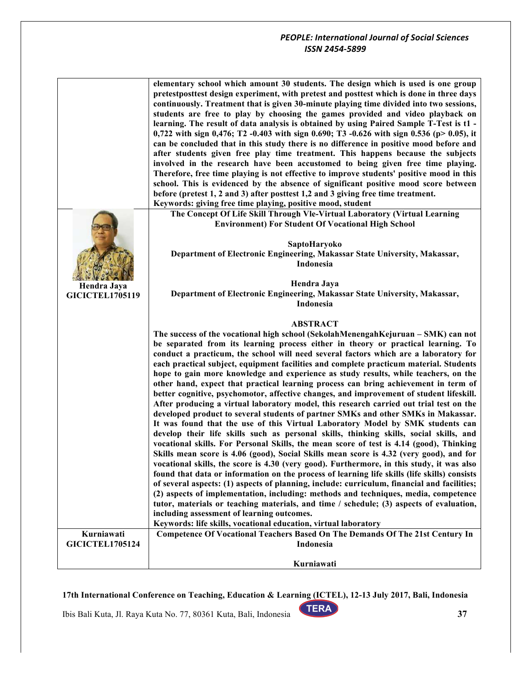|                                       | elementary school which amount 30 students. The design which is used is one group<br>pretestposttest design experiment, with pretest and posttest which is done in three days<br>continuously. Treatment that is given 30-minute playing time divided into two sessions,<br>students are free to play by choosing the games provided and video playback on<br>learning. The result of data analysis is obtained by using Paired Sample T-Test is t1 -<br>0,722 with sign 0,476; T2 -0.403 with sign 0.690; T3 -0.626 with sign 0.536 (p> 0.05), it<br>can be concluded that in this study there is no difference in positive mood before and<br>after students given free play time treatment. This happens because the subjects<br>involved in the research have been accustomed to being given free time playing.<br>Therefore, free time playing is not effective to improve students' positive mood in this<br>school. This is evidenced by the absence of significant positive mood score between<br>before (pretest 1, 2 and 3) after posttest 1,2 and 3 giving free time treatment.<br>Keywords: giving free time playing, positive mood, student                                                                                                                                                                                                                                                                                                                                                                                                                                                                                                                                                                                                                                              |
|---------------------------------------|-------------------------------------------------------------------------------------------------------------------------------------------------------------------------------------------------------------------------------------------------------------------------------------------------------------------------------------------------------------------------------------------------------------------------------------------------------------------------------------------------------------------------------------------------------------------------------------------------------------------------------------------------------------------------------------------------------------------------------------------------------------------------------------------------------------------------------------------------------------------------------------------------------------------------------------------------------------------------------------------------------------------------------------------------------------------------------------------------------------------------------------------------------------------------------------------------------------------------------------------------------------------------------------------------------------------------------------------------------------------------------------------------------------------------------------------------------------------------------------------------------------------------------------------------------------------------------------------------------------------------------------------------------------------------------------------------------------------------------------------------------------------------------------------------------|
|                                       | The Concept Of Life Skill Through Vle-Virtual Laboratory (Virtual Learning<br><b>Environment) For Student Of Vocational High School</b><br>SaptoHaryoko                                                                                                                                                                                                                                                                                                                                                                                                                                                                                                                                                                                                                                                                                                                                                                                                                                                                                                                                                                                                                                                                                                                                                                                                                                                                                                                                                                                                                                                                                                                                                                                                                                               |
|                                       | Department of Electronic Engineering, Makassar State University, Makassar,<br>Indonesia                                                                                                                                                                                                                                                                                                                                                                                                                                                                                                                                                                                                                                                                                                                                                                                                                                                                                                                                                                                                                                                                                                                                                                                                                                                                                                                                                                                                                                                                                                                                                                                                                                                                                                               |
| Hendra Jaya<br><b>GICICTEL1705119</b> | Hendra Jaya<br>Department of Electronic Engineering, Makassar State University, Makassar,<br>Indonesia                                                                                                                                                                                                                                                                                                                                                                                                                                                                                                                                                                                                                                                                                                                                                                                                                                                                                                                                                                                                                                                                                                                                                                                                                                                                                                                                                                                                                                                                                                                                                                                                                                                                                                |
|                                       |                                                                                                                                                                                                                                                                                                                                                                                                                                                                                                                                                                                                                                                                                                                                                                                                                                                                                                                                                                                                                                                                                                                                                                                                                                                                                                                                                                                                                                                                                                                                                                                                                                                                                                                                                                                                       |
|                                       | <b>ABSTRACT</b><br>The success of the vocational high school (SekolahMenengahKejuruan - SMK) can not<br>be separated from its learning process either in theory or practical learning. To<br>conduct a practicum, the school will need several factors which are a laboratory for<br>each practical subject, equipment facilities and complete practicum material. Students<br>hope to gain more knowledge and experience as study results, while teachers, on the<br>other hand, expect that practical learning process can bring achievement in term of<br>better cognitive, psychomotor, affective changes, and improvement of student lifeskill.<br>After producing a virtual laboratory model, this research carried out trial test on the<br>developed product to several students of partner SMKs and other SMKs in Makassar.<br>It was found that the use of this Virtual Laboratory Model by SMK students can<br>develop their life skills such as personal skills, thinking skills, social skills, and<br>vocational skills. For Personal Skills, the mean score of test is 4.14 (good), Thinking<br>Skills mean score is 4.06 (good), Social Skills mean score is 4.32 (very good), and for<br>vocational skills, the score is 4.30 (very good). Furthermore, in this study, it was also<br>found that data or information on the process of learning life skills (life skills) consists<br>of several aspects: (1) aspects of planning, include: curriculum, financial and facilities;<br>(2) aspects of implementation, including: methods and techniques, media, competence<br>tutor, materials or teaching materials, and time / schedule; (3) aspects of evaluation,<br>including assessment of learning outcomes.<br>Keywords: life skills, vocational education, virtual laboratory |
| Kurniawati                            | Competence Of Vocational Teachers Based On The Demands Of The 21st Century In                                                                                                                                                                                                                                                                                                                                                                                                                                                                                                                                                                                                                                                                                                                                                                                                                                                                                                                                                                                                                                                                                                                                                                                                                                                                                                                                                                                                                                                                                                                                                                                                                                                                                                                         |
| <b>GICICTEL1705124</b>                | Indonesia                                                                                                                                                                                                                                                                                                                                                                                                                                                                                                                                                                                                                                                                                                                                                                                                                                                                                                                                                                                                                                                                                                                                                                                                                                                                                                                                                                                                                                                                                                                                                                                                                                                                                                                                                                                             |
|                                       | Kurniawati                                                                                                                                                                                                                                                                                                                                                                                                                                                                                                                                                                                                                                                                                                                                                                                                                                                                                                                                                                                                                                                                                                                                                                                                                                                                                                                                                                                                                                                                                                                                                                                                                                                                                                                                                                                            |

**17th International Conference on Teaching, Education & Learning (ICTEL), 12-13 July 2017, Bali, Indonesia**

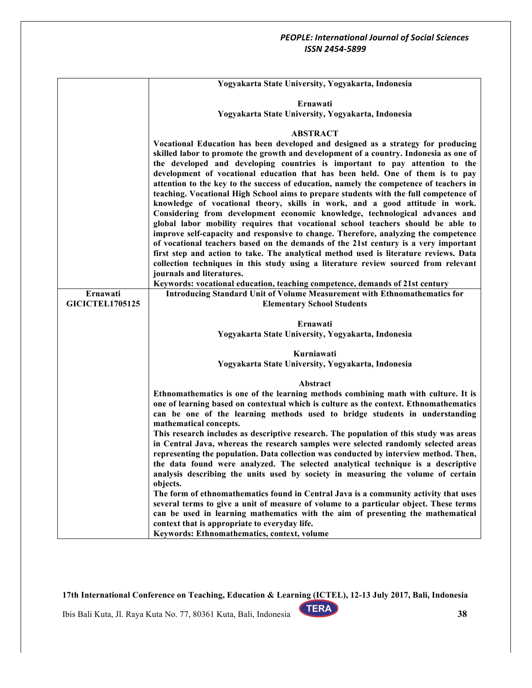|                                    | Yogyakarta State University, Yogyakarta, Indonesia                                                                                                                                                                                                                                                                                                                                                                                                                                                                                                                                                                                                                                                                                                                                                                                                                     |
|------------------------------------|------------------------------------------------------------------------------------------------------------------------------------------------------------------------------------------------------------------------------------------------------------------------------------------------------------------------------------------------------------------------------------------------------------------------------------------------------------------------------------------------------------------------------------------------------------------------------------------------------------------------------------------------------------------------------------------------------------------------------------------------------------------------------------------------------------------------------------------------------------------------|
|                                    | Ernawati                                                                                                                                                                                                                                                                                                                                                                                                                                                                                                                                                                                                                                                                                                                                                                                                                                                               |
|                                    | Yogyakarta State University, Yogyakarta, Indonesia                                                                                                                                                                                                                                                                                                                                                                                                                                                                                                                                                                                                                                                                                                                                                                                                                     |
|                                    |                                                                                                                                                                                                                                                                                                                                                                                                                                                                                                                                                                                                                                                                                                                                                                                                                                                                        |
|                                    | <b>ABSTRACT</b>                                                                                                                                                                                                                                                                                                                                                                                                                                                                                                                                                                                                                                                                                                                                                                                                                                                        |
|                                    | Vocational Education has been developed and designed as a strategy for producing<br>skilled labor to promote the growth and development of a country. Indonesia as one of<br>the developed and developing countries is important to pay attention to the<br>development of vocational education that has been held. One of them is to pay<br>attention to the key to the success of education, namely the competence of teachers in<br>teaching. Vocational High School aims to prepare students with the full competence of<br>knowledge of vocational theory, skills in work, and a good attitude in work.<br>Considering from development economic knowledge, technological advances and<br>global labor mobility requires that vocational school teachers should be able to<br>improve self-capacity and responsive to change. Therefore, analyzing the competence |
|                                    | of vocational teachers based on the demands of the 21st century is a very important<br>first step and action to take. The analytical method used is literature reviews. Data                                                                                                                                                                                                                                                                                                                                                                                                                                                                                                                                                                                                                                                                                           |
|                                    | collection techniques in this study using a literature review sourced from relevant                                                                                                                                                                                                                                                                                                                                                                                                                                                                                                                                                                                                                                                                                                                                                                                    |
|                                    | journals and literatures.                                                                                                                                                                                                                                                                                                                                                                                                                                                                                                                                                                                                                                                                                                                                                                                                                                              |
|                                    | Keywords: vocational education, teaching competence, demands of 21st century                                                                                                                                                                                                                                                                                                                                                                                                                                                                                                                                                                                                                                                                                                                                                                                           |
| Ernawati<br><b>GICICTEL1705125</b> | Introducing Standard Unit of Volume Measurement with Ethnomathematics for<br><b>Elementary School Students</b>                                                                                                                                                                                                                                                                                                                                                                                                                                                                                                                                                                                                                                                                                                                                                         |
|                                    |                                                                                                                                                                                                                                                                                                                                                                                                                                                                                                                                                                                                                                                                                                                                                                                                                                                                        |
|                                    | Ernawati                                                                                                                                                                                                                                                                                                                                                                                                                                                                                                                                                                                                                                                                                                                                                                                                                                                               |
|                                    | Yogyakarta State University, Yogyakarta, Indonesia                                                                                                                                                                                                                                                                                                                                                                                                                                                                                                                                                                                                                                                                                                                                                                                                                     |
|                                    | Kurniawati                                                                                                                                                                                                                                                                                                                                                                                                                                                                                                                                                                                                                                                                                                                                                                                                                                                             |
|                                    | Yogyakarta State University, Yogyakarta, Indonesia                                                                                                                                                                                                                                                                                                                                                                                                                                                                                                                                                                                                                                                                                                                                                                                                                     |
|                                    |                                                                                                                                                                                                                                                                                                                                                                                                                                                                                                                                                                                                                                                                                                                                                                                                                                                                        |
|                                    | Abstract<br>Ethnomathematics is one of the learning methods combining math with culture. It is                                                                                                                                                                                                                                                                                                                                                                                                                                                                                                                                                                                                                                                                                                                                                                         |
|                                    | one of learning based on contextual which is culture as the context. Ethnomathematics<br>can be one of the learning methods used to bridge students in understanding<br>mathematical concepts.                                                                                                                                                                                                                                                                                                                                                                                                                                                                                                                                                                                                                                                                         |
|                                    | This research includes as descriptive research. The population of this study was areas<br>in Central Java, whereas the research samples were selected randomly selected areas<br>representing the population. Data collection was conducted by interview method. Then,<br>the data found were analyzed. The selected analytical technique is a descriptive<br>analysis describing the units used by society in measuring the volume of certain<br>objects.                                                                                                                                                                                                                                                                                                                                                                                                             |
|                                    | The form of ethnomathematics found in Central Java is a community activity that uses<br>several terms to give a unit of measure of volume to a particular object. These terms<br>can be used in learning mathematics with the aim of presenting the mathematical<br>context that is appropriate to everyday life.<br>Keywords: Ethnomathematics, context, volume                                                                                                                                                                                                                                                                                                                                                                                                                                                                                                       |

**17th International Conference on Teaching, Education & Learning (ICTEL), 12-13 July 2017, Bali, Indonesia**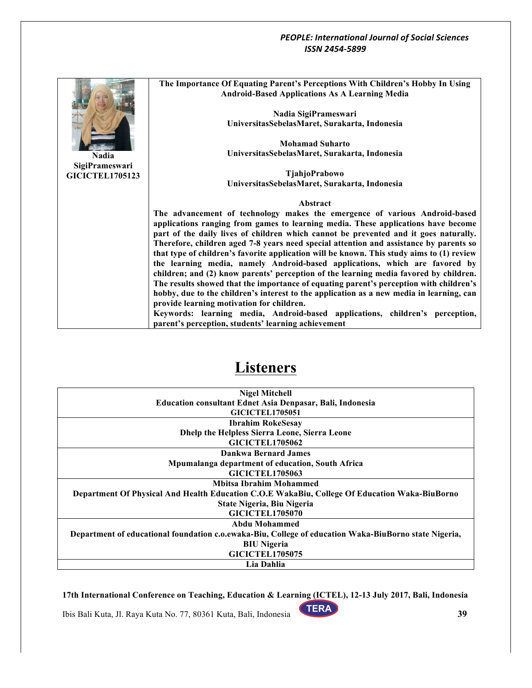|                        | The Importance Of Equating Parent's Perceptions With Children's Hobby In Using<br><b>Android-Based Applications As A Learning Media</b> |
|------------------------|-----------------------------------------------------------------------------------------------------------------------------------------|
|                        | Nadia SigiPrameswari                                                                                                                    |
|                        | UniversitasSebelasMaret, Surakarta, Indonesia                                                                                           |
|                        | <b>Mohamad Suharto</b>                                                                                                                  |
| <b>Nadia</b>           | UniversitasSebelasMaret, Surakarta, Indonesia                                                                                           |
| SigiPrameswari         | TjahjoPrabowo                                                                                                                           |
| <b>GICICTEL1705123</b> | UniversitasSebelasMaret, Surakarta, Indonesia                                                                                           |
|                        |                                                                                                                                         |
|                        | Abstract                                                                                                                                |
|                        | The advancement of technology makes the emergence of various Android-based                                                              |
|                        | applications ranging from games to learning media. These applications have become                                                       |
|                        | part of the daily lives of children which cannot be prevented and it goes naturally.                                                    |
|                        | Therefore, children aged 7-8 years need special attention and assistance by parents so                                                  |
|                        | that type of children's favorite application will be known. This study aims to (1) review                                               |
|                        | the learning media, namely Android-based applications, which are favored by                                                             |
|                        | children; and (2) know parents' perception of the learning media favored by children.                                                   |
|                        | The results showed that the importance of equating parent's perception with children's                                                  |
|                        | hobby, due to the children's interest to the application as a new media in learning, can                                                |
|                        | provide learning motivation for children.                                                                                               |
|                        | Keywords: learning media, Android-based applications, children's perception,<br>parent's perception, students' learning achievement     |
|                        |                                                                                                                                         |

## **Listeners**

| <b>Nigel Mitchell</b>                                                                                 |
|-------------------------------------------------------------------------------------------------------|
| Education consultant Ednet Asia Denpasar, Bali, Indonesia                                             |
| <b>GICICTEL1705051</b>                                                                                |
| <b>Ibrahim RokeSesay</b>                                                                              |
| Dhelp the Helpless Sierra Leone, Sierra Leone                                                         |
| <b>GICICTEL1705062</b>                                                                                |
| Dankwa Bernard James                                                                                  |
| Mpumalanga department of education, South Africa                                                      |
| <b>GICICTEL1705063</b>                                                                                |
| <b>Mbitsa Ibrahim Mohammed</b>                                                                        |
| Department Of Physical And Health Education C.O.E WakaBiu, College Of Education Waka-BiuBorno         |
| State Nigeria, Biu Nigeria                                                                            |
| <b>GICICTEL1705070</b>                                                                                |
| Abdu Mohammed                                                                                         |
| Department of educational foundation c.o.ewaka-Biu, College of education Waka-BiuBorno state Nigeria, |
| <b>BIU Nigeria</b>                                                                                    |
| <b>GICICTEL1705075</b>                                                                                |
| Lia Dahlia                                                                                            |
|                                                                                                       |

**17th International Conference on Teaching, Education & Learning (ICTEL), 12-13 July 2017, Bali, Indonesia**